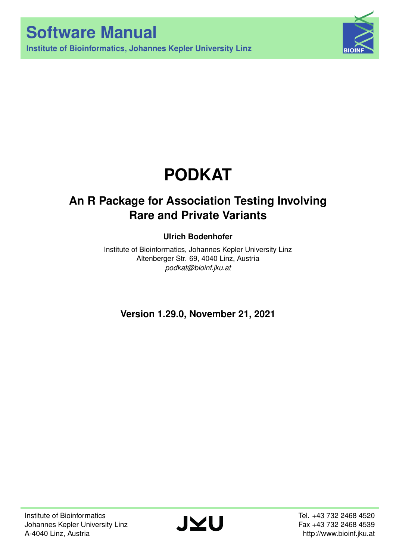

# **PODKAT**

# **An R Package for Association Testing Involving Rare and Private Variants**

# **Ulrich Bodenhofer**

Institute of Bioinformatics, Johannes Kepler University Linz Altenberger Str. 69, 4040 Linz, Austria *[podkat@bioinf.jku.at](mailto:podkat@bioinf.jku.at)*

**Version 1.29.0, November 21, 2021**

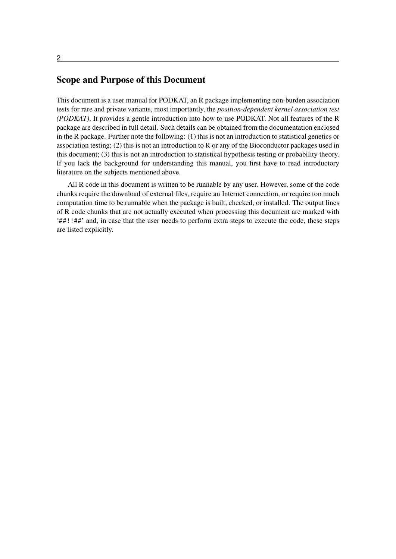#### 2

# Scope and Purpose of this Document

This document is a user manual for PODKAT, an R package implementing non-burden association tests for rare and private variants, most importantly, the *position-dependent kernel association test (PODKAT)*. It provides a gentle introduction into how to use PODKAT. Not all features of the R package are described in full detail. Such details can be obtained from the documentation enclosed in the R package. Further note the following: (1) this is not an introduction to statistical genetics or association testing; (2) this is not an introduction to R or any of the Bioconductor packages used in this document; (3) this is not an introduction to statistical hypothesis testing or probability theory. If you lack the background for understanding this manual, you first have to read introductory literature on the subjects mentioned above.

All R code in this document is written to be runnable by any user. However, some of the code chunks require the download of external files, require an Internet connection, or require too much computation time to be runnable when the package is built, checked, or installed. The output lines of R code chunks that are not actually executed when processing this document are marked with '##!!##' and, in case that the user needs to perform extra steps to execute the code, these steps are listed explicitly.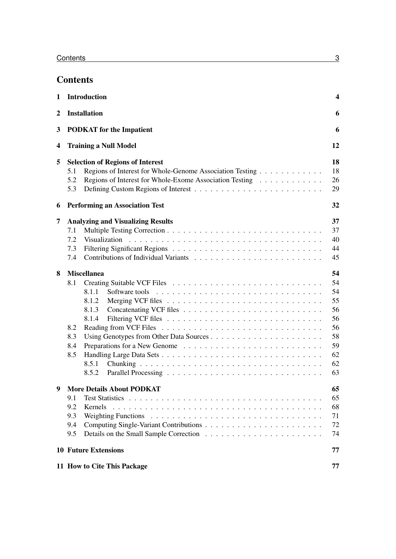# **Contents**

| $\mathbf{1}$ | Introduction                                                                                                                                                                        |                                              |  |  |  |  |  |  |  |  |  |  |  |
|--------------|-------------------------------------------------------------------------------------------------------------------------------------------------------------------------------------|----------------------------------------------|--|--|--|--|--|--|--|--|--|--|--|
| 2            | <b>Installation</b><br><b>PODKAT</b> for the Impatient                                                                                                                              |                                              |  |  |  |  |  |  |  |  |  |  |  |
| 3            |                                                                                                                                                                                     |                                              |  |  |  |  |  |  |  |  |  |  |  |
| 4            | <b>Training a Null Model</b>                                                                                                                                                        | 12                                           |  |  |  |  |  |  |  |  |  |  |  |
| 5            | <b>Selection of Regions of Interest</b><br>Regions of Interest for Whole-Genome Association Testing<br>5.1<br>5.2<br>Regions of Interest for Whole-Exome Association Testing<br>5.3 | 18<br>18<br>26<br>29                         |  |  |  |  |  |  |  |  |  |  |  |
| 6            | <b>Performing an Association Test</b>                                                                                                                                               | 32                                           |  |  |  |  |  |  |  |  |  |  |  |
| 7            | <b>Analyzing and Visualizing Results</b><br>7.1<br>7.2<br>7.3<br>7.4                                                                                                                | 37<br>37<br>40<br>44<br>45                   |  |  |  |  |  |  |  |  |  |  |  |
| 8            | <b>Miscellanea</b><br>8.1<br>8.1.1<br>8.1.2<br>8.1.3<br>8.1.4<br>8.2<br>8.3                                                                                                         | 54<br>54<br>54<br>55<br>56<br>56<br>56<br>58 |  |  |  |  |  |  |  |  |  |  |  |
|              | 8.4<br>8.5<br>8.5.1<br>8.5.2                                                                                                                                                        | 59<br>62<br>62<br>63                         |  |  |  |  |  |  |  |  |  |  |  |
| 9            | <b>More Details About PODKAT</b><br>9.1<br>9.2<br>Kernels<br>9.3<br>9.4<br>9.5                                                                                                      | 65<br>65<br>68<br>71<br>72<br>74             |  |  |  |  |  |  |  |  |  |  |  |
|              | <b>10 Future Extensions</b>                                                                                                                                                         | 77                                           |  |  |  |  |  |  |  |  |  |  |  |
|              | 11 How to Cite This Package                                                                                                                                                         | 77                                           |  |  |  |  |  |  |  |  |  |  |  |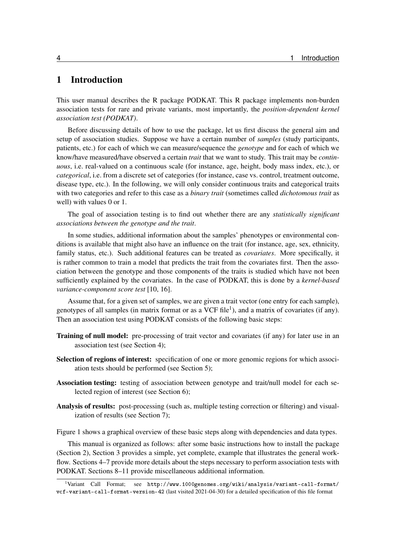# <span id="page-3-0"></span>1 Introduction

This user manual describes the R package PODKAT. This R package implements non-burden association tests for rare and private variants, most importantly, the *position-dependent kernel association test (PODKAT)*.

Before discussing details of how to use the package, let us first discuss the general aim and setup of association studies. Suppose we have a certain number of *samples* (study participants, patients, etc.) for each of which we can measure/sequence the *genotype* and for each of which we know/have measured/have observed a certain *trait* that we want to study. This trait may be *continuous*, i.e. real-valued on a continuous scale (for instance, age, height, body mass index, etc.), or *categorical*, i.e. from a discrete set of categories (for instance, case vs. control, treatment outcome, disease type, etc.). In the following, we will only consider continuous traits and categorical traits with two categories and refer to this case as a *binary trait* (sometimes called *dichotomous trait* as well) with values 0 or 1.

The goal of association testing is to find out whether there are any *statistically significant associations between the genotype and the trait*.

In some studies, additional information about the samples' phenotypes or environmental conditions is available that might also have an influence on the trait (for instance, age, sex, ethnicity, family status, etc.). Such additional features can be treated as *covariates*. More specifically, it is rather common to train a model that predicts the trait from the covariates first. Then the association between the genotype and those components of the traits is studied which have not been sufficiently explained by the covariates. In the case of PODKAT, this is done by a *kernel-based variance-component score test* [\[10,](#page-77-0) [16\]](#page-78-0).

Assume that, for a given set of samples, we are given a trait vector (one entry for each sample), genotypes of all samples (in matrix format or as a VCF file<sup>[1](#page-3-1)</sup>), and a matrix of covariates (if any). Then an association test using PODKAT consists of the following basic steps:

- Training of null model: pre-processing of trait vector and covariates (if any) for later use in an association test (see Section [4\)](#page-11-0);
- Selection of regions of interest: specification of one or more genomic regions for which associ-ation tests should be performed (see Section [5\)](#page-17-0);
- Association testing: testing of association between genotype and trait/null model for each selected region of interest (see Section [6\)](#page-31-0);
- Analysis of results: post-processing (such as, multiple testing correction or filtering) and visualization of results (see Section [7\)](#page-36-0);

Figure [1](#page-4-0) shows a graphical overview of these basic steps along with dependencies and data types.

This manual is organized as follows: after some basic instructions how to install the package (Section [2\)](#page-5-0), Section [3](#page-5-1) provides a simple, yet complete, example that illustrates the general workflow. Sections [4–](#page-11-0)[7](#page-36-0) provide more details about the steps necessary to perform association tests with PODKAT. Sections [8](#page-53-0)[–11](#page-76-1) provide miscellaneous additional information.

<span id="page-3-1"></span><sup>1</sup>Variant Call Format; see [http://www.1000genomes.org/wiki/analysis/variant-call-format/](http://www.1000genomes.org/wiki/analysis/variant-call-format/vcf-variant-call-format-version-42) [vcf-variant-call-format-version-42](http://www.1000genomes.org/wiki/analysis/variant-call-format/vcf-variant-call-format-version-42) (last visited 2021-04-30) for a detailed specification of this file format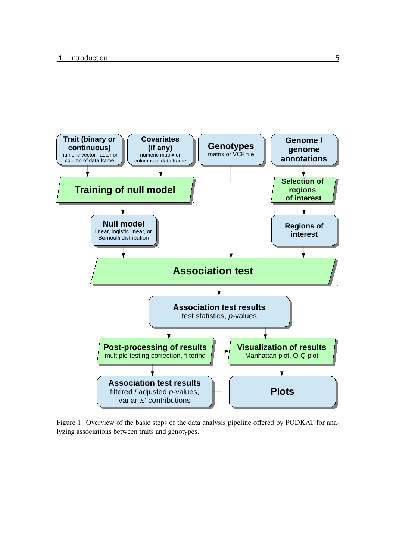

<span id="page-4-0"></span>Figure 1: Overview of the basic steps of the data analysis pipeline offered by PODKAT for analyzing associations between traits and genotypes.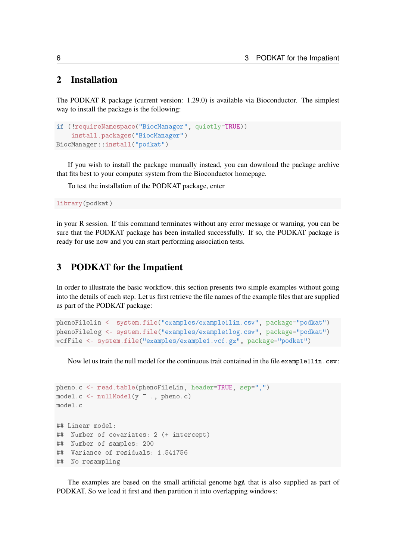# <span id="page-5-0"></span>2 Installation

The PODKAT R package (current version: 1.29.0) is available via Bioconductor. The simplest way to install the package is the following:

```
if (!requireNamespace("BiocManager", quietly=TRUE))
    install.packages("BiocManager")
BiocManager::install("podkat")
```
If you wish to install the package manually instead, you can download the package archive that fits best to your computer system from the Bioconductor homepage.

To test the installation of the PODKAT package, enter

library(podkat)

in your R session. If this command terminates without any error message or warning, you can be sure that the PODKAT package has been installed successfully. If so, the PODKAT package is ready for use now and you can start performing association tests.

# <span id="page-5-1"></span>3 PODKAT for the Impatient

In order to illustrate the basic workflow, this section presents two simple examples without going into the details of each step. Let us first retrieve the file names of the example files that are supplied as part of the PODKAT package:

```
phenoFileLin <- system.file("examples/example1lin.csv", package="podkat")
phenoFileLog <- system.file("examples/example1log.csv", package="podkat")
vcfFile <- system.file("examples/example1.vcf.gz", package="podkat")
```
Now let us train the null model for the continuous trait contained in the file example1lin.csv:

```
pheno.c <- read.table(phenoFileLin, header=TRUE, sep=",")
model.c <- nullModel(y ~ ., pheno.c)
model.c
## Linear model:
## Number of covariates: 2 (+ intercept)
## Number of samples: 200
## Variance of residuals: 1.541756
## No resampling
```
The examples are based on the small artificial genome hgA that is also supplied as part of PODKAT. So we load it first and then partition it into overlapping windows: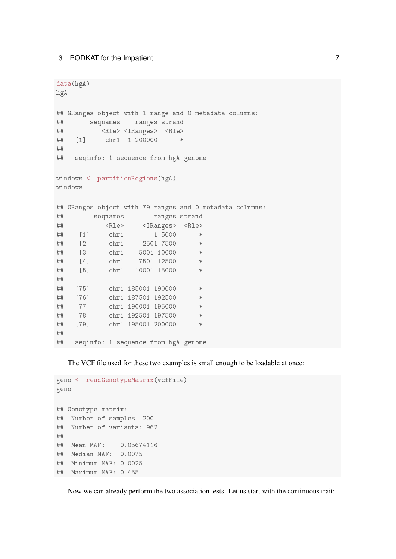```
data(hgA)
hgA
## GRanges object with 1 range and 0 metadata columns:
## seqnames ranges strand
## <Rle> <IRanges> <Rle>
## [1] chr1 1-200000 *
## -------
## seqinfo: 1 sequence from hgA genome
windows <- partitionRegions(hgA)
windows
## GRanges object with 79 ranges and 0 metadata columns:
## seqnames ranges strand
## <Rle> <IRanges> <Rle>
## [1] chr1 1-5000 *
## [2] chr1 2501-7500 *
## [3] chr1 5001-10000 *
## [4] chr1 7501-12500 *
## [5] chr1 10001-15000 *
## ... ... ... ...
## [75] chr1 185001-190000 *
## [76] chr1 187501-192500 *
## [77] chr1 190001-195000 *
## [78] chr1 192501-197500 *
## [79] chr1 195001-200000 *
## -------
## seqinfo: 1 sequence from hgA genome
```
The VCF file used for these two examples is small enough to be loadable at once:

```
geno <- readGenotypeMatrix(vcfFile)
geno
## Genotype matrix:
## Number of samples: 200
## Number of variants: 962
##
## Mean MAF: 0.05674116
## Median MAF: 0.0075
## Minimum MAF: 0.0025
## Maximum MAF: 0.455
```
Now we can already perform the two association tests. Let us start with the continuous trait: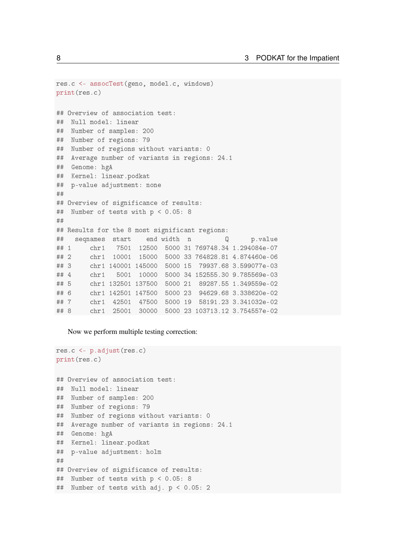```
res.c <- assocTest(geno, model.c, windows)
print(res.c)
## Overview of association test:
## Null model: linear
## Number of samples: 200
## Number of regions: 79
## Number of regions without variants: 0
## Average number of variants in regions: 24.1
## Genome: hgA
## Kernel: linear.podkat
## p-value adjustment: none
##
## Overview of significance of results:
## Number of tests with p < 0.05: 8
##
## Results for the 8 most significant regions:
## seqnames start end width n Q p.value
## 1 chr1 7501 12500 5000 31 769748.34 1.294084e-07
## 2 chr1 10001 15000 5000 33 764828.81 4.874460e-06
## 3 chr1 140001 145000 5000 15 79937.68 3.599077e-03
## 4 chr1 5001 10000 5000 34 152555.30 9.785569e-03
## 5 chr1 132501 137500 5000 21 89287.55 1.349559e-02
## 6 chr1 142501 147500 5000 23 94629.68 3.338620e-02
## 7 chr1 42501 47500 5000 19 58191.23 3.341032e-02
## 8 chr1 25001 30000 5000 23 103713.12 3.754557e-02
```
#### Now we perform multiple testing correction:

```
res.c <- p.adjust(res.c)
print(res.c)
## Overview of association test:
## Null model: linear
## Number of samples: 200
## Number of regions: 79
## Number of regions without variants: 0
## Average number of variants in regions: 24.1
## Genome: hgA
## Kernel: linear.podkat
## p-value adjustment: holm
##
## Overview of significance of results:
## Number of tests with p < 0.05: 8
## Number of tests with adj. p < 0.05: 2
```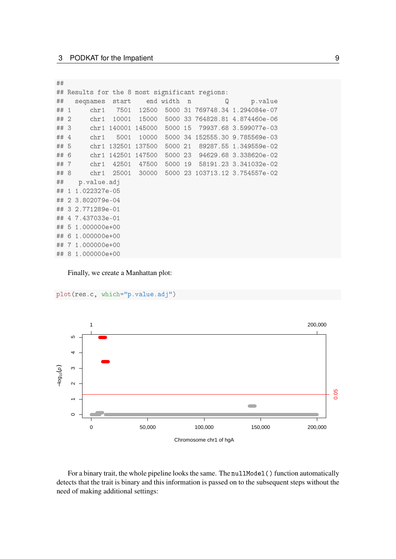| ##   |                 |                   |      |           |  |        |           |             |    |                                             |                                |  |
|------|-----------------|-------------------|------|-----------|--|--------|-----------|-------------|----|---------------------------------------------|--------------------------------|--|
| ##   |                 |                   |      |           |  |        |           |             |    | Results for the 8 most significant regions: |                                |  |
| ##   |                 | seqnames start    |      |           |  |        | end width | $\mathbf n$ | Q  | p.value                                     |                                |  |
| ## 1 |                 |                   |      | chr1 7501 |  | 12500  |           |             |    |                                             | 5000 31 769748.34 1.294084e-07 |  |
| ##2  |                 |                   | chr1 | 10001     |  | 15000  |           |             |    |                                             | 5000 33 764828.81 4.874460e-06 |  |
| ## 3 |                 |                   | chr1 | 140001    |  | 145000 |           | 5000        | 15 |                                             | 79937.68 3.599077e-03          |  |
| ## 4 |                 |                   | chr1 | 5001      |  | 10000  |           | 5000 34     |    |                                             | 152555.30 9.785569e-03         |  |
| ## 5 |                 |                   | chr1 | 132501    |  | 137500 |           | 5000        |    |                                             | 21 89287.55 1.349559e-02       |  |
| ## 6 |                 |                   | chr1 | 142501    |  | 147500 |           |             |    |                                             | 5000 23 94629.68 3.338620e-02  |  |
| ##7  |                 |                   | chr1 | 42501     |  | 47500  |           | 5000        |    |                                             | 19 58191.23 3.341032e-02       |  |
| ## 8 |                 |                   | chr1 | 25001     |  | 30000  |           |             |    |                                             | 5000 23 103713.12 3.754557e-02 |  |
| ##   |                 | p.value.adj       |      |           |  |        |           |             |    |                                             |                                |  |
| ##   |                 | 1 1.022327e-05    |      |           |  |        |           |             |    |                                             |                                |  |
| ##   |                 | 2 3.802079e-04    |      |           |  |        |           |             |    |                                             |                                |  |
| ##   |                 | 3 2.771289e-01    |      |           |  |        |           |             |    |                                             |                                |  |
| ##   |                 | 4 7.437033e-01    |      |           |  |        |           |             |    |                                             |                                |  |
| ##   |                 | 5 1.000000e+00    |      |           |  |        |           |             |    |                                             |                                |  |
| ##   | 6               | 1.000000e+00      |      |           |  |        |           |             |    |                                             |                                |  |
| ##   | $7\phantom{.0}$ | 1.000000e+00      |      |           |  |        |           |             |    |                                             |                                |  |
|      |                 | ## 8 1,000000e+00 |      |           |  |        |           |             |    |                                             |                                |  |

Finally, we create a Manhattan plot:

```
plot(res.c, which="p.value.adj")
```


For a binary trait, the whole pipeline looks the same. The nullModel () function automatically detects that the trait is binary and this information is passed on to the subsequent steps without the need of making additional settings: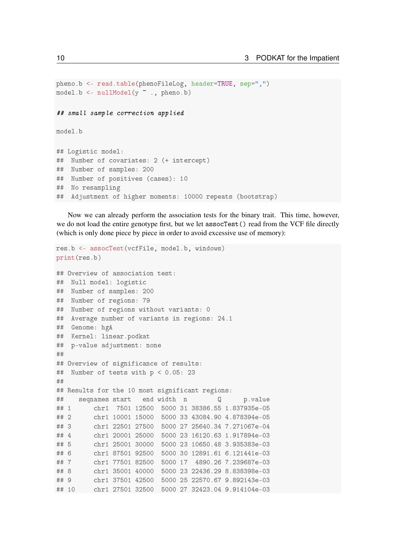```
pheno.b <- read.table(phenoFileLog, header=TRUE, sep=",")
model.b <- nullModel(y ~ ., pheno.b)
## small sample correction applied
model.b
## Logistic model:
## Number of covariates: 2 (+ intercept)
## Number of samples: 200
## Number of positives (cases): 10
## No resampling
## Adjustment of higher moments: 10000 repeats (bootstrap)
```
Now we can already perform the association tests for the binary trait. This time, however, we do not load the entire genotype first, but we let assocTest() read from the VCF file directly (which is only done piece by piece in order to avoid excessive use of memory):

```
res.b <- assocTest(vcfFile, model.b, windows)
print(res.b)
## Overview of association test:
## Null model: logistic
## Number of samples: 200
## Number of regions: 79
## Number of regions without variants: 0
## Average number of variants in regions: 24.1
## Genome: hgA
## Kernel: linear.podkat
## p-value adjustment: none
##
## Overview of significance of results:
## Number of tests with p < 0.05: 23
##
## Results for the 10 most significant regions:
## seqnames start end width n Q p.value
## 1 chr1 7501 12500 5000 31 38386.55 1.837935e-05
## 2 chr1 10001 15000 5000 33 43084.90 4.878394e-05
## 3 chr1 22501 27500 5000 27 25640.34 7.271067e-04
## 4 chr1 20001 25000 5000 23 16120.63 1.917894e-03
## 5 chr1 25001 30000 5000 23 10650.48 3.935383e-03
## 6 chr1 87501 92500 5000 30 12891.61 6.121441e-03
## 7 chr1 77501 82500 5000 17 4890.26 7.239687e-03
## 8 chr1 35001 40000 5000 23 22436.29 8.838398e-03
## 9 chr1 37501 42500 5000 25 22570.67 9.892143e-03
## 10 chr1 27501 32500 5000 27 32423.04 9.914104e-03
```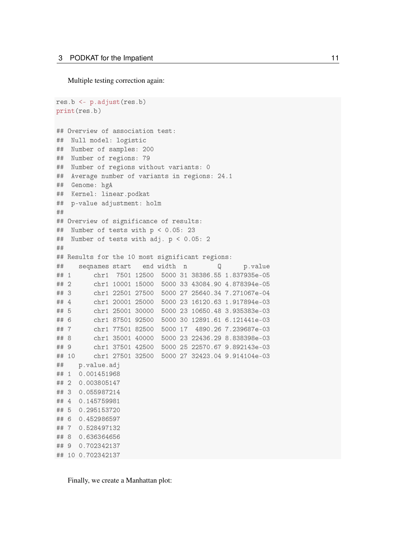Multiple testing correction again:

```
res.b <- p.adjust(res.b)
print(res.b)
## Overview of association test:
## Null model: logistic
## Number of samples: 200
## Number of regions: 79
## Number of regions without variants: 0
## Average number of variants in regions: 24.1
## Genome: hgA
## Kernel: linear.podkat
## p-value adjustment: holm
##
## Overview of significance of results:
## Number of tests with p < 0.05: 23
## Number of tests with adj. p < 0.05: 2
##
## Results for the 10 most significant regions:
## seqnames start end width n Q p.value
## 1 chr1 7501 12500 5000 31 38386.55 1.837935e-05
## 2 chr1 10001 15000 5000 33 43084.90 4.878394e-05
## 3 chr1 22501 27500 5000 27 25640.34 7.271067e-04
## 4 chr1 20001 25000 5000 23 16120.63 1.917894e-03
## 5 chr1 25001 30000 5000 23 10650.48 3.935383e-03
## 6 chr1 87501 92500 5000 30 12891.61 6.121441e-03
## 7 chr1 77501 82500 5000 17 4890.26 7.239687e-03
## 8 chr1 35001 40000 5000 23 22436.29 8.838398e-03
## 9 chr1 37501 42500 5000 25 22570.67 9.892143e-03
## 10 chr1 27501 32500 5000 27 32423.04 9.914104e-03
## p.value.adj
## 1 0.001451968
## 2 0.003805147
## 3 0.055987214
## 4 0.145759981
## 5 0.295153720
## 6 0.452986597
## 7 0.528497132
## 8 0.636364656
## 9 0.702342137
## 10 0.702342137
```
Finally, we create a Manhattan plot: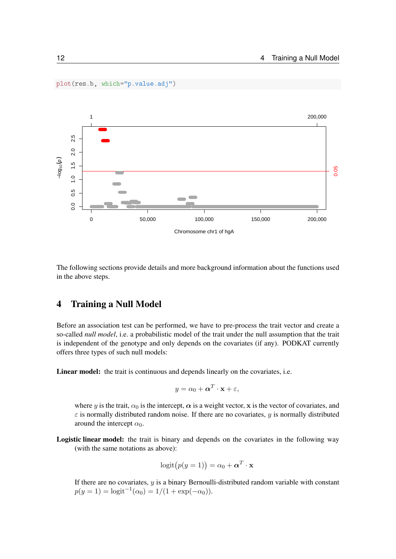

The following sections provide details and more background information about the functions used in the above steps.

# <span id="page-11-0"></span>4 Training a Null Model

plot(res.b, which="p.value.adj")

Before an association test can be performed, we have to pre-process the trait vector and create a so-called *null model*, i.e. a probabilistic model of the trait under the null assumption that the trait is independent of the genotype and only depends on the covariates (if any). PODKAT currently offers three types of such null models:

Linear model: the trait is continuous and depends linearly on the covariates, *i.e.* 

$$
y = \alpha_0 + \boldsymbol{\alpha}^T \cdot \mathbf{x} + \varepsilon,
$$

where y is the trait,  $\alpha_0$  is the intercept,  $\alpha$  is a weight vector, x is the vector of covariates, and  $\varepsilon$  is normally distributed random noise. If there are no covariates,  $\psi$  is normally distributed around the intercept  $\alpha_0$ .

Logistic linear model: the trait is binary and depends on the covariates in the following way (with the same notations as above):

$$
logit(p(y = 1)) = \alpha_0 + \boldsymbol{\alpha}^T \cdot \mathbf{x}
$$

If there are no covariates, y is a binary Bernoulli-distributed random variable with constant  $p(y = 1) = logit^{-1}(\alpha_0) = 1/(1 + exp(-\alpha_0)).$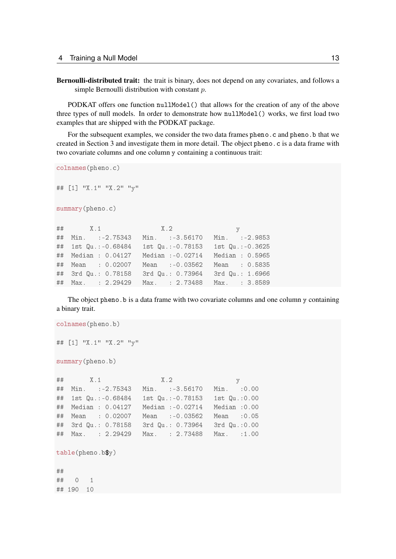Bernoulli-distributed trait: the trait is binary, does not depend on any covariates, and follows a simple Bernoulli distribution with constant p.

PODKAT offers one function nullModel() that allows for the creation of any of the above three types of null models. In order to demonstrate how nullModel() works, we first load two examples that are shipped with the PODKAT package.

For the subsequent examples, we consider the two data frames pheno.c and pheno.b that we created in Section [3](#page-5-1) and investigate them in more detail. The object pheno.c is a data frame with two covariate columns and one column y containing a continuous trait:

```
colnames(pheno.c)
## [1] "X.1" "X.2" "y"
summary(pheno.c)
## X.1 X.2 y
## Min. :-2.75343 Min. :-3.56170 Min. :-2.9853
## 1st Qu.:-0.68484 1st Qu.:-0.78153 1st Qu.:-0.3625
## Median : 0.04127 Median :-0.02714 Median : 0.5965
## Mean : 0.02007 Mean :-0.03562 Mean : 0.5835
## 3rd Qu.: 0.78158 3rd Qu.: 0.73964 3rd Qu.: 1.6966
## Max. : 2.29429 Max. : 2.73488 Max. : 3.8589
```
The object pheno. b is a data frame with two covariate columns and one column y containing a binary trait.

```
colnames(pheno.b)
## [1] "X.1" "X.2" "y"
summary(pheno.b)
## X.1 X.2 y
## Min. :-2.75343 Min. :-3.56170 Min. :0.00
## 1st Qu.:-0.68484 1st Qu.:-0.78153 1st Qu.:0.00
## Median : 0.04127 Median :-0.02714 Median :0.00
## Mean : 0.02007 Mean :-0.03562 Mean :0.05
## 3rd Qu.: 0.78158 3rd Qu.: 0.73964 3rd Qu.:0.00
## Max. : 2.29429 Max. : 2.73488 Max. :1.00
table(pheno.b$y)
##
## 0 1
## 190 10
```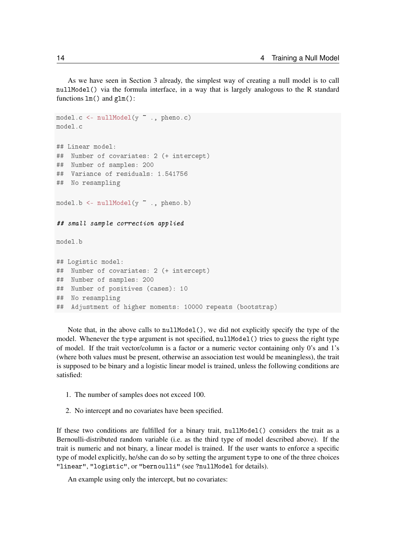As we have seen in Section [3](#page-5-1) already, the simplest way of creating a null model is to call nullModel() via the formula interface, in a way that is largely analogous to the R standard functions lm() and glm():

```
model.c <- nullModel(y ~ ., pheno.c)
model.c
## Linear model:
## Number of covariates: 2 (+ intercept)
## Number of samples: 200
## Variance of residuals: 1.541756
## No resampling
model.b <- nullModel(y ~ ., pheno.b)
## small sample correction applied
model.b
## Logistic model:
## Number of covariates: 2 (+ intercept)
## Number of samples: 200
## Number of positives (cases): 10
## No resampling
## Adjustment of higher moments: 10000 repeats (bootstrap)
```
Note that, in the above calls to nullModel(), we did not explicitly specify the type of the model. Whenever the type argument is not specified, nullModel() tries to guess the right type of model. If the trait vector/column is a factor or a numeric vector containing only 0's and 1's (where both values must be present, otherwise an association test would be meaningless), the trait is supposed to be binary and a logistic linear model is trained, unless the following conditions are satisfied:

- 1. The number of samples does not exceed 100.
- 2. No intercept and no covariates have been specified.

If these two conditions are fulfilled for a binary trait, nullModel() considers the trait as a Bernoulli-distributed random variable (i.e. as the third type of model described above). If the trait is numeric and not binary, a linear model is trained. If the user wants to enforce a specific type of model explicitly, he/she can do so by setting the argument type to one of the three choices "linear", "logistic", or "bernoulli" (see ?nullModel for details).

An example using only the intercept, but no covariates: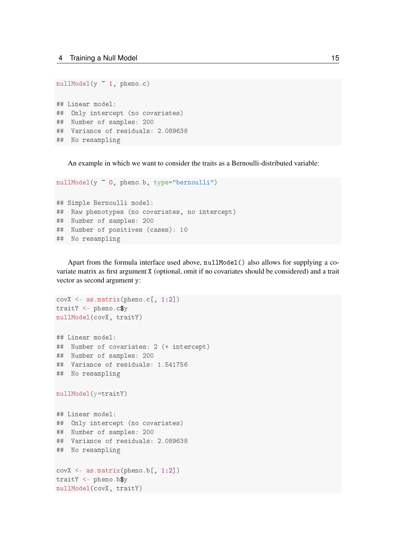```
nullModel(y ~ 1, pheno.c)
```

```
## Linear model:
## Only intercept (no covariates)
## Number of samples: 200
## Variance of residuals: 2.089638
## No resampling
```
An example in which we want to consider the traits as a Bernoulli-distributed variable:

```
nullModel(y ~ 0, pheno.b, type="bernoulli")
## Simple Bernoulli model:
## Raw phenotypes (no covariates, no intercept)
## Number of samples: 200
## Number of positives (cases): 10
## No resampling
```
Apart from the formula interface used above, nullModel() also allows for supplying a covariate matrix as first argument X (optional, omit if no covariates should be considered) and a trait vector as second argument y:

```
covX \leq -as.matrix(pheno.c[, 1:2])traitY <- pheno.c$y
nullModel(covX, traitY)
## Linear model:
## Number of covariates: 2 (+ intercept)
## Number of samples: 200
## Variance of residuals: 1.541756
## No resampling
nullModel(y=traitY)
## Linear model:
## Only intercept (no covariates)
## Number of samples: 200
## Variance of residuals: 2.089638
## No resampling
covX \leq -as.matrix(pheno.b[, 1:2])traitY <- pheno.b$y
nullModel(covX, traitY)
```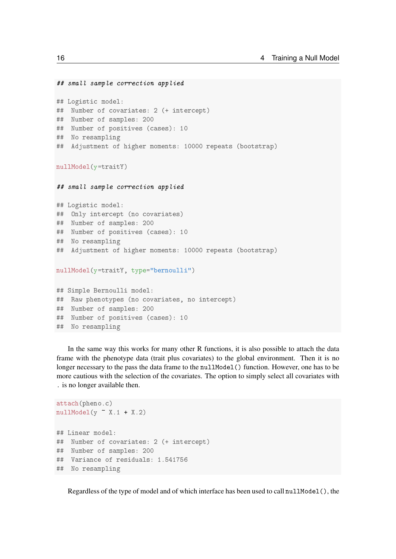```
## small sample correction applied
## Logistic model:
## Number of covariates: 2 (+ intercept)
## Number of samples: 200
## Number of positives (cases): 10
## No resampling
## Adjustment of higher moments: 10000 repeats (bootstrap)
nullModel(y=traitY)
## small sample correction applied
## Logistic model:
## Only intercept (no covariates)
## Number of samples: 200
## Number of positives (cases): 10
## No resampling
## Adjustment of higher moments: 10000 repeats (bootstrap)
nullModel(y=traitY, type="bernoulli")
## Simple Bernoulli model:
## Raw phenotypes (no covariates, no intercept)
## Number of samples: 200
## Number of positives (cases): 10
## No resampling
```
In the same way this works for many other R functions, it is also possible to attach the data frame with the phenotype data (trait plus covariates) to the global environment. Then it is no longer necessary to the pass the data frame to the nullModel() function. However, one has to be more cautious with the selection of the covariates. The option to simply select all covariates with . is no longer available then.

```
attach(pheno.c)
nullModel(y \sim X.1 + X.2)## Linear model:
## Number of covariates: 2 (+ intercept)
## Number of samples: 200
## Variance of residuals: 1.541756
## No resampling
```
Regardless of the type of model and of which interface has been used to call nullModel(), the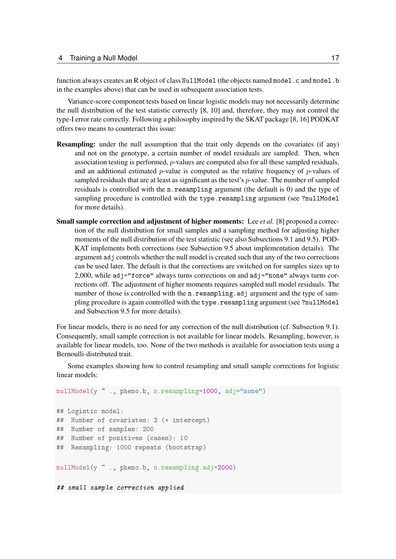function always creates an R object of class NullModel (the objects named model.c and model.b in the examples above) that can be used in subsequent association tests.

Variance-score component tests based on linear logistic models may not necessarily determine the null distribution of the test statistic correctly [\[8,](#page-77-1) [10\]](#page-77-0) and, therefore, they may not control the type-I error rate correctly. Following a philosophy inspired by the SKAT package [\[8,](#page-77-1) [16\]](#page-78-0) PODKAT offers two means to counteract this issue:

- **Resampling:** under the null assumption that the trait only depends on the covariates (if any) and not on the genotype, a certain number of model residuals are sampled. Then, when association testing is performed, p-values are computed also for all these sampled residuals, and an additional estimated p-value is computed as the relative frequency of p-values of sampled residuals that are at least as significant as the test's *p*-value. The number of sampled residuals is controlled with the n.resampling argument (the default is 0) and the type of sampling procedure is controlled with the type.resampling argument (see ?nullModel for more details).
- Small sample correction and adjustment of higher moments: Lee *et al.* [\[8\]](#page-77-1) proposed a correction of the null distribution for small samples and a sampling method for adjusting higher moments of the null distribution of the test statistic (see also Subsections [9.1](#page-64-1) and [9.5\)](#page-73-0). POD-KAT implements both corrections (see Subsection [9.5](#page-73-0) about implementation details). The argument adj controls whether the null model is created such that any of the two corrections can be used later. The default is that the corrections are switched on for samples sizes up to 2,000, while adj="force" always turns corrections on and adj="none" always turns corrections off. The adjustment of higher moments requires sampled null model residuals. The number of those is controlled with the n.resampling.adj argument and the type of sampling procedure is again controlled with the type.resampling argument (see ?nullModel and Subsection [9.5](#page-73-0) for more details).

For linear models, there is no need for any correction of the null distribution (cf. Subsection [9.1\)](#page-64-1). Consequently, small sample correction is not available for linear models. Resampling, however, is available for linear models, too. None of the two methods is available for association tests using a Bernoulli-distributed trait.

Some examples showing how to control resampling and small sample corrections for logistic linear models:

```
nullModel(y ~ ., pheno.b, n.resampling=1000, adj="none")
## Logistic model:
## Number of covariates: 2 (+ intercept)
## Number of samples: 200
## Number of positives (cases): 10
## Resampling: 1000 repeats (bootstrap)
nullModel(y ~ ., pheno.b, n.resampling.adj=2000)
## small sample correction applied
```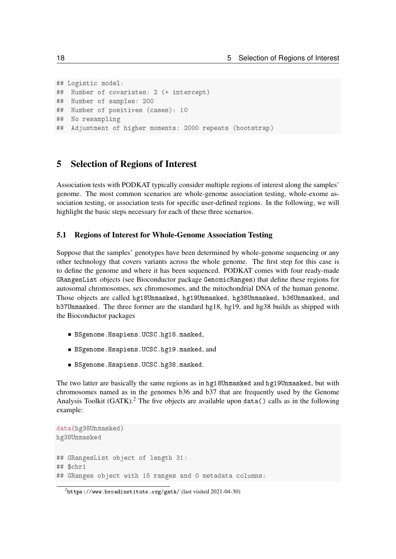```
## Logistic model:
## Number of covariates: 2 (+ intercept)
## Number of samples: 200
## Number of positives (cases): 10
## No resampling
## Adjustment of higher moments: 2000 repeats (bootstrap)
```
# <span id="page-17-0"></span>5 Selection of Regions of Interest

Association tests with PODKAT typically consider multiple regions of interest along the samples' genome. The most common scenarios are whole-genome association testing, whole-exome association testing, or association tests for specific user-defined regions. In the following, we will highlight the basic steps necessary for each of these three scenarios.

#### <span id="page-17-1"></span>5.1 Regions of Interest for Whole-Genome Association Testing

Suppose that the samples' genotypes have been determined by whole-genome sequencing or any other technology that covers variants across the whole genome. The first step for this case is to define the genome and where it has been sequenced. PODKAT comes with four ready-made GRangesList objects (see Bioconductor package GenomicRanges) that define these regions for autosomal chromosomes, sex chromosomes, and the mitochondrial DNA of the human genome. Those objects are called hg18Unmasked, hg19Unmasked, hg38Unmasked, b36Unmasked, and b37Unmasked. The three former are the standard hg18, hg19, and hg38 builds as shipped with the Bioconductor packages

- BSgenome.Hsapiens.UCSC.hg18.masked,
- BSgenome.Hsapiens.UCSC.hg19.masked, and
- BSgenome.Hsapiens.UCSC.hg38.masked.

The two latter are basically the same regions as in hg18Unmasked and hg19Unmasked, but with chromosomes named as in the genomes b36 and b37 that are frequently used by the Genome Analysis Toolkit (GATK).<sup>[2](#page-17-2)</sup> The five objects are available upon data() calls as in the following example:

```
data(hg38Unmasked)
hg38Unmasked
## GRangesList object of length 31:
## $chr1
## GRanges object with 15 ranges and 0 metadata columns:
```
#### <span id="page-17-2"></span> $^2$ <https://www.broadinstitute.org/gatk/> (last visited 2021-04-30)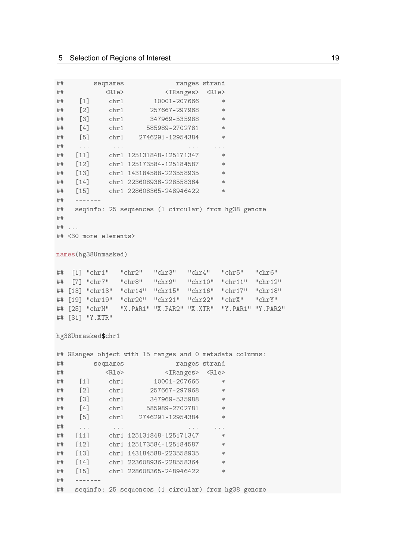| ## |                                                          | seqnames                |      |                                 |                                       | ranges strand                                     |                                                     |  |
|----|----------------------------------------------------------|-------------------------|------|---------------------------------|---------------------------------------|---------------------------------------------------|-----------------------------------------------------|--|
| ## |                                                          | $<$ Rle $>$             |      |                                 |                                       | <iranges> <rle></rle></iranges>                   |                                                     |  |
| ## | $[1]$                                                    | chr1                    |      | 10001-207666                    |                                       |                                                   | $\ast$                                              |  |
| ## | $[2]$                                                    |                         | chr1 | 257667-297968 *                 |                                       |                                                   |                                                     |  |
| ## | $[3]$                                                    | chr1                    |      | 347969-535988                   |                                       | $*$                                               |                                                     |  |
| ## | [4]                                                      | ${\rm chr} 1$           |      | 585989-2702781                  |                                       |                                                   | $*$                                                 |  |
| ## | [5]                                                      |                         |      | chr1 2746291-12954384           |                                       |                                                   | $\ast$                                              |  |
| ## | $\ddot{\phantom{a}}$                                     | $\sim 100$ km s $^{-1}$ |      |                                 | $\mathbf{a}=\mathbf{a}+\mathbf{a}$ .  | $\sim$ 100 $\pm$ 100 $\pm$                        |                                                     |  |
| ## | $[11]$                                                   |                         |      | chr1 125131848-125171347        |                                       |                                                   | $*$                                                 |  |
| ## | $[12]$                                                   |                         |      | chr1 125173584-125184587        |                                       | $*$                                               |                                                     |  |
| ## | $[13]$                                                   |                         |      | chr1 143184588-223558935        |                                       | $\overline{\phantom{a}}$ $\overline{\phantom{a}}$ |                                                     |  |
| ## | $[14]$ chr1 223608936-228558364                          |                         |      |                                 |                                       |                                                   | $\ast$                                              |  |
| ## | $[15]$ chr1 228608365-248946422                          |                         |      |                                 |                                       |                                                   | $\ast$                                              |  |
| ## | -------                                                  |                         |      |                                 |                                       |                                                   |                                                     |  |
| ## |                                                          |                         |      |                                 |                                       |                                                   | seqinfo: 25 sequences (1 circular) from hg38 genome |  |
| ## |                                                          |                         |      |                                 |                                       |                                                   |                                                     |  |
| ## | $\sim$ $\sim$ $\sim$                                     |                         |      |                                 |                                       |                                                   |                                                     |  |
|    | ## <30 more elements>                                    |                         |      |                                 |                                       |                                                   |                                                     |  |
|    |                                                          |                         |      |                                 |                                       |                                                   |                                                     |  |
|    | names (hg38Unmasked)                                     |                         |      |                                 |                                       |                                                   |                                                     |  |
|    |                                                          |                         |      |                                 |                                       |                                                   |                                                     |  |
|    | ## [1] "chr1" "chr2" "chr3" "chr4" "chr5" "chr6"         |                         |      |                                 |                                       |                                                   |                                                     |  |
| ## | [7] "chr7" "chr8" "chr9" "chr10" "chr11" "chr12"         |                         |      |                                 |                                       |                                                   |                                                     |  |
| ## | [13] "chr13" "chr14" "chr15" "chr16" "chr17" "chr18"     |                         |      |                                 |                                       |                                                   |                                                     |  |
| ## | [19] "chr19" "chr20" "chr21"                             |                         |      |                                 |                                       |                                                   | "chr22" "chrX" "chrY"                               |  |
| ## | [25] "chrM" "X.PAR1" "X.PAR2" "X.XTR" "Y.PAR1" "Y.PAR2"  |                         |      |                                 |                                       |                                                   |                                                     |  |
| ## | $[31]$ "Y.XTR"                                           |                         |      |                                 |                                       |                                                   |                                                     |  |
|    |                                                          |                         |      |                                 |                                       |                                                   |                                                     |  |
|    | hg38Unmasked\$chr1                                       |                         |      |                                 |                                       |                                                   |                                                     |  |
|    |                                                          |                         |      |                                 |                                       |                                                   |                                                     |  |
|    | ## GRanges object with 15 ranges and 0 metadata columns: |                         |      |                                 |                                       |                                                   |                                                     |  |
| ## |                                                          | seqnames                |      |                                 |                                       | ranges strand                                     |                                                     |  |
| ## | $\langle \text{Rle} \rangle$                             |                         |      | <iranges> <rle></rle></iranges> |                                       |                                                   |                                                     |  |
| ## | [1]                                                      | chr1                    |      | 10001-207666                    |                                       |                                                   | $\ast$                                              |  |
| ## | $[2]$                                                    | chr1                    |      | 257667-297968                   |                                       |                                                   | $\ast$                                              |  |
| ## | $[3]$                                                    | chr1                    |      | 347969-535988                   |                                       |                                                   | $\ast$                                              |  |
| ## | [4]                                                      |                         | chr1 | 585989-2702781                  |                                       |                                                   | $\ast$                                              |  |
| ## | [5]                                                      |                         |      | chr1 2746291-12954384           |                                       |                                                   | $\ast$                                              |  |
| ## | $\epsilon \rightarrow -\epsilon$                         | $\sim$ $\sim$ $\sim$    |      |                                 | $\bullet\qquad \bullet\qquad \bullet$ | $\alpha = \alpha = \alpha$                        |                                                     |  |
| ## | $[11]$                                                   |                         |      | chr1 125131848-125171347        |                                       |                                                   | $\ast$                                              |  |
| ## | $[12]$                                                   |                         |      | chr1 125173584-125184587        |                                       |                                                   | $\ast$                                              |  |
| ## | $\lceil 13 \rceil$                                       |                         |      | chr1 143184588-223558935        |                                       |                                                   | $\ast$                                              |  |
| ## | [14]                                                     |                         |      | chr1 223608936-228558364        |                                       |                                                   | $*$                                                 |  |
| ## | $[15]$                                                   |                         |      | chr1 228608365-248946422        |                                       |                                                   | $\ast$                                              |  |
| ## |                                                          |                         |      |                                 |                                       |                                                   |                                                     |  |
| ## |                                                          |                         |      |                                 |                                       |                                                   | seqinfo: 25 sequences (1 circular) from hg38 genome |  |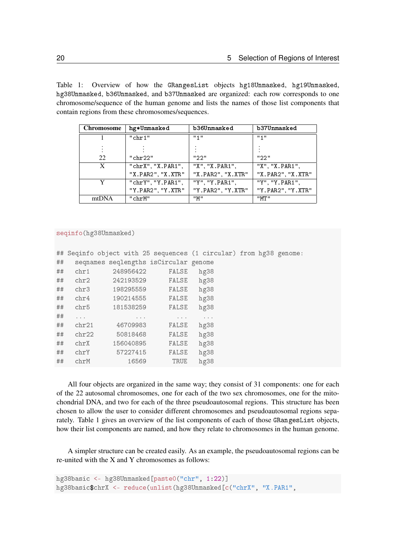<span id="page-19-0"></span>Table 1: Overview of how the GRangesList objects hg18Unmasked, hg19Unmasked, hg38Unmasked, b36Unmasked, and b37Unmasked are organized: each row corresponds to one chromosome/sequence of the human genome and lists the names of those list components that contain regions from these chromosomes/sequences.

| <b>Chromosome</b> | hg*Unmasked       | b36Unmasked       | b37Unmasked       |
|-------------------|-------------------|-------------------|-------------------|
|                   | "chr1"            | "1"               | "1"               |
|                   |                   |                   |                   |
| 22                | "chr22"           | "22"              | "22"              |
| X                 | "chrX", "X.PAR1", | "X", "X.PAR1",    | "X", "X.PAR1",    |
|                   | "X.PAR2", "X.XTR" | "X.PAR2", "X.XTR" | "X.PAR2", "X.XTR" |
| Y                 | "chrY", "Y.PAR1", | "Y", "Y.PAR1",    | "Y", "Y.PAR1",    |
|                   | "Y.PAR2", "Y.XTR" | "Y.PAR2", "Y.XTR" | "Y.PAR2", "Y.XTR" |
| mtDNA             | "chrM"            | $"$ M $"$         | "MT"              |

```
seqinfo(hg38Unmasked)
```

|    |          | ## Seqinfo object with 25 sequences (1 circular) from hg38 genome: |                                                                |                                       |  |  |
|----|----------|--------------------------------------------------------------------|----------------------------------------------------------------|---------------------------------------|--|--|
| ## |          | seqnames seqlengths isCircular genome                              |                                                                |                                       |  |  |
| ## | chr1     | 248956422                                                          | FALSE                                                          | hg38                                  |  |  |
| ## | chr2     | 242193529                                                          | FALSE                                                          | hg38                                  |  |  |
| ## | chr3     | 198295559                                                          | FALSE                                                          | hg38                                  |  |  |
| ## | chr4     | 190214555                                                          | FALSE                                                          | hg38                                  |  |  |
| ## | chr5     | 181538259                                                          | FALSE                                                          | hg38                                  |  |  |
| ## | $\cdots$ | $\bullet\qquad \bullet\qquad \bullet$                              | $\begin{array}{ccccccccccccc} a & & a & & a & & a \end{array}$ | $\bullet\qquad \bullet\qquad \bullet$ |  |  |
| ## | chr21    | 46709983                                                           | FALSE                                                          | hg38                                  |  |  |
| ## | chr22    | 50818468                                                           | FALSE                                                          | hg38                                  |  |  |
| ## | chrX     | 156040895                                                          | FALSE                                                          | hg38                                  |  |  |
| ## | chrY     | 57227415                                                           | FALSE                                                          | hg38                                  |  |  |
| ## | chrM     | 16569                                                              | TRUE                                                           | hg38                                  |  |  |

All four objects are organized in the same way; they consist of 31 components: one for each of the 22 autosomal chromosomes, one for each of the two sex chromosomes, one for the mitochondrial DNA, and two for each of the three pseudoautosomal regions. This structure has been chosen to allow the user to consider different chromosomes and pseudoautosomal regions separately. Table [1](#page-19-0) gives an overview of the list components of each of those GRangesList objects, how their list components are named, and how they relate to chromosomes in the human genome.

A simpler structure can be created easily. As an example, the pseudoautosomal regions can be re-united with the X and Y chromosomes as follows:

```
hg38basic <- hg38Unmasked[paste0("chr", 1:22)]
hg38basic$chrX <- reduce(unlist(hg38Unmasked[c("chrX", "X.PAR1",
```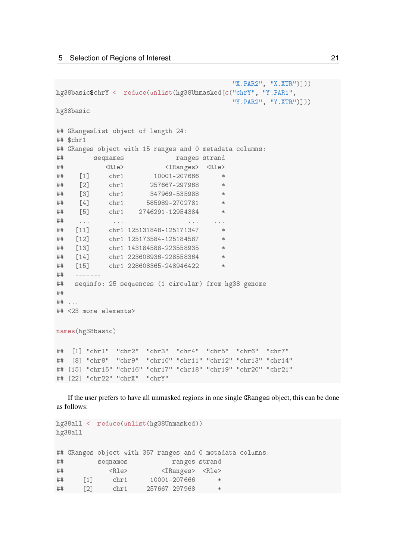```
"X.PAR2", "X.XTR")]))
hg38basic$chrY <- reduce(unlist(hg38Unmasked[c("chrY", "Y.PAR1",
                                      "Y.PAR2", "Y.XTR")]))
hg38basic
## GRangesList object of length 24:
## $chr1
## GRanges object with 15 ranges and 0 metadata columns:
## seqnames ranges strand
## <Rle> <IRanges> <Rle>
## [1] chr1 10001-207666 *
## [2] chr1 257667-297968 *
## [3] chr1 347969-535988 *
## [4] chr1 585989-2702781 *
## [5] chr1 2746291-12954384 *
## ... ... ... ...
## [11] chr1 125131848-125171347 *
## [12] chr1 125173584-125184587 *
## [13] chr1 143184588-223558935 *
## [14] chr1 223608936-228558364 *
## [15] chr1 228608365-248946422 *
## -------
## seqinfo: 25 sequences (1 circular) from hg38 genome
##
## ...
## <23 more elements>
names(hg38basic)
## [1] "chr1" "chr2" "chr3" "chr4" "chr5" "chr6" "chr7"
## [8] "chr8" "chr9" "chr10" "chr11" "chr12" "chr13" "chr14"
## [15] "chr15" "chr16" "chr17" "chr18" "chr19" "chr20" "chr21"
## [22] "chr22" "chrX" "chrY"
```
If the user prefers to have all unmasked regions in one single GRanges object, this can be done as follows:

```
hg38all <- reduce(unlist(hg38Unmasked))
hg38all
## GRanges object with 357 ranges and 0 metadata columns:
## seqnames ranges strand
## <Rle> <IRanges> <Rle>
## [1] chr1 10001-207666 *
## [2] chr1 257667-297968 *
```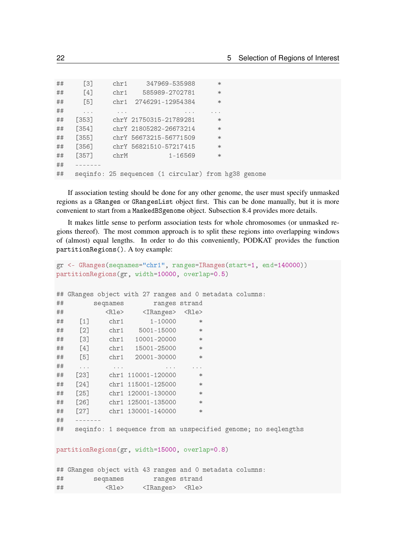| ## | Г31        | chr1     |  | 347969-535988                                       | $\ast$              |  |  |
|----|------------|----------|--|-----------------------------------------------------|---------------------|--|--|
| ## | <b>141</b> | chr1     |  | 585989-2702781                                      | $\ast$              |  |  |
| ## | [5]        | chr1     |  | 2746291-12954384                                    | $\ast$              |  |  |
| ## | $\cdots$   | $\cdots$ |  |                                                     | $\cdot \cdot \cdot$ |  |  |
| ## | [353]      |          |  | chrY 21750315-21789281                              | $\ast$              |  |  |
| ## | [354]      |          |  | chrY 21805282-26673214                              | $\ast$              |  |  |
| ## | [355]      |          |  | chrY 56673215-56771509                              | $\ast$              |  |  |
| ## | [356]      |          |  | chrY 56821510-57217415                              | $\ast$              |  |  |
| ## | [357]      | chrM     |  | 1-16569                                             | $\ast$              |  |  |
| ## |            |          |  |                                                     |                     |  |  |
| ## |            |          |  | seqinfo: 25 sequences (1 circular) from hg38 genome |                     |  |  |

If association testing should be done for any other genome, the user must specify unmasked regions as a GRanges or GRangesList object first. This can be done manually, but it is more convenient to start from a MaskedBSgenome object. Subsection [8.4](#page-58-0) provides more details.

It makes little sense to perform association tests for whole chromosomes (or unmasked regions thereof). The most common approach is to split these regions into overlapping windows of (almost) equal lengths. In order to do this conveniently, PODKAT provides the function partitionRegions(). A toy example:

```
gr <- GRanges(seqnames="chr1", ranges=IRanges(start=1, end=140000))
partitionRegions(gr, width=10000, overlap=0.5)
## GRanges object with 27 ranges and 0 metadata columns:
## seqnames ranges strand
## <Rle> <IRanges> <Rle>
## [1] chr1 1-10000 *
## [2] chr1 5001-15000 *
## [3] chr1 10001-20000 *
## [4] chr1 15001-25000 *
## [5] chr1 20001-30000 *
## ... ... ... ...
## [23] chr1 110001-120000 *
## [24] chr1 115001-125000 *
## [25] chr1 120001-130000 *
## [26] chr1 125001-135000 *
## [27] chr1 130001-140000 *
## -------
## seqinfo: 1 sequence from an unspecified genome; no seqlengths
partitionRegions(gr, width=15000, overlap=0.8)
## GRanges object with 43 ranges and 0 metadata columns:
## seqnames ranges strand
```
## <Rle> <IRanges> <Rle>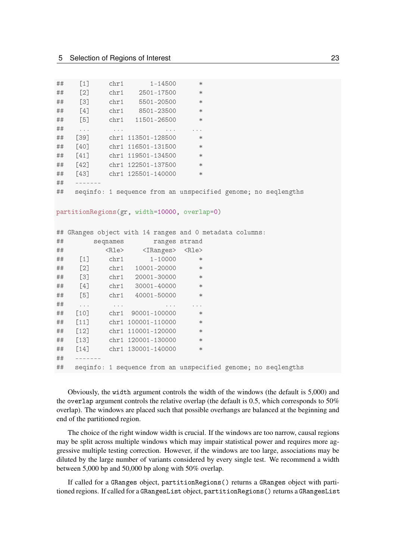| ##       | $[1]$           | chr1 1-14500                                                                                | $*$                                                                                                                   |  |
|----------|-----------------|---------------------------------------------------------------------------------------------|-----------------------------------------------------------------------------------------------------------------------|--|
| ##       |                 | $[2]$ chr1 2501-17500 *                                                                     |                                                                                                                       |  |
| ##       |                 | $[3]$ chr1 5501-20500 *                                                                     |                                                                                                                       |  |
| ##       |                 | $[4]$ chr1 8501-23500 *                                                                     |                                                                                                                       |  |
| ##       |                 | [5] chr1 11501-26500 *                                                                      |                                                                                                                       |  |
| ##       |                 | . The following the contract of the contract $\mathcal{L}^{\text{max}}_{\text{max}}$        | $\mathbf{r}$ , $\mathbf{r}$ , $\mathbf{r}$ , $\mathbf{r}$ , $\mathbf{r}$ , $\mathbf{r}$ , $\mathbf{r}$ , $\mathbf{r}$ |  |
| ##       |                 | [39] chr1 113501-128500 *                                                                   |                                                                                                                       |  |
| ##       |                 | [40] chr1 116501-131500 *                                                                   |                                                                                                                       |  |
| ##       |                 | [41] chr1 119501-134500 *                                                                   |                                                                                                                       |  |
| ##       |                 | $[42]$ chr1 122501-137500 *                                                                 |                                                                                                                       |  |
| ##       |                 | [43] chr1 125501-140000 *                                                                   |                                                                                                                       |  |
| ##       | $- - - - - - -$ |                                                                                             |                                                                                                                       |  |
|          |                 |                                                                                             | ## seqinfo: 1 sequence from an unspecified genome; no seqlengths                                                      |  |
|          |                 |                                                                                             |                                                                                                                       |  |
|          |                 | partitionRegions(gr, width=10000, overlap=0)                                                |                                                                                                                       |  |
|          |                 |                                                                                             |                                                                                                                       |  |
|          |                 |                                                                                             | ## GRanges object with 14 ranges and 0 metadata columns:                                                              |  |
| ##       |                 | ranges strand<br>seqnames                                                                   |                                                                                                                       |  |
| ##       |                 | <rle> <iranges> <rle></rle></iranges></rle>                                                 |                                                                                                                       |  |
| ##       |                 | $[1]$ chr1 1-10000 *                                                                        |                                                                                                                       |  |
| ##       |                 | $[2]$ chr1 10001-20000 *                                                                    |                                                                                                                       |  |
| ##       |                 | [3] chr1 20001-30000 *                                                                      |                                                                                                                       |  |
| ##       |                 | $[4]$ chr1 30001-40000 *                                                                    |                                                                                                                       |  |
| ##       |                 | [5] chr1 40001-50000 *                                                                      |                                                                                                                       |  |
| ##       |                 | , where $\hat{r}$ is a simple polarization of the space of the space of the space $\hat{r}$ |                                                                                                                       |  |
| ##       |                 | $[10]$ chr1 90001-100000 *                                                                  |                                                                                                                       |  |
| ##       |                 | $[11]$ chr1 100001-110000 *                                                                 |                                                                                                                       |  |
| ##       |                 | $[12]$ chr1 110001-120000 *                                                                 |                                                                                                                       |  |
| ##       |                 |                                                                                             |                                                                                                                       |  |
|          |                 |                                                                                             |                                                                                                                       |  |
|          |                 | $[13]$ chr1 120001-130000 *                                                                 |                                                                                                                       |  |
| ##       | $- - - - - - -$ | $[14]$ chr1 130001-140000 *                                                                 |                                                                                                                       |  |
| ##<br>## |                 |                                                                                             | seqinfo: 1 sequence from an unspecified genome; no seqlengths                                                         |  |

Obviously, the width argument controls the width of the windows (the default is 5,000) and the overlap argument controls the relative overlap (the default is 0.5, which corresponds to 50% overlap). The windows are placed such that possible overhangs are balanced at the beginning and end of the partitioned region.

The choice of the right window width is crucial. If the windows are too narrow, causal regions may be split across multiple windows which may impair statistical power and requires more aggressive multiple testing correction. However, if the windows are too large, associations may be diluted by the large number of variants considered by every single test. We recommend a width between 5,000 bp and 50,000 bp along with 50% overlap.

If called for a GRanges object, partitionRegions() returns a GRanges object with partitioned regions. If called for a GRangesList object, partitionRegions() returns a GRangesList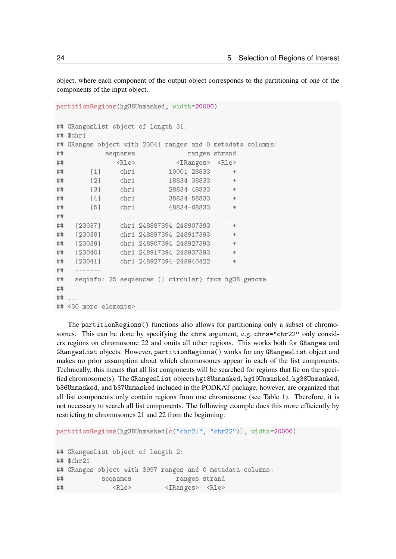object, where each component of the output object corresponds to the partitioning of one of the components of the input object.

```
partitionRegions(hg38Unmasked, width=20000)
## GRangesList object of length 31:
## $chr1
## GRanges object with 23041 ranges and 0 metadata columns:
## seqnames ranges strand
## <Rle> <IRanges> <Rle>
## [1] chr1 10001-28833 *
## [2] chr1 18834-38833 *
## [3] chr1 28834-48833 *
## [4] chr1 38834-58833 *
## [5] chr1 48834-68833 *
## ... ... ... ...
## [23037] chr1 248887394-248907393 *
## [23038] chr1 248897394-248917393 *
## [23039] chr1 248907394-248927393 *
## [23040] chr1 248917394-248937393 *
## [23041] chr1 248927394-248946422 *
## -------
## seqinfo: 25 sequences (1 circular) from hg38 genome
##
## ...
## <30 more elements>
```
The partitionRegions() functions also allows for partitioning only a subset of chromosomes. This can be done by specifying the chrs argument, e.g. chrs="chr22" only considers regions on chromosome 22 and omits all other regions. This works both for GRanges and GRangesList objects. However, partitionRegions() works for any GRangesList object and makes no prior assumption about which chromosomes appear in each of the list components. Technically, this means that all list components will be searched for regions that lie on the specified chromosome(s). The GRangesList objects hg18Unmasked, hg19Unmasked, hg38Unmasked, b36Unmasked, and b37Unmasked included in the PODKAT package, however, are organized that all list components only contain regions from one chromosome (see Table [1\)](#page-19-0). Therefore, it is not necessary to search all list components. The following example does this more efficiently by restricting to chromosomes 21 and 22 from the beginning:

partitionRegions(hg38Unmasked[c("chr21", "chr22")], width=20000)

```
## GRangesList object of length 2:
## $chr21
## GRanges object with 3997 ranges and 0 metadata columns:
## seqnames ranges strand
## <Rle> <IRanges> <Rle>
```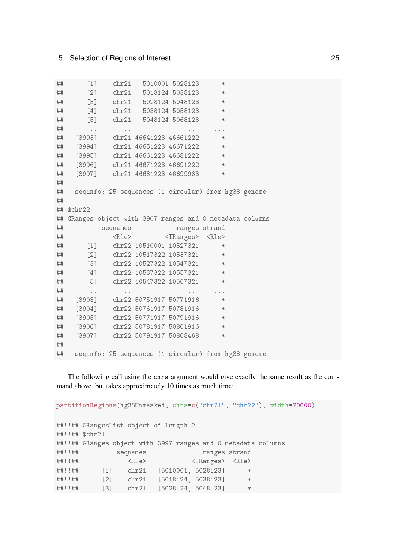```
## [1] chr21 5010001-5028123 *
## [2] chr21 5018124-5038123 *
## [3] chr21 5028124-5048123 *
## [4] chr21 5038124-5058123 *
## [5] chr21 5048124-5068123 *
## ... ... ... ...
## [3993] chr21 46641223-46661222 *
## [3994] chr21 46651223-46671222 *
## [3995] chr21 46661223-46681222 *
## [3996] chr21 46671223-46691222 *
## [3997] chr21 46681223-46699983 *
## -------
## seqinfo: 25 sequences (1 circular) from hg38 genome
##
## $chr22
## GRanges object with 3907 ranges and 0 metadata columns:
## seqnames ranges strand
## <Rle> <IRanges> <Rle>
## [1] chr22 10510001-10527321 *
## [2] chr22 10517322-10537321 *
## [3] chr22 10527322-10547321 *
## [4] chr22 10537322-10557321 *
## [5] chr22 10547322-10567321 *
## ... ... ... ...
## [3903] chr22 50751917-50771916 *
## [3904] chr22 50761917-50781916 *
## [3905] chr22 50771917-50791916 *
## [3906] chr22 50781917-50801916 *
## [3907] chr22 50791917-50808468 *
## -------
## seqinfo: 25 sequences (1 circular) from hg38 genome
```
The following call using the chrs argument would give exactly the same result as the command above, but takes approximately 10 times as much time:

```
partitionRegions(hg38Unmasked, chrs=c("chr21", "chr22"), width=20000)
##!!## GRangesList object of length 2:
##!!## $chr21
##!!## GRanges object with 3997 ranges and 0 metadata columns:
##!!## seqnames ranges strand
##!!## <Rle> <IRanges> <Rle>
##!!## [1] chr21 [5010001, 5028123] *
##!!## [2] chr21 [5018124, 5038123] *
##!!## [3] chr21 [5028124, 5048123]
```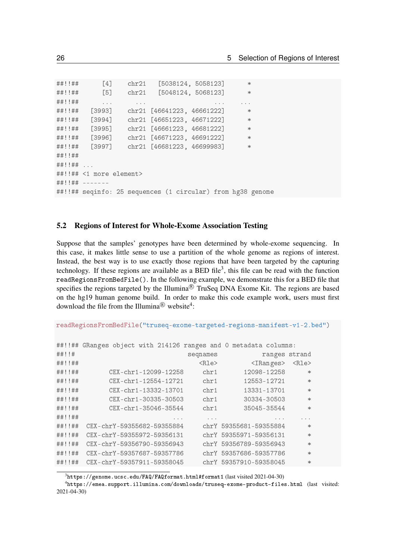```
##!!## [4] chr21 [5038124, 5058123]
##!!## [5] chr21 [5048124, 5068123] *
##!!## ... ... ... ...
##!!## [3993] chr21 [46641223, 46661222] *
##!!## [3994] chr21 [46651223, 46671222] *
##!!## [3995] chr21 [46661223, 46681222] *
##!!## [3996] chr21 [46671223, 46691222] *
##!!## [3997] chr21 [46681223, 46699983] *
##!!##
##!!## ...
##!!## <1 more element>
##!!## -------
##!!## seqinfo: 25 sequences (1 circular) from hg38 genome
```
#### <span id="page-25-0"></span>5.2 Regions of Interest for Whole-Exome Association Testing

Suppose that the samples' genotypes have been determined by whole-exome sequencing. In this case, it makes little sense to use a partition of the whole genome as regions of interest. Instead, the best way is to use exactly those regions that have been targeted by the capturing technology. If these regions are available as a BED file<sup>[3](#page-25-1)</sup>, this file can be read with the function readRegionsFromBedFile(). In the following example, we demonstrate this for a BED file that specifies the regions targeted by the Illumina<sup>®</sup> TruSeq DNA Exome Kit. The regions are based on the hg19 human genome build. In order to make this code example work, users must first download the file from the Illumina<sup>®</sup> website<sup>[4](#page-25-2)</sup>:

```
##!!## GRanges object with 214126 ranges and 0 metadata columns:
##!!# seqnames ranges strand
##!!## <Rle> <IRanges> <Rle>
##!!## CEX-chr1-12099-12258 chr1 12098-12258 *
##!!## CEX-chr1-12554-12721 chr1 12553-12721 *
##!!## CEX-chr1-13332-13701 chr1 13331-13701 *
##!!## CEX-chr1-30335-30503 chr1 30334-30503 *
##!!## CEX-chr1-35046-35544 chr1 35045-35544 *
##!!## ... ... ... ...
##!!## CEX-chrY-59355682-59355884 chrY 59355681-59355884 *
##!!## CEX-chrY-59355972-59356131 chrY 59355971-59356131 *
##!!## CEX-chrY-59356790-59356943 chrY 59356789-59356943 *
##!!## CEX-chrY-59357687-59357786 chrY 59357686-59357786 *
##!!## CEX-chrY-59357911-59358045 chrY 59357910-59358045 *
```
readRegionsFromBedFile("truseq-exome-targeted-regions-manifest-v1-2.bed")

<span id="page-25-2"></span><span id="page-25-1"></span> $^3$ <https://genome.ucsc.edu/FAQ/FAQformat.html#format1> (last visited 2021-04-30)

 $^4$ <https://emea.support.illumina.com/downloads/truseq-exome-product-files.html> ( $\!$ ast vi $\!$ ited: 2021-04-30)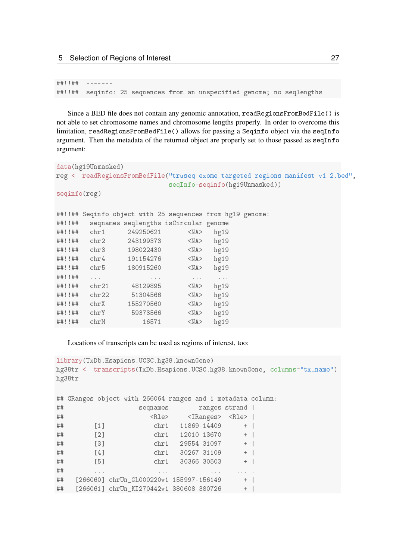##!!## ------- ##!!## seqinfo: 25 sequences from an unspecified genome; no seqlengths

Since a BED file does not contain any genomic annotation, readRegionsFromBedFile() is not able to set chromosome names and chromosome lengths properly. In order to overcome this limitation, readRegionsFromBedFile() allows for passing a Seqinfo object via the seqInfo argument. Then the metadata of the returned object are properly set to those passed as seqInfo argument:

```
data(hg19Unmasked)
reg <- readRegionsFromBedFile("truseq-exome-targeted-regions-manifest-v1-2.bed",
                       seqInfo=seqinfo(hg19Unmasked))
seqinfo(reg)
##!!## Seqinfo object with 25 sequences from hg19 genome:
##!!## seqnames seqlengths isCircular genome
##!!## chr1 249250621 <NA> hg19
##!!## chr2 243199373 <NA> hg19
##!!## chr3 198022430 <NA> hg19
##!!## chr4 191154276 <NA> hg19
##!!## chr5 180915260 <NA> hg19
##!!## ... ... ... ...
##!!## chr21 48129895 <NA> hg19
##!!## chr22 51304566 <NA> hg19
##!!## chrX 155270560 <NA> hg19
##!!## chrY 59373566 <NA> hg19
##!!## chrM 16571 <NA> hg19
```
Locations of transcripts can be used as regions of interest, too:

```
library(TxDb.Hsapiens.UCSC.hg38.knownGene)
hg38tr <- transcripts(TxDb.Hsapiens.UCSC.hg38.knownGene, columns="tx_name")
hg38tr
## GRanges object with 266064 ranges and 1 metadata column:
## seqnames ranges strand |
## <Rle> <IRanges> <Rle> |
## [1] chr1 11869-14409 + |
## [2] chr1 12010-13670 + |
## [3] chr1 29554-31097 + |
## [4] chr1 30267-31109 + |
## [5] chr1 30366-30503 + |
## ... ... ... ... .
## [266060] chrUn_GL000220v1 155997-156149 + |
## [266061] chrUn KI270442v1 380608-380726 +
```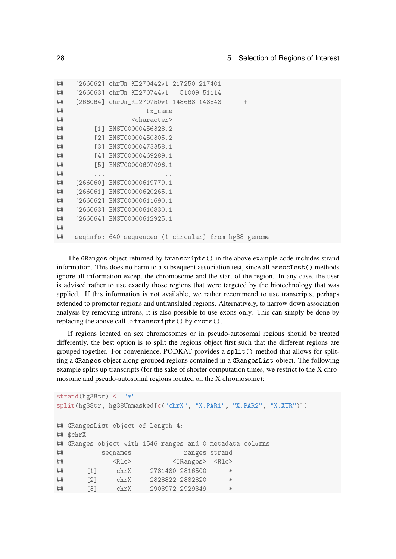| ## |                   | [266062] chrUn KI270442v1 217250-217401<br>$\overline{\phantom{a}}$                        |
|----|-------------------|--------------------------------------------------------------------------------------------|
| ## |                   | [266063] chrUn KI270744v1 51009-51114<br>$ \overline{\phantom{0}}$                         |
| ## |                   | $[266064]$ chrUn_KI270750v1 148668-148843<br>$+$                                           |
| ## |                   | tx name                                                                                    |
| ## |                   | <character></character>                                                                    |
| ## | 1                 | ENST00000456328.2                                                                          |
| ## | $\lceil 2 \rceil$ | ENST00000450305.2                                                                          |
| ## |                   | [3] ENST00000473358.1                                                                      |
| ## |                   | [4] ENST00000469289.1                                                                      |
| ## |                   | [5] ENST00000607096.1                                                                      |
| ## | $\cdots$          | $\begin{array}{ccccccccccccc} \bullet & \bullet & \bullet & \bullet & \bullet \end{array}$ |
| ## |                   | [266060] ENST00000619779.1                                                                 |
| ## |                   | [266061] ENST00000620265.1                                                                 |
| ## |                   | [266062] ENST00000611690.1                                                                 |
| ## |                   | [266063] ENST00000616830.1                                                                 |
| ## |                   | [266064] ENST00000612925.1                                                                 |
| ## |                   |                                                                                            |
| ## |                   | seqinfo: 640 sequences (1 circular) from hg38 genome                                       |

The GRanges object returned by transcripts() in the above example code includes strand information. This does no harm to a subsequent association test, since all assocTest() methods ignore all information except the chromosome and the start of the region. In any case, the user is advised rather to use exactly those regions that were targeted by the biotechnology that was applied. If this information is not available, we rather recommend to use transcripts, perhaps extended to promotor regions and untranslated regions. Alternatively, to narrow down association analysis by removing introns, it is also possible to use exons only. This can simply be done by replacing the above call to transcripts() by exons().

If regions located on sex chromosomes or in pseudo-autosomal regions should be treated differently, the best option is to split the regions object first such that the different regions are grouped together. For convenience, PODKAT provides a split() method that allows for splitting a GRanges object along grouped regions contained in a GRangesList object. The following example splits up transcripts (for the sake of shorter computation times, we restrict to the X chromosome and pseudo-autosomal regions located on the X chromosome):

```
strand(hg38tr) <- "*"
split(hg38tr, hg38Unmasked[c("chrX", "X.PAR1", "X.PAR2", "X.XTR")])
## GRangesList object of length 4:
## $chrX
## GRanges object with 1546 ranges and 0 metadata columns:
## seqnames ranges strand
## <Rle> <IRanges> <Rle>
## [1] chrX 2781480-2816500 *
## [2] chrX 2828822-2882820 *
## [3] chrX 2903972-2929349 *
```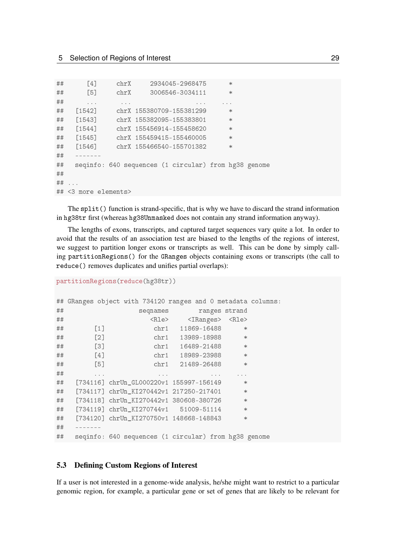```
## [4] chrX 2934045-2968475 *
## [5] chrX 3006546-3034111 *
## ... ... ... ...
## [1542] chrX 155380709-155381299 *
## [1543] chrX 155382095-155383801 *
## [1544] chrX 155456914-155458620 *
## [1545] chrX 155459415-155460005 *
## [1546] chrX 155466540-155701382 *
## -------
## seqinfo: 640 sequences (1 circular) from hg38 genome
##
## ...
## <3 more elements>
```
The split() function is strand-specific, that is why we have to discard the strand information in hg38tr first (whereas hg38Unmasked does not contain any strand information anyway).

The lengths of exons, transcripts, and captured target sequences vary quite a lot. In order to avoid that the results of an association test are biased to the lengths of the regions of interest, we suggest to partition longer exons or transcripts as well. This can be done by simply calling partitionRegions() for the GRanges objects containing exons or transcripts (the call to reduce() removes duplicates and unifies partial overlaps):

```
partitionRegions(reduce(hg38tr))
```

```
## GRanges object with 734120 ranges and 0 metadata columns:
## seqnames ranges strand
## <Rle> <IRanges> <Rle>
## [1] chr1 11869-16488 *
## [2] chr1 13989-18988 *
## [3] chr1 16489-21488 *
## [4] chr1 18989-23988 *
## [5] chr1 21489-26488 *
## ... ... ... ...
## [734116] chrUn GL000220v1 155997-156149 *
## [734117] chrUn KI270442v1 217250-217401 *
## [734118] chrUn KI270442v1 380608-380726
## [734119] chrUn KI270744v1 51009-51114 *
## [734120] chrUn KI270750v1 148668-148843 *
## -------
## seqinfo: 640 sequences (1 circular) from hg38 genome
```
#### <span id="page-28-0"></span>5.3 Defining Custom Regions of Interest

If a user is not interested in a genome-wide analysis, he/she might want to restrict to a particular genomic region, for example, a particular gene or set of genes that are likely to be relevant for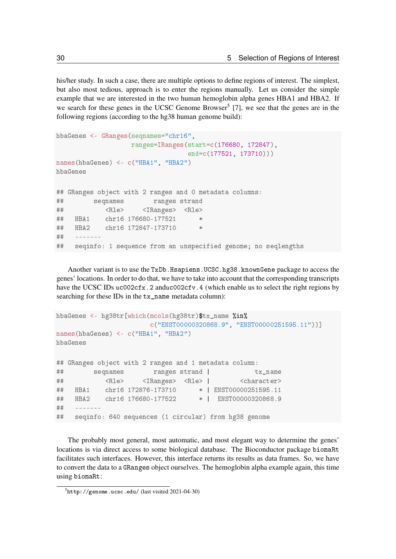his/her study. In such a case, there are multiple options to define regions of interest. The simplest, but also most tedious, approach is to enter the regions manually. Let us consider the simple example that we are interested in the two human hemoglobin alpha genes HBA1 and HBA2. If we search for these genes in the UCSC Genome Browser<sup>[5](#page-29-0)</sup> [\[7\]](#page-77-2), we see that the genes are in the following regions (according to the hg38 human genome build):

```
hbaGenes <- GRanges(seqnames="chr16",
                  ranges=IRanges(start=c(176680, 172847),
                               end=c(177521, 173710)))
names(hbaGenes) <- c("HBA1", "HBA2")
hbaGenes
## GRanges object with 2 ranges and 0 metadata columns:
## seqnames ranges strand
## <Rle> <IRanges> <Rle>
## HBA1 chr16 176680-177521 *
## HBA2 chr16 172847-173710 *
## -------
## seqinfo: 1 sequence from an unspecified genome; no seqlengths
```
Another variant is to use the TxDb.Hsapiens.UCSC.hg38.knownGene package to access the genes' locations. In order to do that, we have to take into account that the corresponding transcripts have the UCSC IDs  $uc002cfx.2$  and  $uc002cfy.4$  (which enable us to select the right regions by searching for these IDs in the tx\_name metadata column):

```
hbaGenes <- hg38tr[which(mcols(hg38tr)$tx_name %in%
                      c("ENST00000320868.9", "ENST00000251595.11"))]
names(hbaGenes) <- c("HBA1", "HBA2")
hbaGenes
## GRanges object with 2 ranges and 1 metadata column:
## seqnames ranges strand | tx_name
## <Rle> <IRanges> <Rle> | <character>
## HBA1 chr16 172876-173710 * | ENST00000251595.11
## HBA2 chr16 176680-177522 * | ENST00000320868.9
## -------
## seqinfo: 640 sequences (1 circular) from hg38 genome
```
The probably most general, most automatic, and most elegant way to determine the genes' locations is via direct access to some biological database. The Bioconductor package biomaRt facilitates such interfaces. However, this interface returns its results as data frames. So, we have to convert the data to a GRanges object ourselves. The hemoglobin alpha example again, this time using biomaRt:

<span id="page-29-0"></span> $^5$ <http://genome.ucsc.edu/> (last visited 2021-04-30)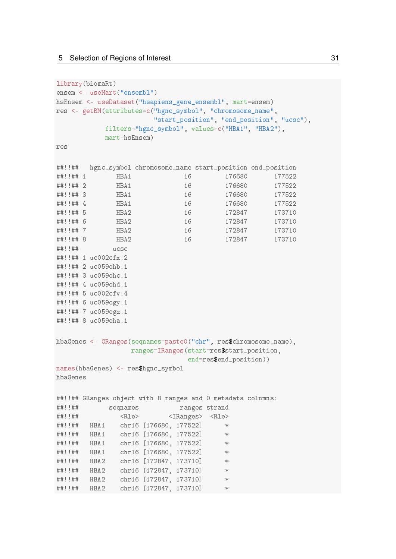```
library(biomaRt)
ensem <- useMart("ensembl")
hsEnsem <- useDataset("hsapiens_gene_ensembl", mart=ensem)
res <- getBM(attributes=c("hgnc_symbol", "chromosome_name",
                    "start_position", "end_position", "ucsc"),
          filters="hgnc_symbol", values=c("HBA1", "HBA2"),
          mart=hsEnsem)
res
##!!## hgnc_symbol chromosome_name start_position end_position
##!!## 1 HBA1 16 176680 177522
##!!## 2 HBA1 16 176680 177522
##!!## 3 HBA1 16 176680 177522
##!!## 4 HBA1 16 176680 177522
##!!## 5 HBA2 16 172847 173710
##!!## 6 HBA2 16 172847 173710
##!!## 7 HBA2 16 172847 173710
##!!## 8 HBA2 16 172847 173710
##!!## ucsc
##!!## 1 uc002cfx.2
##!!## 2 uc059ohb.1
##!!## 3 uc059ohc.1
##!!## 4 uc059ohd.1
##!!## 5 uc002cfv.4
##!!## 6 uc059ogy.1
##!!## 7 uc059ogz.1
##!!## 8 uc059oha.1
hbaGenes <- GRanges(seqnames=paste0("chr", res$chromosome_name),
               ranges=IRanges(start=res$start_position,
                           end=res$end_position))
names(hbaGenes) <- res$hgnc_symbol
hbaGenes
##!!## GRanges object with 8 ranges and 0 metadata columns:
##!!## seqnames ranges strand
##!!## <Rle> <IRanges> <Rle>
##!!## HBA1 chr16 [176680, 177522] *
##!!## HBA1 chr16 [176680, 177522] *
##!!## HBA1 chr16 [176680, 177522] *
##!!## HBA1 chr16 [176680, 177522] *
##!!## HBA2 chr16 [172847, 173710] *
##!!## HBA2 chr16 [172847, 173710] *
##!!## HBA2 chr16 [172847, 173710] *
##!!## HBA2 chr16 [172847, 173710]
```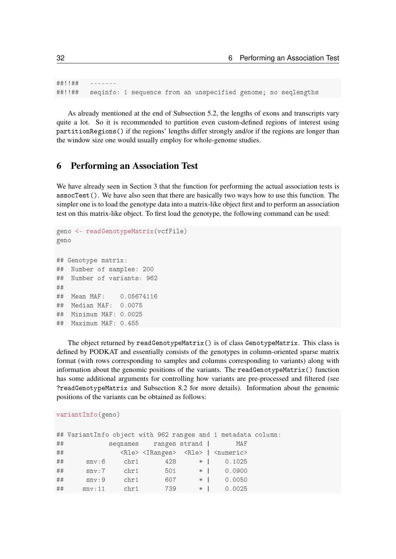##!!## ------- ##!!## seqinfo: 1 sequence from an unspecified genome; no seqlengths

As already mentioned at the end of Subsection [5.2,](#page-25-0) the lengths of exons and transcripts vary quite a lot. So it is recommended to partition even custom-defined regions of interest using partitionRegions() if the regions' lengths differ strongly and/or if the regions are longer than the window size one would usually employ for whole-genome studies.

### <span id="page-31-0"></span>6 Performing an Association Test

We have already seen in Section [3](#page-5-1) that the function for performing the actual association tests is assocTest(). We have also seen that there are basically two ways how to use this function. The simpler one is to load the genotype data into a matrix-like object first and to perform an association test on this matrix-like object. To first load the genotype, the following command can be used:

```
geno <- readGenotypeMatrix(vcfFile)
geno
## Genotype matrix:
## Number of samples: 200
## Number of variants: 962
##
## Mean MAF: 0.05674116
## Median MAF: 0.0075
## Minimum MAF: 0.0025
## Maximum MAF: 0.455
```
variantInfo(geno)

The object returned by readGenotypeMatrix() is of class GenotypeMatrix. This class is defined by PODKAT and essentially consists of the genotypes in column-oriented sparse matrix format (with rows corresponding to samples and columns corresponding to variants) along with information about the genomic positions of the variants. The readGenotypeMatrix() function has some additional arguments for controlling how variants are pre-processed and filtered (see ?readGenotypeMatrix and Subsection [8.2](#page-55-2) for more details). Information about the genomic positions of the variants can be obtained as follows:

```
## VariantInfo object with 962 ranges and 1 metadata column:
## seqnames ranges strand | MAF
## <Rle> <IRanges> <Rle> | <numeric>
## snv:6 chr1 428 * | 0.1025
## snv:7 chr1 501 * | 0.0900
## snv:9 chr1 607 * | 0.0050
## snv:11 chr1 739 * | 0.0025
```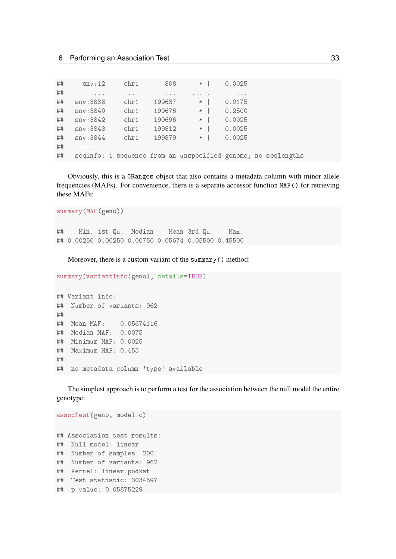| ## | snv:12   | chr1     | 808      | $*$ | 0.0025   |                                                               |
|----|----------|----------|----------|-----|----------|---------------------------------------------------------------|
| ## | $\cdots$ | $\cdots$ | $\cdots$ |     | $\cdots$ |                                                               |
| ## | snv:3838 | chr1     | 199637   | $*$ | 0.0175   |                                                               |
| ## | snv:3840 | chr1     | 199676   | $*$ | 0.2500   |                                                               |
| ## | snv:3842 | chr1     | 199696   | $*$ | 0.0025   |                                                               |
| ## | snv:3843 | chr1     | 199812   | $*$ | 0.0025   |                                                               |
| ## | snv:3844 | chr1     | 199879   | $*$ | 0.0025   |                                                               |
| ## |          |          |          |     |          |                                                               |
| ## |          |          |          |     |          | seqinfo: 1 sequence from an unspecified genome; no seqlengths |

Obviously, this is a GRanges object that also contains a metadata column with minor allele frequencies (MAFs). For convenience, there is a separate accessor function MAF() for retrieving these MAFs:

```
summary(MAF(geno))
```
## Min. 1st Qu. Median Mean 3rd Qu. Max. ## 0.00250 0.00250 0.00750 0.05674 0.05500 0.45500

Moreover, there is a custom variant of the summary() method:

```
summary(variantInfo(geno), details=TRUE)
## Variant info:
## Number of variants: 962
##
## Mean MAF: 0.05674116
## Median MAF: 0.0075
## Minimum MAF: 0.0025
## Maximum MAF: 0.455
##
```
## no metadata column 'type' available

The simplest approach is to perform a test for the association between the null model the entire genotype:

```
assocTest(geno, model.c)
## Association test results:
## Null model: linear
## Number of samples: 200
## Number of variants: 962
## Kernel: linear.podkat
## Test statistic: 3034597
## p-value: 0.05875229
```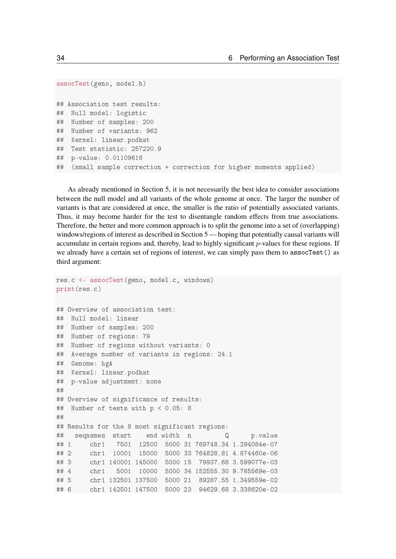```
assocTest(geno, model.b)
## Association test results:
## Null model: logistic
## Number of samples: 200
## Number of variants: 962
## Kernel: linear.podkat
## Test statistic: 257220.9
## p-value: 0.01109616
## (small sample correction + correction for higher moments applied)
```
As already mentioned in Section [5,](#page-17-0) it is not necessarily the best idea to consider associations between the null model and all variants of the whole genome at once. The larger the number of variants is that are considered at once, the smaller is the ratio of potentially associated variants. Thus, it may become harder for the test to disentangle random effects from true associations. Therefore, the better and more common approach is to split the genome into a set of (overlapping) windows/regions of interest as described in Section [5](#page-17-0) — hoping that potentially causal variants will accumulate in certain regions and, thereby, lead to highly significant p-values for these regions. If we already have a certain set of regions of interest, we can simply pass them to assocTest() as third argument:

```
res.c <- assocTest(geno, model.c, windows)
print(res.c)
## Overview of association test:
## Null model: linear
## Number of samples: 200
## Number of regions: 79
## Number of regions without variants: 0
## Average number of variants in regions: 24.1
## Genome: hgA
## Kernel: linear.podkat
## p-value adjustment: none
##
## Overview of significance of results:
## Number of tests with p < 0.05: 8
##
## Results for the 8 most significant regions:
## seqnames start end width n Q p.value
## 1 chr1 7501 12500 5000 31 769748.34 1.294084e-07
## 2 chr1 10001 15000 5000 33 764828.81 4.874460e-06
## 3 chr1 140001 145000 5000 15 79937.68 3.599077e-03
## 4 chr1 5001 10000 5000 34 152555.30 9.785569e-03
## 5 chr1 132501 137500 5000 21 89287.55 1.349559e-02
## 6 chr1 142501 147500 5000 23 94629.68 3.338620e-02
```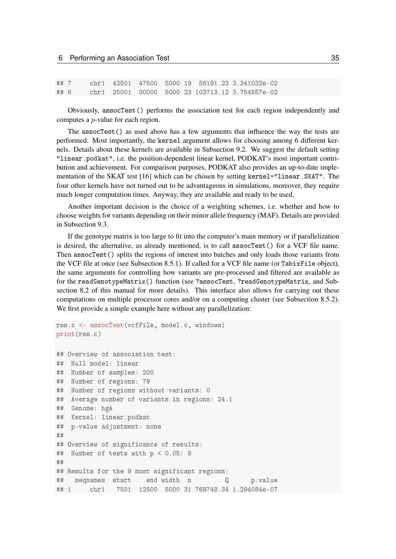|  |  |  |  | ## 7   chr1 42501 47500 5000 19 58191.23 3.341032e-02 |
|--|--|--|--|-------------------------------------------------------|
|  |  |  |  | ## 8 chr1 25001 30000 5000 23 103713.12 3.754557e-02  |

Obviously, assocTest() performs the association test for each region independently and computes a p-value for each region.

The assocTest() as used above has a few arguments that influence the way the tests are performed. Most importantly, the kernel argument allows for choosing among 6 different kernels. Details about these kernels are available in Subsection [9.2.](#page-67-0) We suggest the default setting "linear.podkat", i.e. the position-dependent linear kernel, PODKAT's most important contribution and achievement. For comparison purposes, PODKAT also provides an up-to-date implementation of the SKAT test [\[16\]](#page-78-0) which can be chosen by setting kernel="linear.SKAT". The four other kernels have not turned out to be advantageous in simulations, moreover, they require much longer computation times. Anyway, they are available and ready to be used.

Another important decision is the choice of a weighting schemes, i.e. whether and how to choose weights for variants depending on their minor allele frequency (MAF). Details are provided in Subsection [9.3.](#page-70-0)

If the genotype matrix is too large to fit into the computer's main memory or if parallelization is desired, the alternative, as already mentioned, is to call assocTest() for a VCF file name. Then assocTest() splits the regions of interest into batches and only loads those variants from the VCF file at once (see Subsection [8.5.1\)](#page-61-1). If called for a VCF file name (or TabixFile object), the same arguments for controlling how variants are pre-processed and filtered are available as for the readGenotypeMatrix() function (see ?assocTest, ?readGenotypeMatrix, and Subsection [8.2](#page-55-2) of this manual for more details). This interface also allows for carrying out these computations on multiple processor cores and/or on a computing cluster (see Subsection [8.5.2\)](#page-62-0). We first provide a simple example here without any parallelization:

```
res.c <- assocTest(vcfFile, model.c, windows)
print(res.c)
## Overview of association test:
## Null model: linear
## Number of samples: 200
## Number of regions: 79
## Number of regions without variants: 0
## Average number of variants in regions: 24.1
## Genome: hgA
## Kernel: linear.podkat
## p-value adjustment: none
##
## Overview of significance of results:
## Number of tests with p < 0.05: 8
##
## Results for the 8 most significant regions:
## seqnames start end width n Q p.value
## 1 chr1 7501 12500 5000 31 769748.34 1.294084e-07
```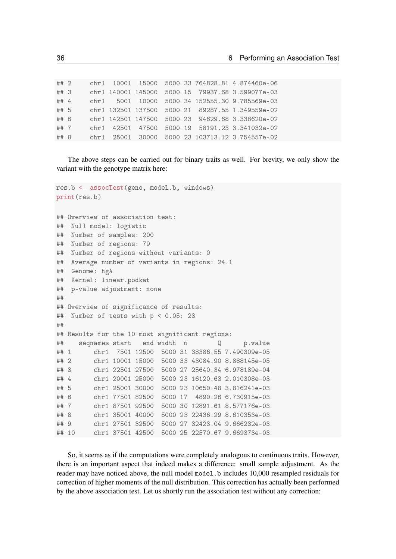| $##$ 2 |      | chr1 10001 15000   |            |  | 5000 33 764828.81 4.874460e-06 |  |
|--------|------|--------------------|------------|--|--------------------------------|--|
| ##3    |      | chr1 140001 145000 |            |  | 5000 15 79937.68 3.599077e-03  |  |
| ## 4   | chr1 |                    | 5001 10000 |  | 5000 34 152555.30 9.785569e-03 |  |
| ## 5   |      | chr1 132501 137500 |            |  | 5000 21 89287.55 1.349559e-02  |  |
| ## 6   |      | chr1 142501 147500 |            |  | 5000 23 94629.68 3.338620e-02  |  |
| ## 7   |      | chr1 42501 47500   |            |  | 5000 19 58191.23 3.341032e-02  |  |
| ## 8   |      | chr1 25001 30000   |            |  | 5000 23 103713.12 3.754557e-02 |  |

The above steps can be carried out for binary traits as well. For brevity, we only show the variant with the genotype matrix here:

```
res.b <- assocTest(geno, model.b, windows)
print(res.b)
## Overview of association test:
## Null model: logistic
## Number of samples: 200
## Number of regions: 79
## Number of regions without variants: 0
## Average number of variants in regions: 24.1
## Genome: hgA
## Kernel: linear.podkat
## p-value adjustment: none
##
## Overview of significance of results:
## Number of tests with p < 0.05: 23
##
## Results for the 10 most significant regions:
## seqnames start end width n Q p.value
## 1 chr1 7501 12500 5000 31 38386.55 7.490309e-05
## 2 chr1 10001 15000 5000 33 43084.90 8.888145e-05
## 3 chr1 22501 27500 5000 27 25640.34 6.978189e-04
## 4 chr1 20001 25000 5000 23 16120.63 2.010308e-03
## 5 chr1 25001 30000 5000 23 10650.48 3.816241e-03
## 6 chr1 77501 82500 5000 17 4890.26 6.730915e-03
## 7 chr1 87501 92500 5000 30 12891.61 8.577176e-03
## 8 chr1 35001 40000 5000 23 22436.29 8.610353e-03
## 9 chr1 27501 32500 5000 27 32423.04 9.666232e-03
## 10 chr1 37501 42500 5000 25 22570.67 9.669373e-03
```
So, it seems as if the computations were completely analogous to continuous traits. However, there is an important aspect that indeed makes a difference: small sample adjustment. As the reader may have noticed above, the null model model.b includes 10,000 resampled residuals for correction of higher moments of the null distribution. This correction has actually been performed by the above association test. Let us shortly run the association test without any correction: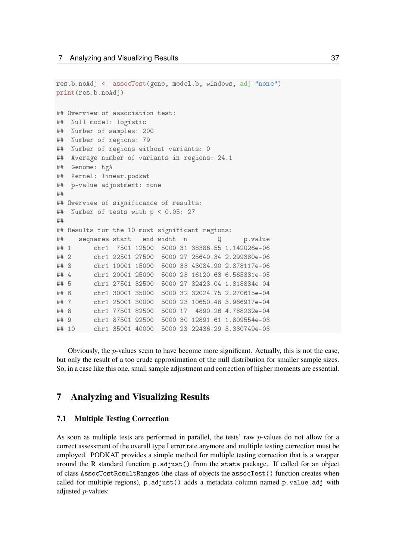```
res.b.noAdj <- assocTest(geno, model.b, windows, adj="none")
print(res.b.noAdj)
## Overview of association test:
## Null model: logistic
## Number of samples: 200
## Number of regions: 79
## Number of regions without variants: 0
## Average number of variants in regions: 24.1
## Genome: hgA
## Kernel: linear.podkat
## p-value adjustment: none
##
## Overview of significance of results:
## Number of tests with p < 0.05: 27
##
## Results for the 10 most significant regions:
## seqnames start end width n Q p.value
## 1 chr1 7501 12500 5000 31 38386.55 1.142026e-06
## 2 chr1 22501 27500 5000 27 25640.34 2.299380e-06
## 3 chr1 10001 15000 5000 33 43084.90 2.878117e-06
## 4 chr1 20001 25000 5000 23 16120.63 6.565331e-05
## 5 chr1 27501 32500 5000 27 32423.04 1.818834e-04
## 6 chr1 30001 35000 5000 32 32024.75 2.270615e-04
## 7 chr1 25001 30000 5000 23 10650.48 3.966917e-04
## 8 chr1 77501 82500 5000 17 4890.26 4.788232e-04
## 9 chr1 87501 92500 5000 30 12891.61 1.809554e-03
## 10 chr1 35001 40000 5000 23 22436.29 3.330749e-03
```
Obviously, the p-values seem to have become more significant. Actually, this is not the case, but only the result of a too crude approximation of the null distribution for smaller sample sizes. So, in a case like this one, small sample adjustment and correction of higher moments are essential.

# 7 Analyzing and Visualizing Results

## <span id="page-36-0"></span>7.1 Multiple Testing Correction

As soon as multiple tests are performed in parallel, the tests' raw p-values do not allow for a correct assessment of the overall type I error rate anymore and multiple testing correction must be employed. PODKAT provides a simple method for multiple testing correction that is a wrapper around the R standard function  $p$  adjust () from the stats package. If called for an object of class AssocTestResultRanges (the class of objects the assocTest() function creates when called for multiple regions), p.adjust() adds a metadata column named p.value.adj with adjusted  $p$ -values: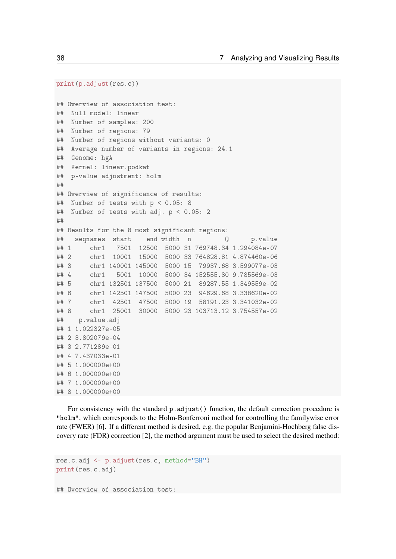```
print(p.adjust(res.c))
## Overview of association test:
## Null model: linear
## Number of samples: 200
## Number of regions: 79
## Number of regions without variants: 0
## Average number of variants in regions: 24.1
## Genome: hgA
## Kernel: linear.podkat
## p-value adjustment: holm
##
## Overview of significance of results:
## Number of tests with p < 0.05: 8
## Number of tests with adj. p < 0.05: 2
##
## Results for the 8 most significant regions:
## seqnames start end width n Q p.value
## 1 chr1 7501 12500 5000 31 769748.34 1.294084e-07
## 2 chr1 10001 15000 5000 33 764828.81 4.874460e-06
## 3 chr1 140001 145000 5000 15 79937.68 3.599077e-03
## 4 chr1 5001 10000 5000 34 152555.30 9.785569e-03
## 5 chr1 132501 137500 5000 21 89287.55 1.349559e-02
## 6 chr1 142501 147500 5000 23 94629.68 3.338620e-02
## 7 chr1 42501 47500 5000 19 58191.23 3.341032e-02
## 8 chr1 25001 30000 5000 23 103713.12 3.754557e-02
## p.value.adj
## 1 1.022327e-05
## 2 3.802079e-04
## 3 2.771289e-01
## 4 7.437033e-01
## 5 1.000000e+00
## 6 1.000000e+00
## 7 1.000000e+00
## 8 1.000000e+00
```
For consistency with the standard  $p$  adjust () function, the default correction procedure is "holm", which corresponds to the Holm-Bonferroni method for controlling the familywise error rate (FWER) [\[6\]](#page-77-0). If a different method is desired, e.g. the popular Benjamini-Hochberg false discovery rate (FDR) correction [\[2\]](#page-77-1), the method argument must be used to select the desired method:

```
res.c.adj <- p.adjust(res.c, method="BH")
print(res.c.adj)
## Overview of association test:
```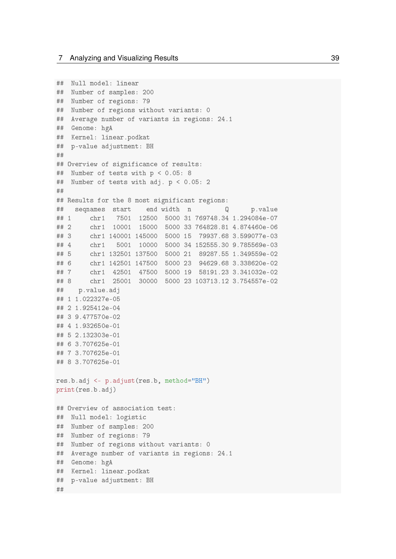```
## Null model: linear
## Number of samples: 200
## Number of regions: 79
## Number of regions without variants: 0
## Average number of variants in regions: 24.1
## Genome: hgA
## Kernel: linear.podkat
## p-value adjustment: BH
##
## Overview of significance of results:
## Number of tests with p < 0.05: 8
## Number of tests with adj. p < 0.05: 2
##
## Results for the 8 most significant regions:
## seqnames start end width n Q p.value
## 1 chr1 7501 12500 5000 31 769748.34 1.294084e-07
## 2 chr1 10001 15000 5000 33 764828.81 4.874460e-06
## 3 chr1 140001 145000 5000 15 79937.68 3.599077e-03
## 4 chr1 5001 10000 5000 34 152555.30 9.785569e-03
## 5 chr1 132501 137500 5000 21 89287.55 1.349559e-02
## 6 chr1 142501 147500 5000 23 94629.68 3.338620e-02
## 7 chr1 42501 47500 5000 19 58191.23 3.341032e-02
## 8 chr1 25001 30000 5000 23 103713.12 3.754557e-02
## p.value.adj
## 1 1.022327e-05
## 2 1.925412e-04
## 3 9.477570e-02
## 4 1.932650e-01
## 5 2.132303e-01
## 6 3.707625e-01
## 7 3.707625e-01
## 8 3.707625e-01
res.b.adj <- p.adjust(res.b, method="BH")
print(res.b.adj)
## Overview of association test:
## Null model: logistic
## Number of samples: 200
## Number of regions: 79
## Number of regions without variants: 0
## Average number of variants in regions: 24.1
## Genome: hgA
## Kernel: linear.podkat
## p-value adjustment: BH
##
```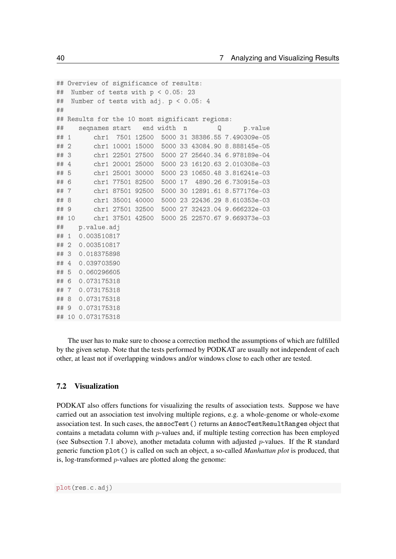```
## Overview of significance of results:
## Number of tests with p < 0.05: 23
## Number of tests with adj. p < 0.05: 4
##
## Results for the 10 most significant regions:
## seqnames start end width n Q p.value
## 1 chr1 7501 12500 5000 31 38386.55 7.490309e-05
## 2 chr1 10001 15000 5000 33 43084.90 8.888145e-05
## 3 chr1 22501 27500 5000 27 25640.34 6.978189e-04
## 4 chr1 20001 25000 5000 23 16120.63 2.010308e-03
## 5 chr1 25001 30000 5000 23 10650.48 3.816241e-03
## 6 chr1 77501 82500 5000 17 4890.26 6.730915e-03
## 7 chr1 87501 92500 5000 30 12891.61 8.577176e-03
## 8 chr1 35001 40000 5000 23 22436.29 8.610353e-03
## 9 chr1 27501 32500 5000 27 32423.04 9.666232e-03
## 10 chr1 37501 42500 5000 25 22570.67 9.669373e-03
## p.value.adj
## 1 0.003510817
## 2 0.003510817
## 3 0.018375898
## 4 0.039703590
## 5 0.060296605
## 6 0.073175318
## 7 0.073175318
## 8 0.073175318
## 9 0.073175318
## 10 0.073175318
```
The user has to make sure to choose a correction method the assumptions of which are fulfilled by the given setup. Note that the tests performed by PODKAT are usually not independent of each other, at least not if overlapping windows and/or windows close to each other are tested.

# 7.2 Visualization

PODKAT also offers functions for visualizing the results of association tests. Suppose we have carried out an association test involving multiple regions, e.g. a whole-genome or whole-exome association test. In such cases, the assocTest() returns an AssocTestResultRanges object that contains a metadata column with  $p$ -values and, if multiple testing correction has been employed (see Subsection [7.1](#page-36-0) above), another metadata column with adjusted  $p$ -values. If the R standard generic function plot() is called on such an object, a so-called *Manhattan plot* is produced, that is, log-transformed p-values are plotted along the genome: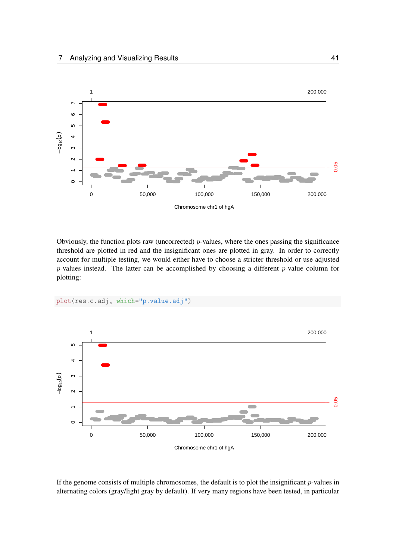

Obviously, the function plots raw (uncorrected)  $p$ -values, where the ones passing the significance threshold are plotted in red and the insignificant ones are plotted in gray. In order to correctly account for multiple testing, we would either have to choose a stricter threshold or use adjusted p-values instead. The latter can be accomplished by choosing a different p-value column for plotting:

## plot(res.c.adj, which="p.value.adj")



If the genome consists of multiple chromosomes, the default is to plot the insignificant  $p$ -values in alternating colors (gray/light gray by default). If very many regions have been tested, in particular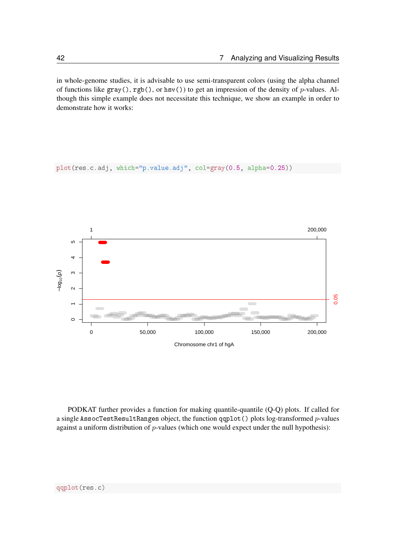in whole-genome studies, it is advisable to use semi-transparent colors (using the alpha channel of functions like gray(), rgb(), or hsv()) to get an impression of the density of p-values. Although this simple example does not necessitate this technique, we show an example in order to demonstrate how it works:

```
plot(res.c.adj, which="p.value.adj", col=gray(0.5, alpha=0.25))
```


PODKAT further provides a function for making quantile-quantile (Q-Q) plots. If called for a single AssocTestResultRanges object, the function qqplot() plots log-transformed p-values against a uniform distribution of  $p$ -values (which one would expect under the null hypothesis):

qqplot(res.c)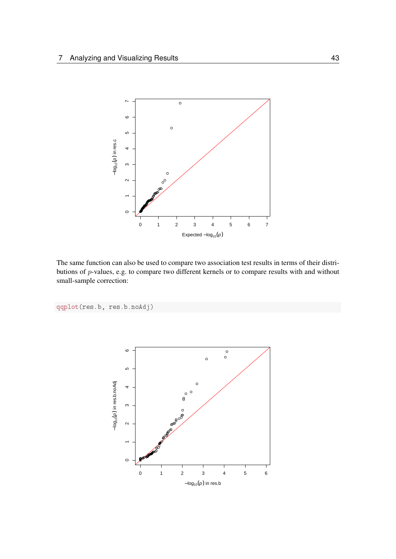

The same function can also be used to compare two association test results in terms of their distributions of p-values, e.g. to compare two different kernels or to compare results with and without small-sample correction:

qqplot(res.b, res.b.noAdj)

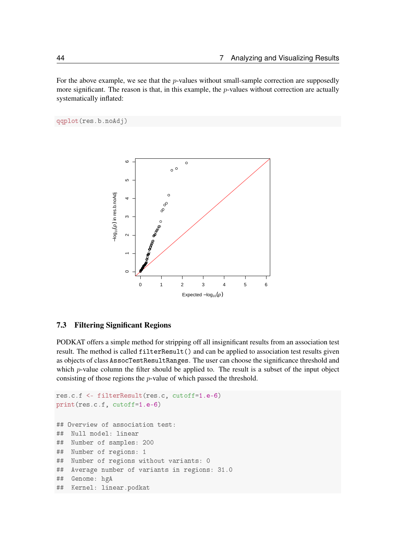For the above example, we see that the  $p$ -values without small-sample correction are supposedly more significant. The reason is that, in this example, the *p*-values without correction are actually systematically inflated:

qqplot(res.b.noAdj)



# 7.3 Filtering Significant Regions

PODKAT offers a simple method for stripping off all insignificant results from an association test result. The method is called filterResult() and can be applied to association test results given as objects of class AssocTestResultRanges. The user can choose the significance threshold and which *p*-value column the filter should be applied to. The result is a subset of the input object consisting of those regions the p-value of which passed the threshold.

```
res.c.f <- filterResult(res.c, cutoff=1.e-6)
print(res.c.f, cutoff=1.e-6)
## Overview of association test:
## Null model: linear
## Number of samples: 200
## Number of regions: 1
## Number of regions without variants: 0
## Average number of variants in regions: 31.0
## Genome: hgA
## Kernel: linear.podkat
```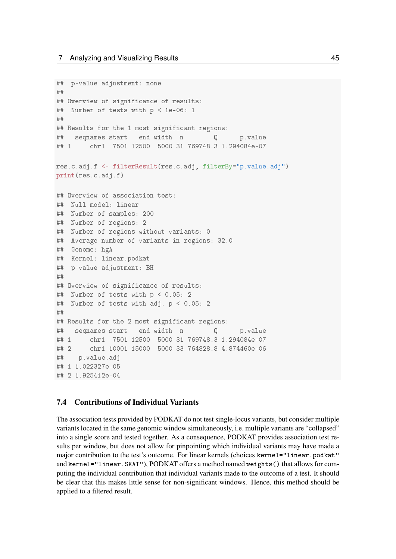```
## p-value adjustment: none
##
## Overview of significance of results:
## Number of tests with p < 1e-06: 1
##
## Results for the 1 most significant regions:
## seqnames start end width n Q p.value
## 1 chr1 7501 12500 5000 31 769748.3 1.294084e-07
res.c.adj.f <- filterResult(res.c.adj, filterBy="p.value.adj")
print(res.c.adj.f)
## Overview of association test:
## Null model: linear
## Number of samples: 200
## Number of regions: 2
## Number of regions without variants: 0
## Average number of variants in regions: 32.0
## Genome: hgA
## Kernel: linear.podkat
## p-value adjustment: BH
##
## Overview of significance of results:
## Number of tests with p < 0.05: 2
## Number of tests with adj. p < 0.05: 2
##
## Results for the 2 most significant regions:
## seqnames start end width n Q p.value
## 1 chr1 7501 12500 5000 31 769748.3 1.294084e-07
## 2 chr1 10001 15000 5000 33 764828.8 4.874460e-06
## p.value.adj
## 1 1.022327e-05
## 2 1.925412e-04
```
## <span id="page-44-0"></span>7.4 Contributions of Individual Variants

The association tests provided by PODKAT do not test single-locus variants, but consider multiple variants located in the same genomic window simultaneously, i.e. multiple variants are "collapsed" into a single score and tested together. As a consequence, PODKAT provides association test results per window, but does not allow for pinpointing which individual variants may have made a major contribution to the test's outcome. For linear kernels (choices kernel="linear.podkat" and kernel="linear.SKAT"), PODKAT offers a method named weights() that allows for computing the individual contribution that individual variants made to the outcome of a test. It should be clear that this makes little sense for non-significant windows. Hence, this method should be applied to a filtered result.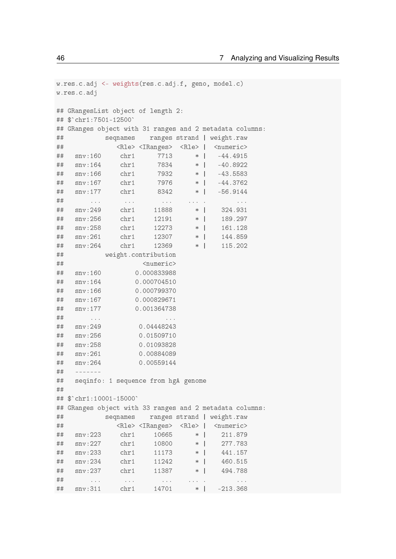w.res.c.adj <- weights(res.c.adj.f, geno, model.c) w.res.c.adj ## GRangesList object of length 2: ## \$`chr1:7501-12500` ## GRanges object with 31 ranges and 2 metadata columns: ## seqnames ranges strand | weight.raw ## <Rle> <IRanges> <Rle> | <numeric> ## snv:160 chr1 7713 \* | -44.4915 ## snv:164 chr1 7834 \* | -40.8922 ## snv:166 chr1 7932 \* | -43.5583 ## snv:167 chr1 7976 \* | -44.3762 ## snv:177 chr1 8342 \* | -56.9144 ## ... ... ... ... . ... ## snv:249 chr1 11888 \* | 324.931 ## snv:256 chr1 12191 \* | 189.297 ## snv:258 chr1 12273 \* | 161.128 ## snv:261 chr1 12307 \* | 144.859 ## snv:264 chr1 12369 \* | 115.202 ## weight.contribution ## <numeric> ## snv:160 0.000833988 ## snv:164 0.000704510 ## snv:166 0.000799370 ## snv:167 0.000829671 ## snv:177 0.001364738 ## ... ... ## snv:249 0.04448243 ## snv:256 0.01509710 ## snv:258 0.01093828 ## snv:261 0.00884089 ## snv:264 0.00559144 ## ------- ## seqinfo: 1 sequence from hgA genome ## ## \$`chr1:10001-15000` ## GRanges object with 33 ranges and 2 metadata columns: ## seqnames ranges strand | weight.raw ## <Rle> <IRanges> <Rle> | <numeric> ## snv:223 chr1 10665 \* | 211.879 ## snv:227 chr1 10800 \* | 277.783 ## snv:233 chr1 11173 \* | 441.157 ## snv:234 chr1 11242 \* | 460.515 ## snv:237 chr1 11387 \* | 494.788 ## ... ... ... ... . ... ## snv:311 chr1 14701 \* | -213.368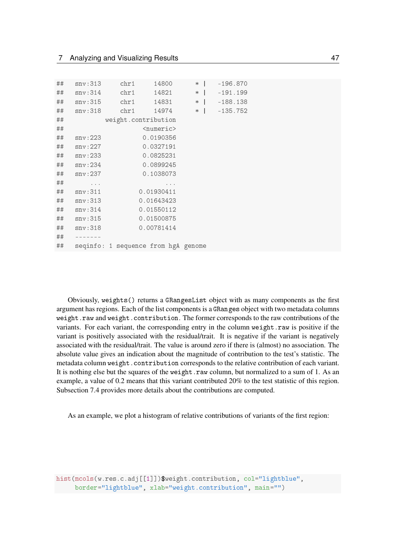| ## | snv:313                             | chr1       | 14800      | $\blacksquare$<br>$\ast$ | $-196.870$                  |  |  |  |  |  |  |  |
|----|-------------------------------------|------------|------------|--------------------------|-----------------------------|--|--|--|--|--|--|--|
| ## | snv:314                             | chr1       | 14821      |                          | $-191.199$<br>$*$           |  |  |  |  |  |  |  |
| ## | snv:315                             | chr1 14831 |            | $\ast$                   | $-188.138$<br>and the state |  |  |  |  |  |  |  |
| ## | snv:318 chr1 14974                  |            |            | $\ast$<br>$\Box$         | $-135.752$                  |  |  |  |  |  |  |  |
| ## | weight.contribution                 |            |            |                          |                             |  |  |  |  |  |  |  |
| ## | $<$ numeric $>$                     |            |            |                          |                             |  |  |  |  |  |  |  |
| ## | snv:223                             |            | 0.0190356  |                          |                             |  |  |  |  |  |  |  |
| ## | snv:227                             |            | 0.0327191  |                          |                             |  |  |  |  |  |  |  |
| ## | snv:233                             |            | 0.0825231  |                          |                             |  |  |  |  |  |  |  |
| ## | snv:234                             |            | 0.0899245  |                          |                             |  |  |  |  |  |  |  |
| ## | snv:237                             |            | 0.1038073  |                          |                             |  |  |  |  |  |  |  |
| ## | $\alpha = \alpha = \alpha$          |            | $\cdots$   |                          |                             |  |  |  |  |  |  |  |
| ## | snv:311                             |            | 0.01930411 |                          |                             |  |  |  |  |  |  |  |
| ## | snv:313                             |            | 0.01643423 |                          |                             |  |  |  |  |  |  |  |
| ## | snv:314                             |            | 0.01550112 |                          |                             |  |  |  |  |  |  |  |
| ## | snv:315                             |            | 0.01500875 |                          |                             |  |  |  |  |  |  |  |
| ## | snv:318                             |            | 0.00781414 |                          |                             |  |  |  |  |  |  |  |
| ## |                                     |            |            |                          |                             |  |  |  |  |  |  |  |
| ## | seqinfo: 1 sequence from hgA genome |            |            |                          |                             |  |  |  |  |  |  |  |
|    |                                     |            |            |                          |                             |  |  |  |  |  |  |  |

Obviously, weights() returns a GRangesList object with as many components as the first argument has regions. Each of the list components is a GRanges object with two metadata columns weight.raw and weight.contribution. The former corresponds to the raw contributions of the variants. For each variant, the corresponding entry in the column weight.raw is positive if the variant is positively associated with the residual/trait. It is negative if the variant is negatively associated with the residual/trait. The value is around zero if there is (almost) no association. The absolute value gives an indication about the magnitude of contribution to the test's statistic. The metadata column weight.contribution corresponds to the relative contribution of each variant. It is nothing else but the squares of the weight.raw column, but normalized to a sum of 1. As an example, a value of 0.2 means that this variant contributed 20% to the test statistic of this region. Subsection [7.4](#page-44-0) provides more details about the contributions are computed.

As an example, we plot a histogram of relative contributions of variants of the first region:

hist(mcols(w.res.c.adj[[1]])\$weight.contribution, col="lightblue", border="lightblue", xlab="weight.contribution", main="")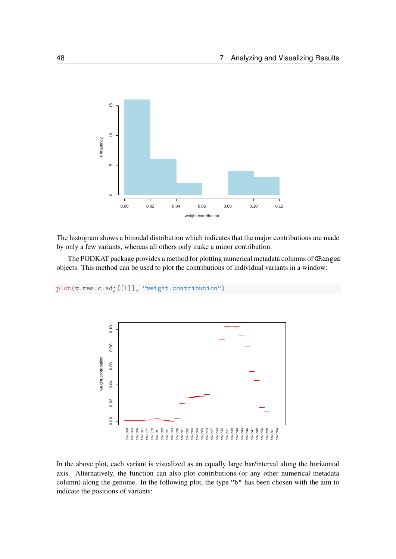

The histogram shows a bimodal distribution which indicates that the major contributions are made by only a few variants, whereas all others only make a minor contribution.

The PODKAT package provides a method for plotting numerical metadata columns of GRanges objects. This method can be used to plot the contributions of individual variants in a window:

```
plot(w.res.c.adj[[1]], "weight.contribution")
```


In the above plot, each variant is visualized as an equally large bar/interval along the horizontal axis. Alternatively, the function can also plot contributions (or any other numerical metadata column) along the genome. In the following plot, the type "b" has been chosen with the aim to indicate the positions of variants: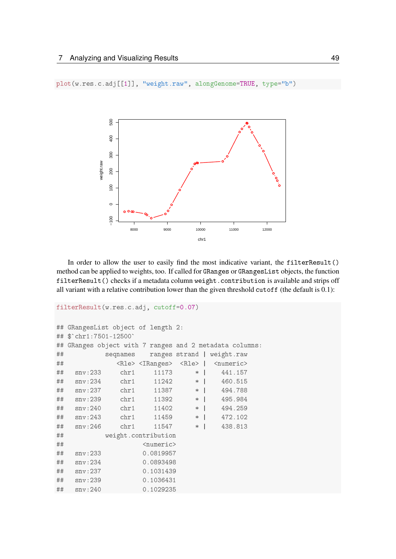#### plot(w.res.c.adj[[1]], "weight.raw", alongGenome=TRUE, type="b")



In order to allow the user to easily find the most indicative variant, the filterResult() method can be applied to weights, too. If called for GRanges or GRangesList objects, the function filterResult() checks if a metadata column weight.contribution is available and strips off all variant with a relative contribution lower than the given threshold cutoff (the default is 0.1):

```
filterResult(w.res.c.adj, cutoff=0.07)
## GRangesList object of length 2:
## $`chr1:7501-12500`
## GRanges object with 7 ranges and 2 metadata columns:
## seqnames ranges strand | weight.raw
## <Rle> <IRanges> <Rle> | <numeric>
## snv:233 chr1 11173 * | 441.157
## snv:234 chr1 11242 * | 460.515
## snv:237 chr1 11387 * | 494.788
## snv:239 chr1 11392 * | 495.984
## snv:240 chr1 11402 * | 494.259
## snv:243 chr1 11459 * | 472.102
## snv:246 chr1 11547 * | 438.813
## weight.contribution
## <numeric>
## snv:233 0.0819957
## snv:234 0.0893498
## snv:237 0.1031439
## snv:239 0.1036431
## snv:240 0.1029235
```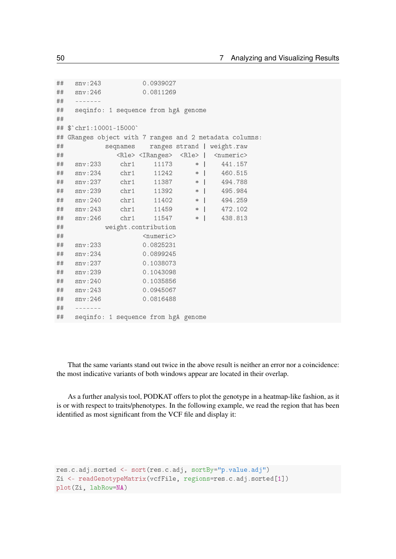```
## snv:243 0.0939027
## snv:246 0.0811269
## -------
## seqinfo: 1 sequence from hgA genome
##
## $`chr1:10001-15000`
## GRanges object with 7 ranges and 2 metadata columns:
## seqnames ranges strand | weight.raw
## <Rle> <IRanges> <Rle> | <numeric>
## snv:233 chr1 11173 * | 441.157
## snv:234 chr1 11242 * | 460.515
## snv:237 chr1 11387 * | 494.788
## snv:239 chr1 11392 * | 495.984
## snv:240 chr1 11402 * | 494.259
## snv:243 chr1 11459 * | 472.102
## snv:246 chr1 11547 * | 438.813
## weight.contribution
## <numeric>
## snv:233 0.0825231
## snv:234 0.0899245
## snv:237 0.1038073
## snv:239 0.1043098
## snv:240 0.1035856
## snv:243 0.0945067
## snv:246 0.0816488
## -------
## seqinfo: 1 sequence from hgA genome
```
That the same variants stand out twice in the above result is neither an error nor a coincidence: the most indicative variants of both windows appear are located in their overlap.

As a further analysis tool, PODKAT offers to plot the genotype in a heatmap-like fashion, as it is or with respect to traits/phenotypes. In the following example, we read the region that has been identified as most significant from the VCF file and display it:

```
res.c.adj.sorted <- sort(res.c.adj, sortBy="p.value.adj")
Zi <- readGenotypeMatrix(vcfFile, regions=res.c.adj.sorted[1])
plot(Zi, labRow=NA)
```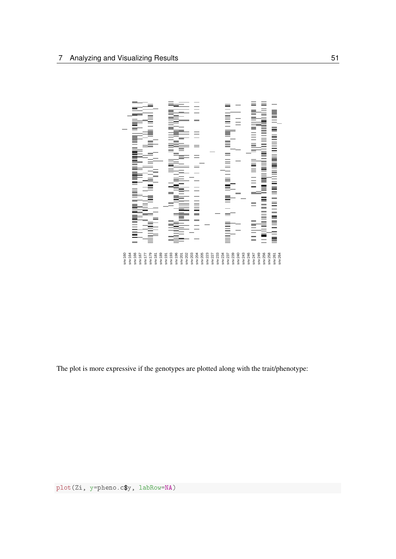

The plot is more expressive if the genotypes are plotted along with the trait/phenotype: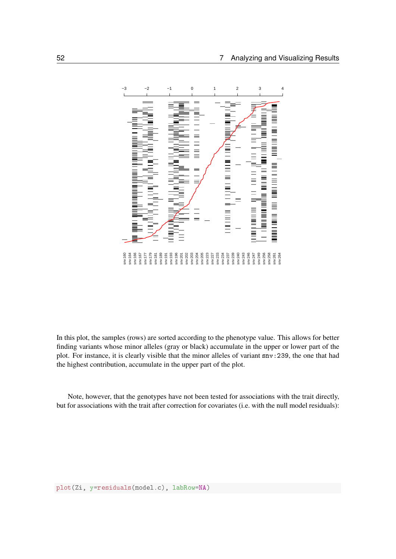

In this plot, the samples (rows) are sorted according to the phenotype value. This allows for better finding variants whose minor alleles (gray or black) accumulate in the upper or lower part of the plot. For instance, it is clearly visible that the minor alleles of variant snv:239, the one that had the highest contribution, accumulate in the upper part of the plot.

Note, however, that the genotypes have not been tested for associations with the trait directly, but for associations with the trait after correction for covariates (i.e. with the null model residuals):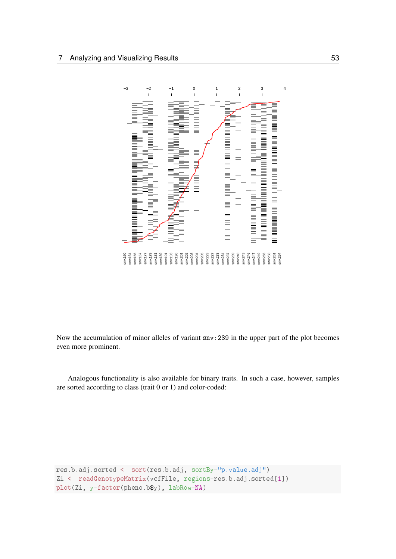

Now the accumulation of minor alleles of variant snv:239 in the upper part of the plot becomes even more prominent.

Analogous functionality is also available for binary traits. In such a case, however, samples are sorted according to class (trait 0 or 1) and color-coded:

```
res.b.adj.sorted <- sort(res.b.adj, sortBy="p.value.adj")
Zi <- readGenotypeMatrix(vcfFile, regions=res.b.adj.sorted[1])
plot(Zi, y=factor(pheno.b$y), labRow=NA)
```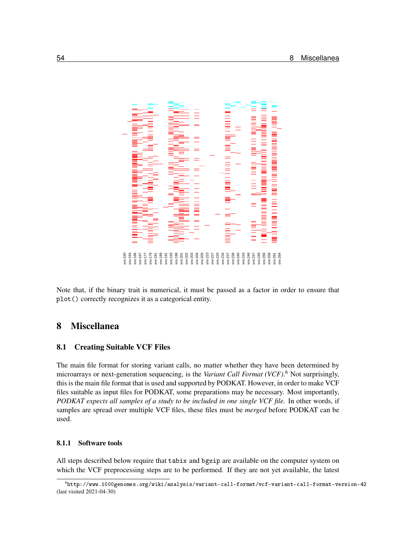

Note that, if the binary trait is numerical, it must be passed as a factor in order to ensure that plot() correctly recognizes it as a categorical entity.

# 8 Miscellanea

# 8.1 Creating Suitable VCF Files

The main file format for storing variant calls, no matter whether they have been determined by microarrays or next-generation sequencing, is the *Variant Call Format (VCF)*. [6](#page-53-0) Not surprisingly, this is the main file format that is used and supported by PODKAT. However, in order to make VCF files suitable as input files for PODKAT, some preparations may be necessary. Most importantly, *PODKAT expects all samples of a study to be included in one single VCF file.* In other words, if samples are spread over multiple VCF files, these files must be *merged* before PODKAT can be used.

### 8.1.1 Software tools

All steps described below require that tabix and bgzip are available on the computer system on which the VCF preprocessing steps are to be performed. If they are not yet available, the latest

<span id="page-53-0"></span> $^6$ <http://www.1000genomes.org/wiki/analysis/variant-call-format/vcf-variant-call-format-version-42>  $\,$ (last visited 2021-04-30)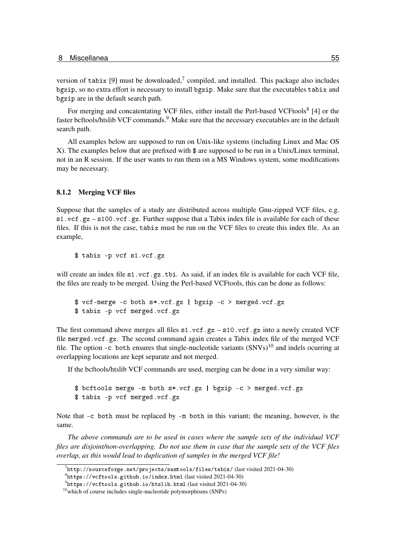version of tabix [\[9\]](#page-77-2) must be downloaded,<sup>[7](#page-54-0)</sup> compiled, and installed. This package also includes bgzip, so no extra effort is necessary to install bgzip. Make sure that the executables tabix and bgzip are in the default search path.

For merging and concatentating VCF files, either install the Perl-based VCFtools<sup>[8](#page-54-1)</sup> [\[4\]](#page-77-3) or the faster bcftools/htslib VCF commands.<sup>[9](#page-54-2)</sup> Make sure that the necessary executables are in the default search path.

All examples below are supposed to run on Unix-like systems (including Linux and Mac OS X). The examples below that are prefixed with \$ are supposed to be run in a Unix/Linux terminal, not in an R session. If the user wants to run them on a MS Windows system, some modifications may be necessary.

## 8.1.2 Merging VCF files

Suppose that the samples of a study are distributed across multiple Gnu-zipped VCF files, e.g. s1.vcf.gz – s100.vcf.gz. Further suppose that a Tabix index file is available for each of these files. If this is not the case, tabix must be run on the VCF files to create this index file. As an example,

\$ tabix -p vcf s1.vcf.gz

will create an index file s1.vcf.gz.tbi. As said, if an index file is available for each VCF file, the files are ready to be merged. Using the Perl-based VCFtools, this can be done as follows:

\$ vcf-merge -c both s\*.vcf.gz | bgzip -c > merged.vcf.gz \$ tabix -p vcf merged.vcf.gz

The first command above merges all files  $s1.vcf.gz - s10.vcf.gz$  into a newly created VCF file merged.vcf.gz. The second command again creates a Tabix index file of the merged VCF file. The option  $-e$  both ensures that single-nucleotide variants  $(SNVs)^{10}$  $(SNVs)^{10}$  $(SNVs)^{10}$  and indels ocurring at overlapping locations are kept separate and not merged.

If the bcftools/htslib VCF commands are used, merging can be done in a very similar way:

\$ bcftools merge -m both s\*.vcf.gz | bgzip -c > merged.vcf.gz \$ tabix -p vcf merged.vcf.gz

Note that -c both must be replaced by -m both in this variant; the meaning, however, is the same.

*The above commands are to be used in cases where the sample sets of the individual VCF files are disjoint/non-overlapping. Do not use them in case that the sample sets of the VCF files overlap, as this would lead to duplication of samples in the merged VCF file!*

<span id="page-54-0"></span> $^{7}$ <http://sourceforge.net/projects/samtools/files/tabix/> (last visited 2021-04-30)

<span id="page-54-1"></span> $^8$ <https://vcftools.github.io/index.html> (last visited 2021-04-30)

<span id="page-54-2"></span> $^{9}$ <https://vcftools.github.io/htslib.html> (last visited 2021-04-30)

<span id="page-54-3"></span><sup>&</sup>lt;sup>10</sup>which of course includes single-nucleotide polymorphisms (SNPs)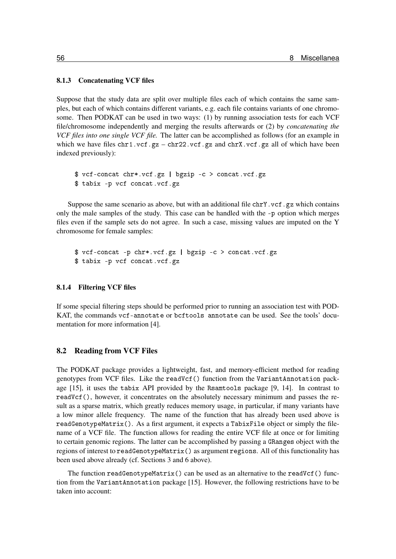#### 8.1.3 Concatenating VCF files

Suppose that the study data are split over multiple files each of which contains the same samples, but each of which contains different variants, e.g. each file contains variants of one chromosome. Then PODKAT can be used in two ways: (1) by running association tests for each VCF file/chromosome independently and merging the results afterwards or (2) by *concatenating the VCF files into one single VCF file.* The latter can be accomplished as follows (for an example in which we have files  $chr1. vcf. gz - chr22. vcf. gz$  and  $chrX. vcf. gz$  all of which have been indexed previously):

```
$ vcf-concat chr*.vcf.gz | bgzip -c > concat.vcf.gz
$ tabix -p vcf concat.vcf.gz
```
Suppose the same scenario as above, but with an additional file chrY.vcf.gz which contains only the male samples of the study. This case can be handled with the -p option which merges files even if the sample sets do not agree. In such a case, missing values are imputed on the Y chromosome for female samples:

```
$ vcf-concat -p chr*.vcf.gz | bgzip -c > concat.vcf.gz
$ tabix -p vcf concat.vcf.gz
```
# 8.1.4 Filtering VCF files

If some special filtering steps should be performed prior to running an association test with POD-KAT, the commands vcf-annotate or bcftools annotate can be used. See the tools' documentation for more information [\[4\]](#page-77-3).

#### 8.2 Reading from VCF Files

The PODKAT package provides a lightweight, fast, and memory-efficient method for reading genotypes from VCF files. Like the readVcf() function from the VariantAnnotation package [\[15\]](#page-77-4), it uses the tabix API provided by the Rsamtools package [\[9,](#page-77-2) [14\]](#page-77-5). In contrast to readVcf(), however, it concentrates on the absolutely necessary minimum and passes the result as a sparse matrix, which greatly reduces memory usage, in particular, if many variants have a low minor allele frequency. The name of the function that has already been used above is readGenotypeMatrix(). As a first argument, it expects a TabixFile object or simply the filename of a VCF file. The function allows for reading the entire VCF file at once or for limiting to certain genomic regions. The latter can be accomplished by passing a GRanges object with the regions of interest to readGenotypeMatrix() as argument regions. All of this functionality has been used above already (cf. Sections [3](#page-5-0) and [6](#page-31-0) above).

The function readGenotypeMatrix() can be used as an alternative to the readVcf() function from the VariantAnnotation package [\[15\]](#page-77-4). However, the following restrictions have to be taken into account: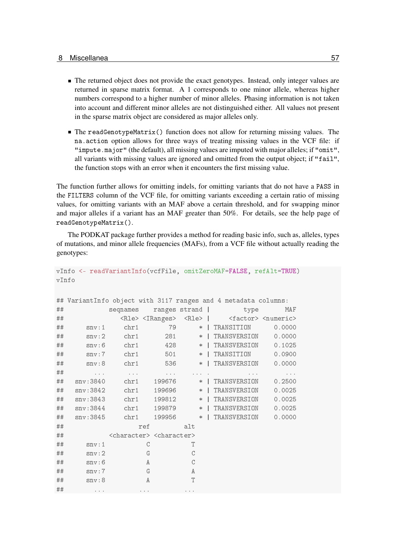- The returned object does not provide the exact genotypes. Instead, only integer values are returned in sparse matrix format. A 1 corresponds to one minor allele, whereas higher numbers correspond to a higher number of minor alleles. Phasing information is not taken into account and different minor alleles are not distinguished either. All values not present in the sparse matrix object are considered as major alleles only.
- The readGenotypeMatrix() function does not allow for returning missing values. The na.action option allows for three ways of treating missing values in the VCF file: if "impute.major" (the default), all missing values are imputed with major alleles; if "omit", all variants with missing values are ignored and omitted from the output object; if "fail", the function stops with an error when it encounters the first missing value.

The function further allows for omitting indels, for omitting variants that do not have a PASS in the FILTERS column of the VCF file, for omitting variants exceeding a certain ratio of missing values, for omitting variants with an MAF above a certain threshold, and for swapping minor and major alleles if a variant has an MAF greater than 50%. For details, see the help page of readGenotypeMatrix().

The PODKAT package further provides a method for reading basic info, such as, alleles, types of mutations, and minor allele frequencies (MAFs), from a VCF file without actually reading the genotypes:

| vInfo <- readVariantInfo(vcfFile, omitZeroMAF=FALSE, refAlt=TRUE) |                               |                                                 |        |                                                                                          |     |                                                                                     |                                  |  |  |  |  |  |
|-------------------------------------------------------------------|-------------------------------|-------------------------------------------------|--------|------------------------------------------------------------------------------------------|-----|-------------------------------------------------------------------------------------|----------------------------------|--|--|--|--|--|
| vInfo                                                             |                               |                                                 |        |                                                                                          |     |                                                                                     |                                  |  |  |  |  |  |
|                                                                   |                               |                                                 |        |                                                                                          |     |                                                                                     |                                  |  |  |  |  |  |
| ## VariantInfo object with 3117 ranges and 4 metadata columns:    |                               |                                                 |        |                                                                                          |     |                                                                                     |                                  |  |  |  |  |  |
| ##                                                                |                               | seqnames ranges strand                          |        |                                                                                          |     | type                                                                                | MAF                              |  |  |  |  |  |
| ##                                                                |                               |                                                 |        |                                                                                          |     | <rle> <iranges> <rle>   <factor> <numeric></numeric></factor></rle></iranges></rle> |                                  |  |  |  |  |  |
| ##                                                                |                               | $snv:1$ chr1 79                                 |        |                                                                                          |     | *   TRANSITION                                                                      | 0.0000                           |  |  |  |  |  |
| ##                                                                |                               | $\texttt{snv:2}$ $\texttt{chr1}$ 281            |        |                                                                                          |     | *   TRANSVERSION                                                                    | 0.0000                           |  |  |  |  |  |
| ##                                                                |                               | $\texttt{snv:6}$ $\texttt{chr1}$ 428            |        |                                                                                          | $*$ | TRANSVERSION                                                                        | 0.1025                           |  |  |  |  |  |
| ##                                                                |                               | snv:7 chr1 501                                  |        |                                                                                          | $*$ | TRANSITION                                                                          | 0.0900                           |  |  |  |  |  |
| ##                                                                |                               | snv:8 chr1                                      | 536    | $\ast$                                                                                   |     | TRANSVERSION                                                                        | 0.0000                           |  |  |  |  |  |
| ##                                                                | $\epsilon \rightarrow \infty$ | and the contract of the contract of             |        | $\mathbf{z}$ , and $\mathbf{z}$ , and $\mathbf{z}$ , and $\mathbf{z}$ , and $\mathbf{z}$ |     | <b>Contractor</b>                                                                   | $\epsilon \rightarrow -\epsilon$ |  |  |  |  |  |
| ##                                                                |                               | $snv:3840$ $chr1$                               | 199676 |                                                                                          |     | *   TRANSVERSION                                                                    | 0.2500                           |  |  |  |  |  |
| ##                                                                |                               | $snv:3842$ $chr1$                               | 199696 |                                                                                          | $*$ | TRANSVERSION                                                                        | 0.0025                           |  |  |  |  |  |
| ##                                                                |                               | $snv:3843$ $chr1$                               | 199812 |                                                                                          | $*$ | TRANSVERSION                                                                        | 0.0025                           |  |  |  |  |  |
| ##                                                                |                               | $snv:3844$ $chr1$                               | 199879 |                                                                                          | $*$ | TRANSVERSION                                                                        | 0.0025                           |  |  |  |  |  |
| ##                                                                |                               | $snv:3845$ $chr1$                               | 199956 |                                                                                          | $*$ | TRANSVERSION                                                                        | 0.0000                           |  |  |  |  |  |
| ##                                                                |                               | ref                                             |        | alt                                                                                      |     |                                                                                     |                                  |  |  |  |  |  |
| ##                                                                |                               | <character> <character></character></character> |        |                                                                                          |     |                                                                                     |                                  |  |  |  |  |  |
| ##                                                                | snv:1                         | C                                               |        | T                                                                                        |     |                                                                                     |                                  |  |  |  |  |  |
| ##                                                                | snv:2                         | G                                               |        | $\mathcal C$                                                                             |     |                                                                                     |                                  |  |  |  |  |  |
| ##                                                                | snv:6                         | A                                               |        | $\mathcal C$                                                                             |     |                                                                                     |                                  |  |  |  |  |  |
| ##                                                                | snv:7                         | G                                               |        | Α                                                                                        |     |                                                                                     |                                  |  |  |  |  |  |
| ##                                                                | snv:8                         | Α                                               |        | T                                                                                        |     |                                                                                     |                                  |  |  |  |  |  |
| ##                                                                | $\alpha = \alpha = \alpha$    | $\alpha=\alpha=\alpha$                          |        | $\bullet$ . $\bullet$ . $\bullet$                                                        |     |                                                                                     |                                  |  |  |  |  |  |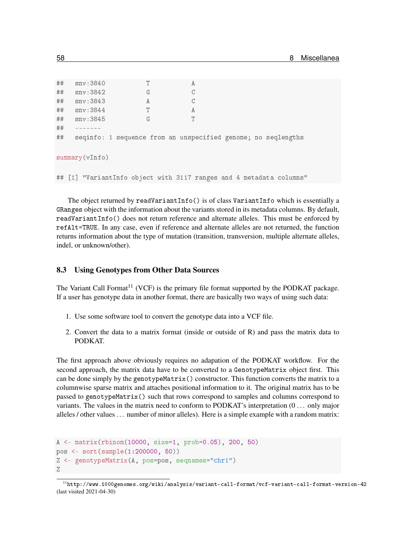| ##             | snv:3840                                                            |   | Α |  |  |  |  |  |  |  |
|----------------|---------------------------------------------------------------------|---|---|--|--|--|--|--|--|--|
| ##             | snv:3842                                                            | G | C |  |  |  |  |  |  |  |
| ##             | snv:3843                                                            | Α | C |  |  |  |  |  |  |  |
| ##             | snv:3844                                                            |   | A |  |  |  |  |  |  |  |
| ##             | snv:3845                                                            | G | Τ |  |  |  |  |  |  |  |
| ##             |                                                                     |   |   |  |  |  |  |  |  |  |
| ##             | seqinfo: 1 sequence from an unspecified genome; no seqlengths       |   |   |  |  |  |  |  |  |  |
|                |                                                                     |   |   |  |  |  |  |  |  |  |
| summary(vInfo) |                                                                     |   |   |  |  |  |  |  |  |  |
|                |                                                                     |   |   |  |  |  |  |  |  |  |
|                | ## [1] "VariantInfo object with 3117 ranges and 4 metadata columns" |   |   |  |  |  |  |  |  |  |

The object returned by readVariantInfo() is of class VariantInfo which is essentially a GRanges object with the information about the variants stored in its metadata columns. By default, readVariantInfo() does not return reference and alternate alleles. This must be enforced by refAlt=TRUE. In any case, even if reference and alternate alleles are not returned, the function returns information about the type of mutation (transition, transversion, multiple alternate alleles, indel, or unknown/other).

## 8.3 Using Genotypes from Other Data Sources

The Variant Call Format<sup>[11](#page-57-0)</sup> (VCF) is the primary file format supported by the PODKAT package. If a user has genotype data in another format, there are basically two ways of using such data:

- 1. Use some software tool to convert the genotype data into a VCF file.
- 2. Convert the data to a matrix format (inside or outside of R) and pass the matrix data to PODKAT.

The first approach above obviously requires no adapation of the PODKAT workflow. For the second approach, the matrix data have to be converted to a GenotypeMatrix object first. This can be done simply by the genotypeMatrix() constructor. This function converts the matrix to a columnwise sparse matrix and attaches positional information to it. The original matrix has to be passed to genotypeMatrix() such that rows correspond to samples and columns correspond to variants. The values in the matrix need to conform to PODKAT's interpretation (0 . . . only major alleles / other values . . . number of minor alleles). Here is a simple example with a random matrix:

```
A <- matrix(rbinom(10000, size=1, prob=0.05), 200, 50)
pos <- sort(sample(1:200000, 50))
Z <- genotypeMatrix(A, pos=pos, seqnames="chr1")
Z
```
<span id="page-57-0"></span><sup>11</sup><http://www.1000genomes.org/wiki/analysis/variant-call-format/vcf-variant-call-format-version-42> (last visited 2021-04-30)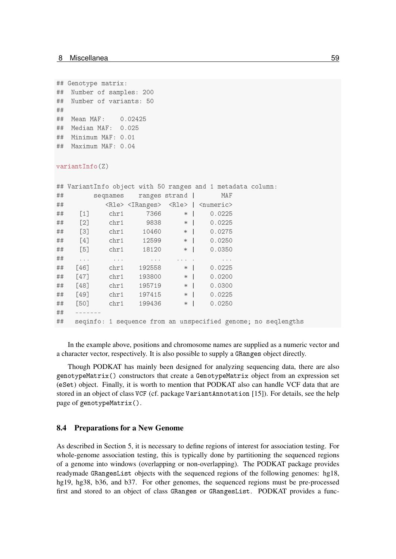```
## Genotype matrix:
## Number of samples: 200
## Number of variants: 50
##
## Mean MAF: 0.02425
## Median MAF: 0.025
## Minimum MAF: 0.01
## Maximum MAF: 0.04
```
#### variantInfo(Z)

|    | ## VariantInfo object with 50 ranges and 1 metadata column: |                                                                                                                 |  |  |  |  |
|----|-------------------------------------------------------------|-----------------------------------------------------------------------------------------------------------------|--|--|--|--|
| ## |                                                             | seqnames ranges strand   MAF                                                                                    |  |  |  |  |
| ## |                                                             | <rle> <iranges> <rle>   <numeric></numeric></rle></iranges></rle>                                               |  |  |  |  |
| ## | $[1]$ chr1 7366 * 0.0225                                    |                                                                                                                 |  |  |  |  |
| ## | [2] chr1 9838 *   0.0225                                    |                                                                                                                 |  |  |  |  |
| ## | $[3]$ chr1 10460 *   0.0275                                 |                                                                                                                 |  |  |  |  |
| ## | $[4]$ chr1 12599 * 0.0250                                   |                                                                                                                 |  |  |  |  |
| ## | [5] chr1 18120 *   0.0350                                   |                                                                                                                 |  |  |  |  |
| ## | $\sim 100$ km s $^{-1}$                                     | the contract of the contract of the contract of the contract of the contract of the contract of the contract of |  |  |  |  |
|    | ## [46] chr1 192558 *   0.0225                              |                                                                                                                 |  |  |  |  |
| ## | $[47]$ chr1 193800 * 0.0200                                 |                                                                                                                 |  |  |  |  |
| ## | $[48]$ chr1 195719 *   0.0300                               |                                                                                                                 |  |  |  |  |
| ## | $[49]$ chr1 197415 *   0.0225                               |                                                                                                                 |  |  |  |  |
| ## | $[50]$ chr1 199436 * 0.0250                                 |                                                                                                                 |  |  |  |  |
| ## |                                                             |                                                                                                                 |  |  |  |  |
| ## |                                                             | seqinfo: 1 sequence from an unspecified genome; no seqlengths                                                   |  |  |  |  |

In the example above, positions and chromosome names are supplied as a numeric vector and a character vector, respectively. It is also possible to supply a GRanges object directly.

Though PODKAT has mainly been designed for analyzing sequencing data, there are also genotypeMatrix() constructors that create a GenotypeMatrix object from an expression set (eSet) object. Finally, it is worth to mention that PODKAT also can handle VCF data that are stored in an object of class VCF (cf. package VariantAnnotation [\[15\]](#page-77-4)). For details, see the help page of genotypeMatrix().

#### 8.4 Preparations for a New Genome

As described in Section [5,](#page-17-0) it is necessary to define regions of interest for association testing. For whole-genome association testing, this is typically done by partitioning the sequenced regions of a genome into windows (overlapping or non-overlapping). The PODKAT package provides readymade GRangesList objects with the sequenced regions of the following genomes: hg18, hg19, hg38, b36, and b37. For other genomes, the sequenced regions must be pre-processed first and stored to an object of class GRanges or GRangesList. PODKAT provides a func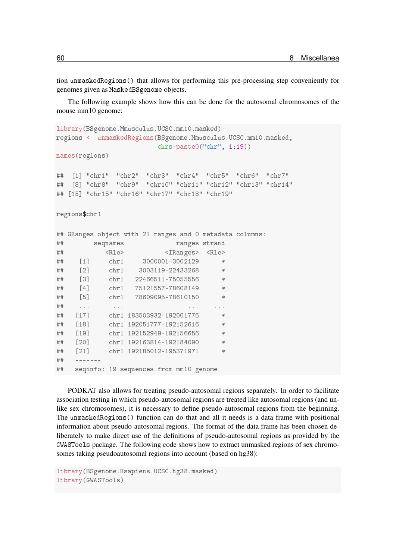tion unmaskedRegions() that allows for performing this pre-processing step conveniently for genomes given as MaskedBSgenome objects.

The following example shows how this can be done for the autosomal chromosomes of the mouse mm10 genome:

```
library(BSgenome.Mmusculus.UCSC.mm10.masked)
regions <- unmaskedRegions(BSgenome.Mmusculus.UCSC.mm10.masked,
                      chrs=paste0("chr", 1:19))
names(regions)
## [1] "chr1" "chr2" "chr3" "chr4" "chr5" "chr6" "chr7"
## [8] "chr8" "chr9" "chr10" "chr11" "chr12" "chr13" "chr14"
## [15] "chr15" "chr16" "chr17" "chr18" "chr19"
regions$chr1
## GRanges object with 21 ranges and 0 metadata columns:
## seqnames ranges strand
## <Rle> <IRanges> <Rle>
## [1] chr1 3000001-3002129 *
## [2] chr1 3003119-22433268 *
## [3] chr1 22466511-75055556 *
## [4] chr1 75121557-78608149 *
## [5] chr1 78609095-78610150 *
## ... ... ... ...
## [17] chr1 183503932-192001776 *
## [18] chr1 192051777-192152616 *
## [19] chr1 192152949-192156656 *
## [20] chr1 192163814-192184090 *
## [21] chr1 192185012-195371971 *
## -------
## seqinfo: 19 sequences from mm10 genome
```
PODKAT also allows for treating pseudo-autosomal regions separately. In order to facilitate association testing in which pseudo-autosomal regions are treated like autosomal regions (and unlike sex chromosomes), it is necessary to define pseudo-autosomal regions from the beginning. The unmaskedRegions() function can do that and all it needs is a data frame with positional information about pseudo-autosomal regions. The format of the data frame has been chosen deliberately to make direct use of the definitions of pseudo-autosomal regions as provided by the GWASTools package. The following code shows how to extract unmasked regions of sex chromosomes taking pseudoautosomal regions into account (based on hg38):

```
library(BSgenome.Hsapiens.UCSC.hg38.masked)
library(GWASTools)
```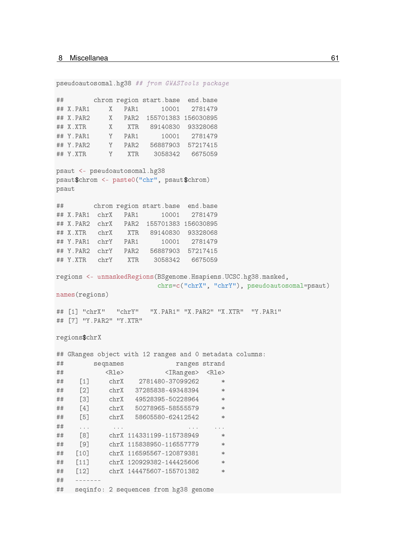pseudoautosomal.hg38 ## from GWASTools package ## chrom region start.base end.base ## X.PAR1 X PAR1 10001 2781479 ## X.PAR2 X PAR2 155701383 156030895 ## X.XTR X XTR 89140830 93328068 Y PAR1 10001 2781479 ## Y.PAR2 Y PAR2 56887903 57217415 ## Y.XTR Y XTR 3058342 6675059 psaut <- pseudoautosomal.hg38 psaut\$chrom <- paste0("chr", psaut\$chrom) psaut ## chrom region start.base end.base ## X.PAR1 chrX PAR1 10001 2781479 ## X.PAR2 chrX PAR2 155701383 156030895 ## X.XTR chrX XTR 89140830 93328068 ## Y.PAR1 chrY PAR1 10001 2781479 ## Y.PAR2 chrY PAR2 56887903 57217415 ## Y.XTR chrY XTR 3058342 6675059 regions <- unmaskedRegions(BSgenome.Hsapiens.UCSC.hg38.masked, chrs=c("chrX", "chrY"), pseudoautosomal=psaut) names(regions) ## [1] "chrX" "chrY" "X.PAR1" "X.PAR2" "X.XTR" "Y.PAR1" ## [7] "Y.PAR2" "Y.XTR" regions\$chrX ## GRanges object with 12 ranges and 0 metadata columns: ## seqnames ranges strand ## <Rle> <IRanges> <Rle> ## [1] chrX 2781480-37099262 \* ## [2] chrX 37285838-49348394 \* ## [3] chrX 49528395-50228964 \* ## [4] chrX 50278965-58555579 \* ## [5] chrX 58605580-62412542 \* ## ... ... ... ... ## [8] chrX 114331199-115738949 \* ## [9] chrX 115838950-116557779 \* ## [10] chrX 116595567-120879381 \* ## [11] chrX 120929382-144425606 \* ## [12] chrX 144475607-155701382 \* ## ------- ## seqinfo: 2 sequences from hg38 genome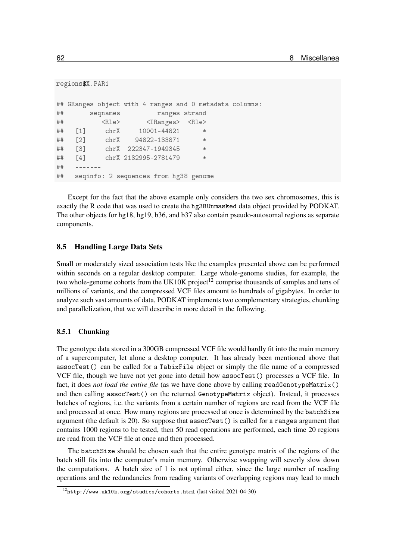```
regions$X.PAR1
## GRanges object with 4 ranges and 0 metadata columns:
## seqnames ranges strand
## <Rle> <IRanges> <Rle>
## [1] chrX 10001-44821 *
## [2] chrX 94822-133871 *
## [3] chrX 222347-1949345 *
## [4] chrX 2132995-2781479 *
#### seqinfo: 2 sequences from hg38 genome
```
Except for the fact that the above example only considers the two sex chromosomes, this is exactly the R code that was used to create the hg38Unmasked data object provided by PODKAT. The other objects for hg18, hg19, b36, and b37 also contain pseudo-autosomal regions as separate components.

# 8.5 Handling Large Data Sets

Small or moderately sized association tests like the examples presented above can be performed within seconds on a regular desktop computer. Large whole-genome studies, for example, the two whole-genome cohorts from the UK10K project<sup>[12](#page-61-0)</sup> comprise thousands of samples and tens of millions of variants, and the compressed VCF files amount to hundreds of gigabytes. In order to analyze such vast amounts of data, PODKAT implements two complementary strategies, chunking and parallelization, that we will describe in more detail in the following.

## <span id="page-61-1"></span>8.5.1 Chunking

The genotype data stored in a 300GB compressed VCF file would hardly fit into the main memory of a supercomputer, let alone a desktop computer. It has already been mentioned above that assocTest() can be called for a TabixFile object or simply the file name of a compressed VCF file, though we have not yet gone into detail how assocTest() processes a VCF file. In fact, it does *not load the entire file* (as we have done above by calling readGenotypeMatrix() and then calling assocTest() on the returned GenotypeMatrix object). Instead, it processes batches of regions, i.e. the variants from a certain number of regions are read from the VCF file and processed at once. How many regions are processed at once is determined by the batchSize argument (the default is 20). So suppose that assocTest() is called for a ranges argument that contains 1000 regions to be tested, then 50 read operations are performed, each time 20 regions are read from the VCF file at once and then processed.

The batchSize should be chosen such that the entire genotype matrix of the regions of the batch still fits into the computer's main memory. Otherwise swapping will severly slow down the computations. A batch size of 1 is not optimal either, since the large number of reading operations and the redundancies from reading variants of overlapping regions may lead to much

<span id="page-61-0"></span><sup>12</sup><http://www.uk10k.org/studies/cohorts.html> (last visited 2021-04-30)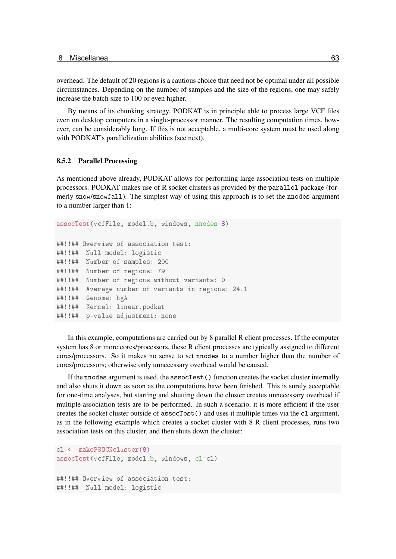overhead. The default of 20 regions is a cautious choice that need not be optimal under all possible circumstances. Depending on the number of samples and the size of the regions, one may safely increase the batch size to 100 or even higher.

By means of its chunking strategy, PODKAT is in principle able to process large VCF files even on desktop computers in a single-processor manner. The resulting computation times, however, can be considerably long. If this is not acceptable, a multi-core system must be used along with PODKAT's parallelization abilities (see next).

#### 8.5.2 Parallel Processing

As mentioned above already, PODKAT allows for performing large association tests on multiple processors. PODKAT makes use of R socket clusters as provided by the parallel package (formerly snow/snowfall). The simplest way of using this approach is to set the nnodes argument to a number larger than 1:

assocTest(vcfFile, model.b, windows, nnodes=8)

```
##!!## Overview of association test:
##!!## Null model: logistic
##!!## Number of samples: 200
##!!## Number of regions: 79
##!!## Number of regions without variants: 0
##!!## Average number of variants in regions: 24.1
##!!## Genome: hgA
##!!## Kernel: linear.podkat
##!!## p-value adjustment: none
```
In this example, computations are carried out by 8 parallel R client processes. If the computer system has 8 or more cores/processors, these R client processes are typically assigned to different cores/processors. So it makes no sense to set nnodes to a number higher than the number of cores/processors; otherwise only unnecessary overhead would be caused.

If the nnodes argument is used, the assocTest() function creates the socket cluster internally and also shuts it down as soon as the computations have been finished. This is surely acceptable for one-time analyses, but starting and shutting down the cluster creates unnecessary overhead if multiple association tests are to be performed. In such a scenario, it is more efficient if the user creates the socket cluster outside of assocTest() and uses it multiple times via the cl argument, as in the following example which creates a socket cluster with 8 R client processes, runs two association tests on this cluster, and then shuts down the cluster:

```
cl <- makePSOCKcluster(8)
assocTest(vcfFile, model.b, windows, cl=cl)
##!!## Overview of association test:
##!!## Null model: logistic
```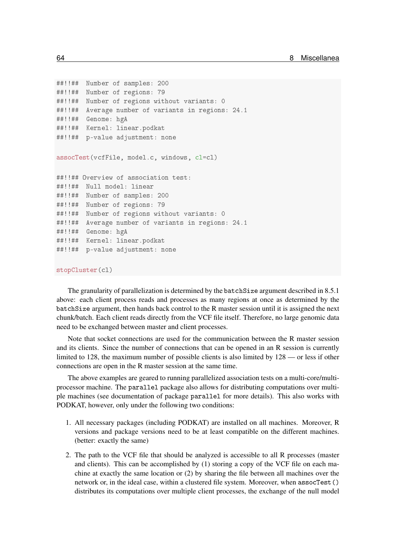```
##!!## Number of samples: 200
##!!## Number of regions: 79
##!!## Number of regions without variants: 0
##!!## Average number of variants in regions: 24.1
##!!## Genome: hgA
##!!## Kernel: linear.podkat
##!!## p-value adjustment: none
assocTest(vcfFile, model.c, windows, cl=cl)
##!!## Overview of association test:
##!!## Null model: linear
##!!## Number of samples: 200
##!!## Number of regions: 79
##!!## Number of regions without variants: 0
##!!## Average number of variants in regions: 24.1
##!!## Genome: hgA
##!!## Kernel: linear.podkat
##!!## p-value adjustment: none
stopCluster(cl)
```
The granularity of parallelization is determined by the batchSize argument described in [8.5.1](#page-61-1) above: each client process reads and processes as many regions at once as determined by the batchSize argument, then hands back control to the R master session until it is assigned the next chunk/batch. Each client reads directly from the VCF file itself. Therefore, no large genomic data need to be exchanged between master and client processes.

Note that socket connections are used for the communication between the R master session and its clients. Since the number of connections that can be opened in an R session is currently limited to 128, the maximum number of possible clients is also limited by 128 — or less if other connections are open in the R master session at the same time.

The above examples are geared to running parallelized association tests on a multi-core/multiprocessor machine. The parallel package also allows for distributing computations over multiple machines (see documentation of package parallel for more details). This also works with PODKAT, however, only under the following two conditions:

- 1. All necessary packages (including PODKAT) are installed on all machines. Moreover, R versions and package versions need to be at least compatible on the different machines. (better: exactly the same)
- 2. The path to the VCF file that should be analyzed is accessible to all R processes (master and clients). This can be accomplished by (1) storing a copy of the VCF file on each machine at exactly the same location or (2) by sharing the file between all machines over the network or, in the ideal case, within a clustered file system. Moreover, when assocTest() distributes its computations over multiple client processes, the exchange of the null model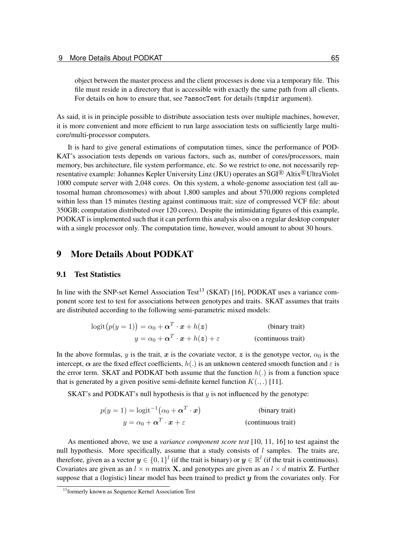object between the master process and the client processes is done via a temporary file. This file must reside in a directory that is accessible with exactly the same path from all clients. For details on how to ensure that, see ?assocTest for details (tmpdir argument).

As said, it is in principle possible to distribute association tests over multiple machines, however, it is more convenient and more efficient to run large association tests on sufficiently large multicore/multi-processor computers.

It is hard to give general estimations of computation times, since the performance of POD-KAT's association tests depends on various factors, such as, number of cores/processors, main memory, bus architecture, file system performance, etc. So we restrict to one, not necessarily representative example: Johannes Kepler University Linz (JKU) operates an SGI<sup>®</sup> Altix<sup>®</sup>UltraViolet 1000 compute server with 2,048 cores. On this system, a whole-genome association test (all autosomal human chromosomes) with about 1,800 samples and about 570,000 regions completed within less than 15 minutes (testing against continuous trait; size of compressed VCF file: about 350GB; computation distributed over 120 cores). Despite the intimidating figures of this example, PODKAT is implemented such that it can perform this analysis also on a regular desktop computer with a single processor only. The computation time, however, would amount to about 30 hours.

# 9 More Details About PODKAT

## <span id="page-64-1"></span>9.1 Test Statistics

In line with the SNP-set Kernel Association Test<sup>[13](#page-64-0)</sup> (SKAT) [\[16\]](#page-78-0), PODKAT uses a variance component score test to test for associations between genotypes and traits. SKAT assumes that traits are distributed according to the following semi-parametric mixed models:

$$
logit(p(y = 1)) = \alpha_0 + \alpha^T \cdot x + h(z)
$$
 (binary trait)  
\n
$$
y = \alpha_0 + \alpha^T \cdot x + h(z) + \varepsilon
$$
 (continuous trait)

In the above formulas, y is the trait, x is the covariate vector, z is the genotype vector,  $\alpha_0$  is the intercept,  $\alpha$  are the fixed effect coefficients,  $h(.)$  is an unknown centered smooth function and  $\varepsilon$  is the error term. SKAT and PODKAT both assume that the function  $h(.)$  is from a function space that is generated by a given positive semi-definite kernel function  $K(.,.)$  [\[11\]](#page-77-6).

SKAT's and PODKAT's null hypothesis is that  $y$  is not influenced by the genotype:

$$
p(y = 1) = \text{logit}^{-1}(\alpha_0 + \boldsymbol{\alpha}^T \cdot \boldsymbol{x})
$$
 (binary trait)  
\n
$$
y = \alpha_0 + \boldsymbol{\alpha}^T \cdot \boldsymbol{x} + \varepsilon
$$
 (continuous trait)

As mentioned above, we use a *variance component score test* [\[10,](#page-77-7) [11,](#page-77-6) [16\]](#page-78-0) to test against the null hypothesis. More specifically, assume that a study consists of  $l$  samples. The traits are, therefore, given as a vector  $y \in \{0,1\}^l$  (if the trait is binary) or  $y \in \mathbb{R}^l$  (if the trait is continuous). Covariates are given as an  $l \times n$  matrix **X**, and genotypes are given as an  $l \times d$  matrix **Z**. Further suppose that a (logistic) linear model has been trained to predict  $y$  from the covariates only. For

<span id="page-64-0"></span><sup>13</sup>formerly known as Sequence Kernel Association Test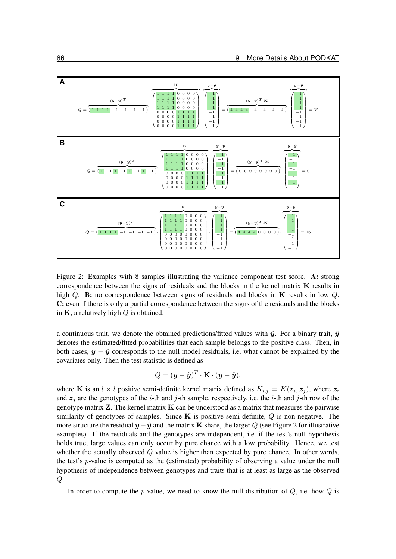

<span id="page-65-0"></span>Figure 2: Examples with 8 samples illustrating the variance component test score. A: strong correspondence between the signs of residuals and the blocks in the kernel matrix  $\bf{K}$  results in high Q. **B:** no correspondence between signs of residuals and blocks in K results in low Q. C: even if there is only a partial correspondence between the signs of the residuals and the blocks in  $K$ , a relatively high  $Q$  is obtained.

a continuous trait, we denote the obtained predictions/fitted values with  $\hat{y}$ . For a binary trait,  $\hat{y}$ denotes the estimated/fitted probabilities that each sample belongs to the positive class. Then, in both cases,  $y - \hat{y}$  corresponds to the null model residuals, i.e. what cannot be explained by the covariates only. Then the test statistic is defined as

$$
Q = (\mathbf{y} - \hat{\mathbf{y}})^T \cdot \mathbf{K} \cdot (\mathbf{y} - \hat{\mathbf{y}}),
$$

where **K** is an  $l \times l$  positive semi-definite kernel matrix defined as  $K_{i,j} = K(z_i, z_j)$ , where  $z_i$ and  $z_j$  are the genotypes of the *i*-th and *j*-th sample, respectively, i.e. the *i*-th and *j*-th row of the genotype matrix  $Z$ . The kernel matrix  $K$  can be understood as a matrix that measures the pairwise similarity of genotypes of samples. Since  $\bf{K}$  is positive semi-definite,  $Q$  is non-negative. The more structure the residual  $y-\hat{y}$  and the matrix K share, the larger Q (see Figure [2](#page-65-0) for illustrative examples). If the residuals and the genotypes are independent, i.e. if the test's null hypothesis holds true, large values can only occur by pure chance with a low probability. Hence, we test whether the actually observed  $Q$  value is higher than expected by pure chance. In other words, the test's p-value is computed as the (estimated) probability of observing a value under the null hypothesis of independence between genotypes and traits that is at least as large as the observed  $Q$ .

In order to compute the p-value, we need to know the null distribution of  $Q$ , i.e. how  $Q$  is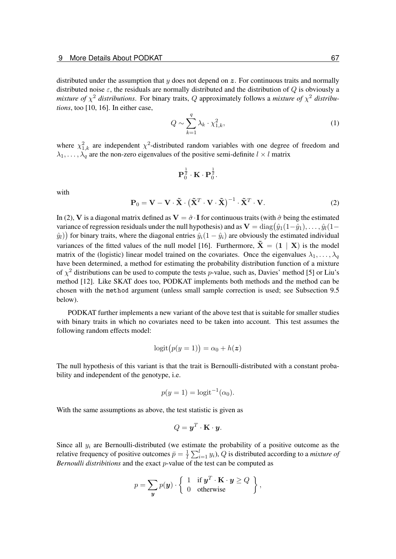distributed under the assumption that  $y$  does not depend on  $z$ . For continuous traits and normally distributed noise  $\varepsilon$ , the residuals are normally distributed and the distribution of Q is obviously a *mixture of*  $\chi^2$  *distributions.* For binary traits, Q approximately follows a *mixture of*  $\chi^2$  *distributions*, too [\[10,](#page-77-7) [16\]](#page-78-0). In either case,

$$
Q \sim \sum_{k=1}^{q} \lambda_k \cdot \chi^2_{1,k},\tag{1}
$$

where  $\chi^2_{1,k}$  are independent  $\chi^2$ -distributed random variables with one degree of freedom and  $\lambda_1, \ldots, \lambda_q$  are the non-zero eigenvalues of the positive semi-definite  $l \times l$  matrix

$$
\mathbf{P}_0^{\frac{1}{2}}\cdot\mathbf{K}\cdot\mathbf{P}_0^{\frac{1}{2}}.
$$

with

<span id="page-66-0"></span>
$$
\mathbf{P}_0 = \mathbf{V} - \mathbf{V} \cdot \tilde{\mathbf{X}} \cdot \left( \tilde{\mathbf{X}}^T \cdot \mathbf{V} \cdot \tilde{\mathbf{X}} \right)^{-1} \cdot \tilde{\mathbf{X}}^T \cdot \mathbf{V}.
$$
 (2)

In [\(2\)](#page-66-0), V is a diagonal matrix defined as  $V = \hat{\sigma} \cdot I$  for continuous traits (with  $\hat{\sigma}$  being the estimated variance of regression residuals under the null hypothesis) and as  ${\bf V}={\rm diag}\big(\hat{y}_1(1-\hat{y}_1),\ldots,\hat{y}_l(1-\hat{y}_l)\big)$  $(y_l)$ ) for binary traits, where the diagonal entries  $\hat{y}_i(1 - \hat{y}_i)$  are obviously the estimated individual variances of the fitted values of the null model [\[16\]](#page-78-0). Furthermore,  $\tilde{\mathbf{X}} = (\mathbf{1} \mid \mathbf{X})$  is the model matrix of the (logistic) linear model trained on the covariates. Once the eigenvalues  $\lambda_1, \ldots, \lambda_q$ have been determined, a method for estimating the probability distribution function of a mixture of  $\chi^2$  distributions can be used to compute the tests p-value, such as, Davies' method [\[5\]](#page-77-8) or Liu's method [\[12\]](#page-77-9). Like SKAT does too, PODKAT implements both methods and the method can be chosen with the method argument (unless small sample correction is used; see Subsection [9.5](#page-73-0) below).

PODKAT further implements a new variant of the above test that is suitable for smaller studies with binary traits in which no covariates need to be taken into account. This test assumes the following random effects model:

$$
logit(p(y = 1)) = \alpha_0 + h(z)
$$

The null hypothesis of this variant is that the trait is Bernoulli-distributed with a constant probability and independent of the genotype, i.e.

$$
p(y=1) = \logit^{-1}(\alpha_0).
$$

With the same assumptions as above, the test statistic is given as

$$
Q = \boldsymbol{y}^T \cdot \mathbf{K} \cdot \boldsymbol{y}.
$$

Since all  $y_i$  are Bernoulli-distributed (we estimate the probability of a positive outcome as the relative frequency of positive outcomes  $\bar{p} = \frac{1}{l}$  $\frac{1}{l} \sum_{i=1}^{l} y_i$ , Q is distributed according to a *mixture of Bernoulli distribitions* and the exact p-value of the test can be computed as

$$
p = \sum_{\mathbf{y}} p(\mathbf{y}) \cdot \left\{ \begin{array}{ll} 1 & \text{if } \mathbf{y}^T \cdot \mathbf{K} \cdot \mathbf{y} \ge Q \\ 0 & \text{otherwise} \end{array} \right\},
$$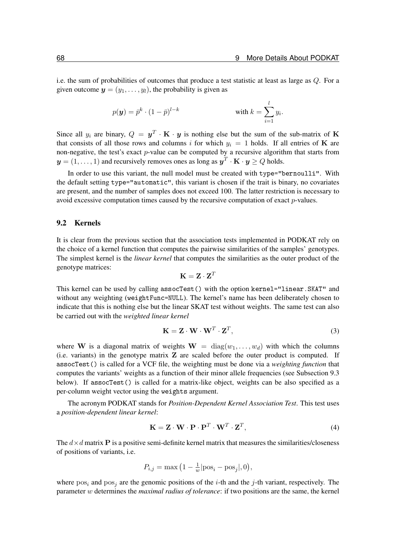i.e. the sum of probabilities of outcomes that produce a test statistic at least as large as Q. For a given outcome  $y = (y_1, \dots, y_l)$ , the probability is given as

$$
p(\boldsymbol{y}) = \bar{p}^k \cdot (1 - \bar{p})^{l-k} \qquad \text{with } k = \sum_{i=1}^l y_i.
$$

Since all  $y_i$  are binary,  $Q = y^T \cdot K \cdot y$  is nothing else but the sum of the sub-matrix of K that consists of all those rows and columns i for which  $y_i = 1$  holds. If all entries of **K** are non-negative, the test's exact p-value can be computed by a recursive algorithm that starts from  $\mathbf{y} = (1, \dots, 1)$  and recursively removes ones as long as  $\mathbf{y}^T \cdot \mathbf{K} \cdot \mathbf{y} \ge Q$  holds.

In order to use this variant, the null model must be created with type="bernoulli". With the default setting type="automatic", this variant is chosen if the trait is binary, no covariates are present, and the number of samples does not exceed 100. The latter restriction is necessary to avoid excessive computation times caused by the recursive computation of exact  $p$ -values.

### 9.2 Kernels

It is clear from the previous section that the association tests implemented in PODKAT rely on the choice of a kernel function that computes the pairwise similarities of the samples' genotypes. The simplest kernel is the *linear kernel* that computes the similarities as the outer product of the genotype matrices:

$$
\mathbf{K} = \mathbf{Z} \cdot \mathbf{Z}^T
$$

This kernel can be used by calling assocTest() with the option kernel="linear.SKAT" and without any weighting (weightFunc=NULL). The kernel's name has been deliberately chosen to indicate that this is nothing else but the linear SKAT test without weights. The same test can also be carried out with the *weighted linear kernel*

$$
\mathbf{K} = \mathbf{Z} \cdot \mathbf{W} \cdot \mathbf{W}^T \cdot \mathbf{Z}^T,\tag{3}
$$

where W is a diagonal matrix of weights  $W = diag(w_1, \ldots, w_d)$  with which the columns (i.e. variants) in the genotype matrix Z are scaled before the outer product is computed. If assocTest() is called for a VCF file, the weighting must be done via a *weighting function* that computes the variants' weights as a function of their minor allele frequencies (see Subsection [9.3](#page-70-0) below). If assocTest() is called for a matrix-like object, weights can be also specified as a per-column weight vector using the weights argument.

The acronym PODKAT stands for *Position-Dependent Kernel Association Test*. This test uses a *position-dependent linear kernel*:

$$
\mathbf{K} = \mathbf{Z} \cdot \mathbf{W} \cdot \mathbf{P} \cdot \mathbf{P}^T \cdot \mathbf{W}^T \cdot \mathbf{Z}^T,
$$
 (4)

The  $d \times d$  matrix **P** is a positive semi-definite kernel matrix that measures the similarities/closeness of positions of variants, i.e.

$$
P_{i,j} = \max\left(1 - \frac{1}{w}|\text{pos}_i - \text{pos}_j|, 0\right),\,
$$

where  $pos<sub>i</sub>$  and  $pos<sub>j</sub>$  are the genomic positions of the *i*-th and the *j*-th variant, respectively. The parameter w determines the *maximal radius of tolerance*: if two positions are the same, the kernel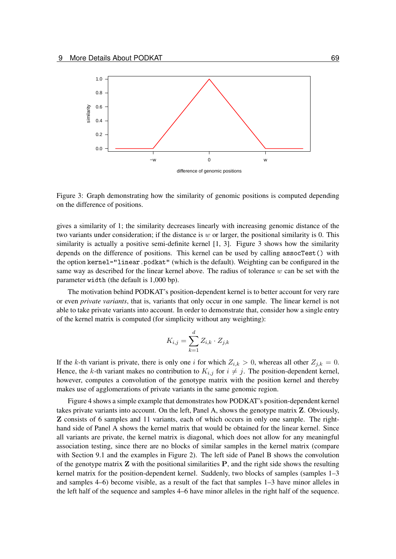

<span id="page-68-0"></span>Figure 3: Graph demonstrating how the similarity of genomic positions is computed depending on the difference of positions.

gives a similarity of 1; the similarity decreases linearly with increasing genomic distance of the two variants under consideration; if the distance is  $w$  or larger, the positional similarity is 0. This similarity is actually a positive semi-definite kernel [\[1,](#page-76-0) [3\]](#page-77-10). Figure [3](#page-68-0) shows how the similarity depends on the difference of positions. This kernel can be used by calling assocTest() with the option kernel="linear.podkat" (which is the default). Weighting can be configured in the same way as described for the linear kernel above. The radius of tolerance  $w$  can be set with the parameter width (the default is 1,000 bp).

The motivation behind PODKAT's position-dependent kernel is to better account for very rare or even *private variants*, that is, variants that only occur in one sample. The linear kernel is not able to take private variants into account. In order to demonstrate that, consider how a single entry of the kernel matrix is computed (for simplicity without any weighting):

$$
K_{i,j} = \sum_{k=1}^{d} Z_{i,k} \cdot Z_{j,k}
$$

If the k-th variant is private, there is only one i for which  $Z_{i,k} > 0$ , whereas all other  $Z_{j,k} = 0$ . Hence, the k-th variant makes no contribution to  $K_{i,j}$  for  $i \neq j$ . The position-dependent kernel, however, computes a convolution of the genotype matrix with the position kernel and thereby makes use of agglomerations of private variants in the same genomic region.

Figure [4](#page-69-0) shows a simple example that demonstrates how PODKAT's position-dependent kernel takes private variants into account. On the left, Panel A, shows the genotype matrix Z. Obviously, Z consists of 6 samples and 11 variants, each of which occurs in only one sample. The righthand side of Panel A shows the kernel matrix that would be obtained for the linear kernel. Since all variants are private, the kernel matrix is diagonal, which does not allow for any meaningful association testing, since there are no blocks of similar samples in the kernel matrix (compare with Section [9.1](#page-64-1) and the examples in Figure [2\)](#page-65-0). The left side of Panel B shows the convolution of the genotype matrix  $Z$  with the positional similarities  $P$ , and the right side shows the resulting kernel matrix for the position-dependent kernel. Suddenly, two blocks of samples (samples 1–3 and samples 4–6) become visible, as a result of the fact that samples 1–3 have minor alleles in the left half of the sequence and samples 4–6 have minor alleles in the right half of the sequence.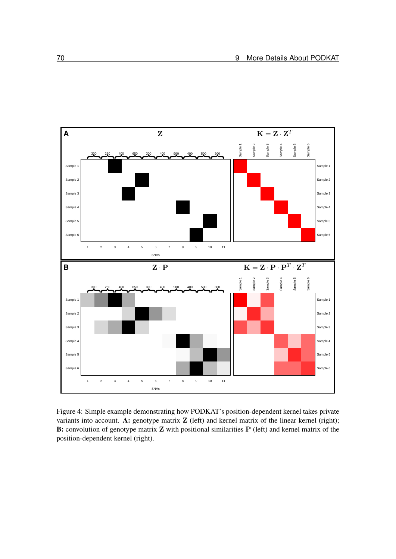

<span id="page-69-0"></span>Figure 4: Simple example demonstrating how PODKAT's position-dependent kernel takes private variants into account. A: genotype matrix Z (left) and kernel matrix of the linear kernel (right); B: convolution of genotype matrix **Z** with positional similarities **P** (left) and kernel matrix of the position-dependent kernel (right).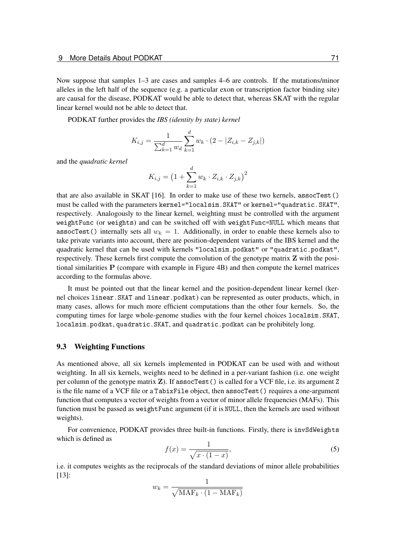Now suppose that samples 1–3 are cases and samples 4–6 are controls. If the mutations/minor alleles in the left half of the sequence (e.g. a particular exon or transcription factor binding site) are causal for the disease, PODKAT would be able to detect that, whereas SKAT with the regular linear kernel would not be able to detect that.

PODKAT further provides the *IBS (identity by state) kernel*

$$
K_{i,j} = \frac{1}{\sum_{k=1}^{d} w_d} \sum_{k=1}^{d} w_k \cdot (2 - |Z_{i,k} - Z_{j,k}|)
$$

and the *quadratic kernel*

$$
K_{i,j} = \left(1 + \sum_{k=1}^{d} w_k \cdot Z_{i,k} \cdot Z_{j,k}\right)^2
$$

that are also available in SKAT [\[16\]](#page-78-0). In order to make use of these two kernels, assocTest() must be called with the parameters kernel="localsim.SKAT" or kernel="quadratic.SKAT", respectively. Analogously to the linear kernel, weighting must be controlled with the argument weightFunc (or weights) and can be switched off with weightFunc=NULL which means that assocTest() internally sets all  $w_k = 1$ . Additionally, in order to enable these kernels also to take private variants into account, there are position-dependent variants of the IBS kernel and the quadratic kernel that can be used with kernels "localsim.podkat" or "quadratic.podkat", respectively. These kernels first compute the convolution of the genotype matrix Z with the positional similarities  $P$  (compare with example in Figure [4B](#page-69-0)) and then compute the kernel matrices according to the formulas above.

It must be pointed out that the linear kernel and the position-dependent linear kernel (kernel choices linear.SKAT and linear.podkat) can be represented as outer products, which, in many cases, allows for much more efficient computations than the other four kernels. So, the computing times for large whole-genome studies with the four kernel choices localsim.SKAT, localsim.podkat, quadratic.SKAT, and quadratic.podkat can be prohibitely long.

# <span id="page-70-0"></span>9.3 Weighting Functions

As mentioned above, all six kernels implemented in PODKAT can be used with and without weighting. In all six kernels, weights need to be defined in a per-variant fashion (i.e. one weight per column of the genotype matrix Z). If assocTest() is called for a VCF file, i.e. its argument Z is the file name of a VCF file or a TabixFile object, then assocTest() requires a one-argument function that computes a vector of weights from a vector of minor allele frequencies (MAFs). This function must be passed as weightFunc argument (if it is NULL, then the kernels are used without weights).

For convenience, PODKAT provides three built-in functions. Firstly, there is invSdWeights which is defined as

$$
f(x) = \frac{1}{\sqrt{x \cdot (1 - x)}},\tag{5}
$$

i.e. it computes weights as the reciprocals of the standard deviations of minor allele probabilities [\[13\]](#page-77-11):

$$
w_k = \frac{1}{\sqrt{\text{MAF}_k \cdot (1 - \text{MAF}_k)}}
$$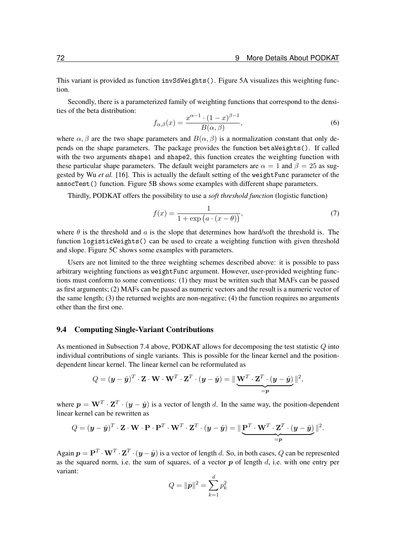This variant is provided as function invSdWeights(). Figure [5A](#page-72-0) visualizes this weighting function.

Secondly, there is a parameterized family of weighting functions that correspond to the densities of the beta distribution:

$$
f_{\alpha,\beta}(x) = \frac{x^{\alpha-1} \cdot (1-x)^{\beta-1}}{B(\alpha,\beta)},\tag{6}
$$

where  $\alpha$ ,  $\beta$  are the two shape parameters and  $B(\alpha, \beta)$  is a normalization constant that only depends on the shape parameters. The package provides the function betaWeights(). If called with the two arguments shape1 and shape2, this function creates the weighting function with these particular shape parameters. The default weight parameters are  $\alpha = 1$  and  $\beta = 25$  as suggested by Wu *et al.* [\[16\]](#page-78-0). This is actually the default setting of the weightFunc parameter of the assocTest() function. Figure [5B](#page-72-0) shows some examples with different shape parameters.

Thirdly, PODKAT offers the possibility to use a *soft threshold function* (logistic function)

$$
f(x) = \frac{1}{1 + \exp\left(a \cdot (x - \theta)\right)},\tag{7}
$$

where  $\theta$  is the threshold and a is the slope that determines how hard/soft the threshold is. The function logisticWeights() can be used to create a weighting function with given threshold and slope. Figure [5C](#page-72-0) shows some examples with parameters.

Users are not limited to the three weighting schemes described above: it is possible to pass arbitrary weighting functions as weightFunc argument. However, user-provided weighting functions must conform to some conventions: (1) they must be written such that MAFs can be passed as first arguments; (2) MAFs can be passed as numeric vectors and the result is a numeric vector of the same length; (3) the returned weights are non-negative; (4) the function requires no arguments other than the first one.

#### 9.4 Computing Single-Variant Contributions

As mentioned in Subsection [7.4](#page-44-0) above, PODKAT allows for decomposing the test statistic Q into individual contributions of single variants. This is possible for the linear kernel and the positiondependent linear kernel. The linear kernel can be reformulated as

$$
Q = (\mathbf{y} - \hat{\mathbf{y}})^T \cdot \mathbf{Z} \cdot \mathbf{W} \cdot \mathbf{W}^T \cdot \mathbf{Z}^T \cdot (\mathbf{y} - \hat{\mathbf{y}}) = ||\underbrace{\mathbf{W}^T \cdot \mathbf{Z}^T \cdot (\mathbf{y} - \hat{\mathbf{y}})}_{=p}||^2,
$$

where  $p = \mathbf{W}^T \cdot \mathbf{Z}^T \cdot (\mathbf{y} - \hat{\mathbf{y}})$  is a vector of length d. In the same way, the position-dependent linear kernel can be rewritten as

$$
Q = (\mathbf{y} - \hat{\mathbf{y}})^T \cdot \mathbf{Z} \cdot \mathbf{W} \cdot \mathbf{P} \cdot \mathbf{P}^T \cdot \mathbf{W}^T \cdot \mathbf{Z}^T \cdot (\mathbf{y} - \hat{\mathbf{y}}) = ||\underbrace{\mathbf{P}^T \cdot \mathbf{W}^T \cdot \mathbf{Z}^T \cdot (\mathbf{y} - \hat{\mathbf{y}})}_{=p}||^2.
$$

Again  $p = \mathbf{P}^T \cdot \mathbf{W}^T \cdot \mathbf{Z}^T \cdot (\mathbf{y} - \hat{\mathbf{y}})$  is a vector of length d. So, in both cases, Q can be represented as the squared norm, i.e. the sum of squares, of a vector  $p$  of length d, i.e. with one entry per variant:

$$
Q = ||p||^2 = \sum_{k=1}^d p_k^2
$$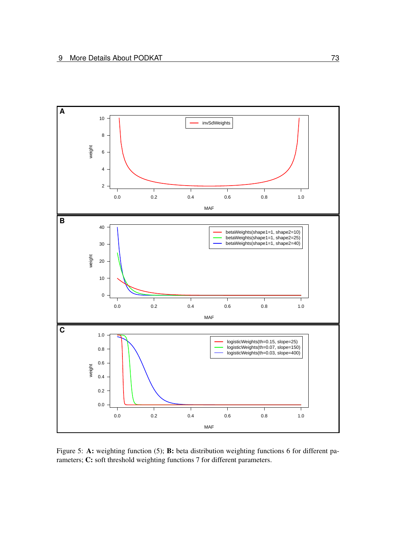

Figure 5: A: weighting function [\(5\)](#page-70-0); B: beta distribution weighting functions [6](#page-71-0) for different parameters; C: soft threshold weighting functions [7](#page-71-1) for different parameters.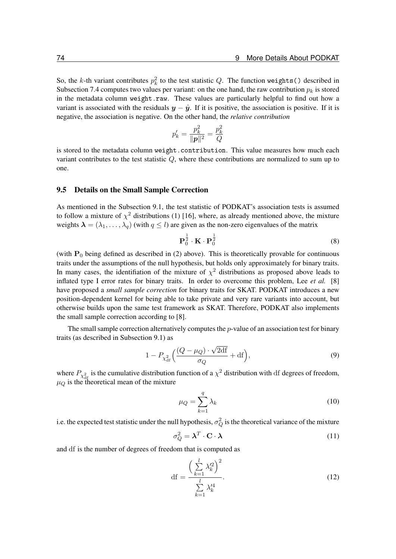So, the k-th variant contributes  $p_k^2$  to the test statistic Q. The function weights() described in Subsection [7.4](#page-44-0) computes two values per variant: on the one hand, the raw contribution  $p_k$  is stored in the metadata column weight.raw. These values are particularly helpful to find out how a variant is associated with the residuals  $y - \hat{y}$ . If it is positive, the association is positive. If it is negative, the association is negative. On the other hand, the *relative contribution*

$$
p_k'=\frac{p_k^2}{\lVert\boldsymbol{p}\rVert^2}=\frac{p_k^2}{Q}
$$

is stored to the metadata column weight.contribution. This value measures how much each variant contributes to the test statistic  $Q$ , where these contributions are normalized to sum up to one.

## 9.5 Details on the Small Sample Correction

As mentioned in the Subsection [9.1,](#page-64-0) the test statistic of PODKAT's association tests is assumed to follow a mixture of  $\chi^2$  distributions [\(1\)](#page-66-0) [\[16\]](#page-78-0), where, as already mentioned above, the mixture weights  $\lambda = (\lambda_1, \dots, \lambda_q)$  (with  $q \leq l$ ) are given as the non-zero eigenvalues of the matrix

<span id="page-73-1"></span>
$$
\mathbf{P}_0^{\frac{1}{2}} \cdot \mathbf{K} \cdot \mathbf{P}_0^{\frac{1}{2}} \tag{8}
$$

(with  $P_0$  being defined as described in [\(2\)](#page-66-1) above). This is theoretically provable for continuous traits under the assumptions of the null hypothesis, but holds only approximately for binary traits. In many cases, the identifiation of the mixture of  $\chi^2$  distributions as proposed above leads to inflated type I error rates for binary traits. In order to overcome this problem, Lee *et al.* [\[8\]](#page-77-0) have proposed a *small sample correction* for binary traits for SKAT. PODKAT introduces a new position-dependent kernel for being able to take private and very rare variants into account, but otherwise builds upon the same test framework as SKAT. Therefore, PODKAT also implements the small sample correction according to [\[8\]](#page-77-0).

The small sample correction alternatively computes the  $p$ -value of an association test for binary traits (as described in Subsection [9.1\)](#page-64-0) as

<span id="page-73-3"></span>
$$
1 - P_{\chi_{\text{df}}^2} \left( \frac{(Q - \mu_Q) \cdot \sqrt{2df}}{\sigma_Q} + df \right),\tag{9}
$$

where  $P_{\chi^2_{\text{def}}}$  is the cumulative distribution function of a  $\chi^2$  distribution with df degrees of freedom,  $\mu_Q$  is the theoretical mean of the mixture

<span id="page-73-4"></span>
$$
\mu_Q = \sum_{k=1}^q \lambda_k \tag{10}
$$

i.e. the expected test statistic under the null hypothesis,  $\sigma_Q^2$  is the theoretical variance of the mixture

<span id="page-73-0"></span>
$$
\sigma_Q^2 = \boldsymbol{\lambda}^T \cdot \mathbf{C} \cdot \boldsymbol{\lambda} \tag{11}
$$

and df is the number of degrees of freedom that is computed as

<span id="page-73-2"></span>
$$
df = \frac{\left(\sum_{k=1}^{l} \lambda_k'^2\right)^2}{\sum_{k=1}^{l} \lambda_k'^4}.
$$
\n(12)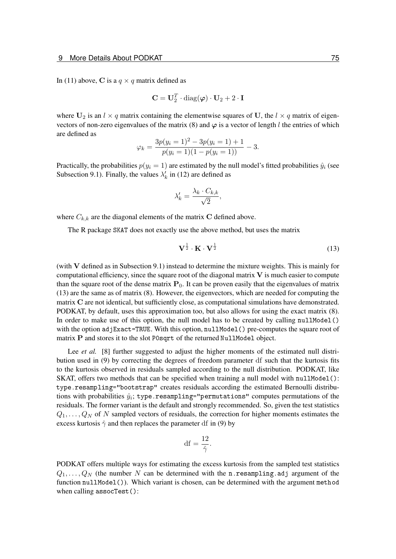In [\(11\)](#page-73-0) above, C is a  $q \times q$  matrix defined as

$$
\mathbf{C} = \mathbf{U}_2^T \cdot \text{diag}(\boldsymbol{\varphi}) \cdot \mathbf{U}_2 + 2 \cdot \mathbf{I}
$$

where  $U_2$  is an  $l \times q$  matrix containing the elementwise squares of U, the  $l \times q$  matrix of eigen-vectors of non-zero eigenvalues of the matrix [\(8\)](#page-73-1) and  $\varphi$  is a vector of length l the entries of which are defined as

$$
\varphi_k = \frac{3p(y_i = 1)^2 - 3p(y_i = 1) + 1}{p(y_i = 1)(1 - p(y_i = 1))} - 3.
$$

Practically, the probabilities  $p(y_i = 1)$  are estimated by the null model's fitted probabilities  $\hat{y}_i$  (see Subsection [9.1\)](#page-64-0). Finally, the values  $\lambda'_k$  in [\(12\)](#page-73-2) are defined as

$$
\lambda'_k = \frac{\lambda_k \cdot C_{k,k}}{\sqrt{2}},
$$

where  $C_{k,k}$  are the diagonal elements of the matrix C defined above.

The R package SKAT does not exactly use the above method, but uses the matrix

<span id="page-74-0"></span>
$$
\mathbf{V}^{\frac{1}{2}} \cdot \mathbf{K} \cdot \mathbf{V}^{\frac{1}{2}} \tag{13}
$$

(with V defined as in Subsection [9.1\)](#page-64-0) instead to determine the mixture weights. This is mainly for computational efficiency, since the square root of the diagonal matrix  $V$  is much easier to compute than the square root of the dense matrix  $P_0$ . It can be proven easily that the eigenvalues of matrix [\(13\)](#page-74-0) are the same as of matrix [\(8\)](#page-73-1). However, the eigenvectors, which are needed for computing the matrix C are not identical, but sufficiently close, as computational simulations have demonstrated. PODKAT, by default, uses this approximation too, but also allows for using the exact matrix [\(8\)](#page-73-1). In order to make use of this option, the null model has to be created by calling nullModel() with the option adjExact=TRUE. With this option, nullModel() pre-computes the square root of matrix P and stores it to the slot P0sqrt of the returned NullModel object.

Lee *et al.* [\[8\]](#page-77-0) further suggested to adjust the higher moments of the estimated null distribution used in [\(9\)](#page-73-3) by correcting the degrees of freedom parameter df such that the kurtosis fits to the kurtosis observed in residuals sampled according to the null distribution. PODKAT, like SKAT, offers two methods that can be specified when training a null model with nullModel(): type.resampling="bootstrap" creates residuals according the estimated Bernoulli distributions with probabilities  $\hat{y}_i$ ; type.resampling="permutations" computes permutations of the residuals. The former variant is the default and strongly recommended. So, given the test statistics  $Q_1, \ldots, Q_N$  of N sampled vectors of residuals, the correction for higher moments estimates the excess kurtosis  $\hat{\gamma}$  and then replaces the parameter df in [\(9\)](#page-73-3) by

$$
\mathrm{df} = \frac{12}{\hat{\gamma}}.
$$

PODKAT offers multiple ways for estimating the excess kurtosis from the sampled test statistics  $Q_1, \ldots, Q_N$  (the number N can be determined with the n. resampling. adj argument of the function nullModel()). Which variant is chosen, can be determined with the argument method when calling assocTest():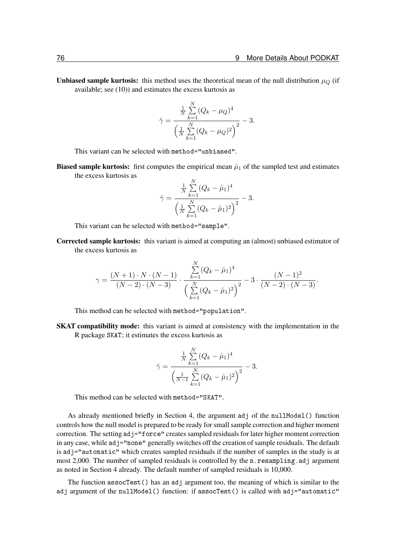**Unbiased sample kurtosis:** this method uses the theoretical mean of the null distribution  $\mu_Q$  (if available; see [\(10\)](#page-73-4)) and estimates the excess kurtosis as

$$
\hat{\gamma} = \frac{\frac{1}{N} \sum_{k=1}^{N} (Q_k - \mu_Q)^4}{\left(\frac{1}{N} \sum_{k=1}^{N} (Q_k - \mu_Q)^2\right)^2} - 3.
$$

This variant can be selected with method="unbiased".

**Biased sample kurtosis:** first computes the empirical mean  $\hat{\mu}_1$  of the sampled test and estimates the excess kurtosis as  $\mathbf{v}$ 

$$
\hat{\gamma} = \frac{\frac{1}{N} \sum_{k=1}^{N} (Q_k - \hat{\mu}_1)^4}{\left(\frac{1}{N} \sum_{k=1}^{N} (Q_k - \hat{\mu}_1)^2\right)^2} - 3.
$$

This variant can be selected with method="sample".

Corrected sample kurtosis: this variant is aimed at computing an (almost) unbiased estimator of the excess kurtosis as

 $\mathbf{v}$ 

$$
\gamma = \frac{(N+1) \cdot N \cdot (N-1)}{(N-2) \cdot (N-3)} \cdot \frac{\sum_{k=1}^{N} (Q_k - \hat{\mu}_1)^4}{\left(\sum_{k=1}^{N} (Q_k - \hat{\mu}_1)^2\right)^2} - 3 \cdot \frac{(N-1)^2}{(N-2) \cdot (N-3)}.
$$

This method can be selected with method="population".

SKAT compatibility mode: this variant is aimed at consistency with the implementation in the R package SKAT; it estimates the excess kurtosis as

$$
\hat{\gamma} = \frac{\frac{1}{N} \sum\limits_{k=1}^{N} (Q_k - \hat{\mu}_1)^4}{\left(\frac{1}{N-1} \sum\limits_{k=1}^{N} (Q_k - \hat{\mu}_1)^2\right)^2} - 3.
$$

This method can be selected with method="SKAT".

As already mentioned briefly in Section [4,](#page-11-0) the argument adj of the nullModel() function controls how the null model is prepared to be ready for small sample correction and higher moment correction. The setting adj="force" creates sampled residuals for later higher moment correction in any case, while adj="none" generally switches off the creation of sample residuals. The default is adj="automatic" which creates sampled residuals if the number of samples in the study is at most 2,000. The number of sampled residuals is controlled by the n.resampling.adj argument as noted in Section [4](#page-11-0) already. The default number of sampled residuals is 10,000.

The function assocTest() has an adj argument too, the meaning of which is similar to the adj argument of the nullModel() function: if assocTest() is called with adj="automatic"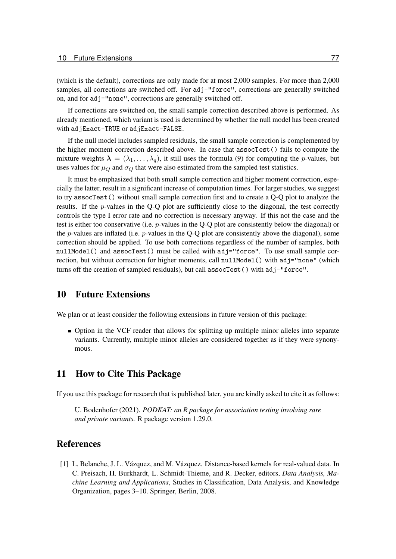(which is the default), corrections are only made for at most 2,000 samples. For more than 2,000 samples, all corrections are switched off. For adj="force", corrections are generally switched on, and for adj="none", corrections are generally switched off.

If corrections are switched on, the small sample correction described above is performed. As already mentioned, which variant is used is determined by whether the null model has been created with adjExact=TRUE or adjExact=FALSE.

If the null model includes sampled residuals, the small sample correction is complemented by the higher moment correction described above. In case that assocTest() fails to compute the mixture weights  $\lambda = (\lambda_1, \ldots, \lambda_q)$ , it still uses the formula [\(9\)](#page-73-3) for computing the *p*-values, but uses values for  $\mu_Q$  and  $\sigma_Q$  that were also estimated from the sampled test statistics.

It must be emphasized that both small sample correction and higher moment correction, especially the latter, result in a significant increase of computation times. For larger studies, we suggest to try assocTest() without small sample correction first and to create a Q-Q plot to analyze the results. If the p-values in the Q-Q plot are sufficiently close to the diagonal, the test correctly controls the type I error rate and no correction is necessary anyway. If this not the case and the test is either too conservative (i.e. p-values in the Q-Q plot are consistently below the diagonal) or the p-values are inflated (i.e. p-values in the Q-Q plot are consistently above the diagonal), some correction should be applied. To use both corrections regardless of the number of samples, both nullModel() and assocTest() must be called with adj="force". To use small sample correction, but without correction for higher moments, call nullModel() with adj="none" (which turns off the creation of sampled residuals), but call assocTest() with adj="force".

## 10 Future Extensions

We plan or at least consider the following extensions in future version of this package:

Option in the VCF reader that allows for splitting up multiple minor alleles into separate variants. Currently, multiple minor alleles are considered together as if they were synonymous.

## 11 How to Cite This Package

If you use this package for research that is published later, you are kindly asked to cite it as follows:

U. Bodenhofer (2021). *PODKAT: an R package for association testing involving rare and private variants.* R package version 1.29.0.

## References

[1] L. Belanche, J. L. Vázquez, and M. Vázquez. Distance-based kernels for real-valued data. In C. Preisach, H. Burkhardt, L. Schmidt-Thieme, and R. Decker, editors, *Data Analysis, Machine Learning and Applications*, Studies in Classification, Data Analysis, and Knowledge Organization, pages 3–10. Springer, Berlin, 2008.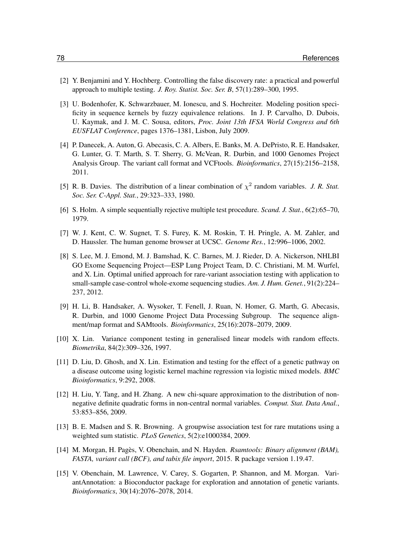- [2] Y. Benjamini and Y. Hochberg. Controlling the false discovery rate: a practical and powerful approach to multiple testing. *J. Roy. Statist. Soc. Ser. B*, 57(1):289–300, 1995.
- [3] U. Bodenhofer, K. Schwarzbauer, M. Ionescu, and S. Hochreiter. Modeling position specificity in sequence kernels by fuzzy equivalence relations. In J. P. Carvalho, D. Dubois, U. Kaymak, and J. M. C. Sousa, editors, *Proc. Joint 13th IFSA World Congress and 6th EUSFLAT Conference*, pages 1376–1381, Lisbon, July 2009.
- [4] P. Danecek, A. Auton, G. Abecasis, C. A. Albers, E. Banks, M. A. DePristo, R. E. Handsaker, G. Lunter, G. T. Marth, S. T. Sherry, G. McVean, R. Durbin, and 1000 Genomes Project Analysis Group. The variant call format and VCFtools. *Bioinformatics*, 27(15):2156–2158, 2011.
- [5] R. B. Davies. The distribution of a linear combination of  $\chi^2$  random variables. *J. R. Stat. Soc. Ser. C-Appl. Stat.*, 29:323–333, 1980.
- [6] S. Holm. A simple sequentially rejective multiple test procedure. *Scand. J. Stat.*, 6(2):65–70, 1979.
- [7] W. J. Kent, C. W. Sugnet, T. S. Furey, K. M. Roskin, T. H. Pringle, A. M. Zahler, and D. Haussler. The human genome browser at UCSC. *Genome Res.*, 12:996–1006, 2002.
- <span id="page-77-0"></span>[8] S. Lee, M. J. Emond, M. J. Bamshad, K. C. Barnes, M. J. Rieder, D. A. Nickerson, NHLBI GO Exome Sequencing Project—ESP Lung Project Team, D. C. Christiani, M. M. Wurfel, and X. Lin. Optimal unified approach for rare-variant association testing with application to small-sample case-control whole-exome sequencing studies. *Am. J. Hum. Genet.*, 91(2):224– 237, 2012.
- [9] H. Li, B. Handsaker, A. Wysoker, T. Fenell, J. Ruan, N. Homer, G. Marth, G. Abecasis, R. Durbin, and 1000 Genome Project Data Processing Subgroup. The sequence alignment/map format and SAMtools. *Bioinformatics*, 25(16):2078–2079, 2009.
- [10] X. Lin. Variance component testing in generalised linear models with random effects. *Biometrika*, 84(2):309–326, 1997.
- [11] D. Liu, D. Ghosh, and X. Lin. Estimation and testing for the effect of a genetic pathway on a disease outcome using logistic kernel machine regression via logistic mixed models. *BMC Bioinformatics*, 9:292, 2008.
- [12] H. Liu, Y. Tang, and H. Zhang. A new chi-square approximation to the distribution of nonnegative definite quadratic forms in non-central normal variables. *Comput. Stat. Data Anal.*, 53:853–856, 2009.
- [13] B. E. Madsen and S. R. Browning. A groupwise association test for rare mutations using a weighted sum statistic. *PLoS Genetics*, 5(2):e1000384, 2009.
- [14] M. Morgan, H. Pagès, V. Obenchain, and N. Hayden. *Rsamtools: Binary alignment (BAM), FASTA, variant call (BCF), and tabix file import*, 2015. R package version 1.19.47.
- [15] V. Obenchain, M. Lawrence, V. Carey, S. Gogarten, P. Shannon, and M. Morgan. VariantAnnotation: a Bioconductor package for exploration and annotation of genetic variants. *Bioinformatics*, 30(14):2076–2078, 2014.